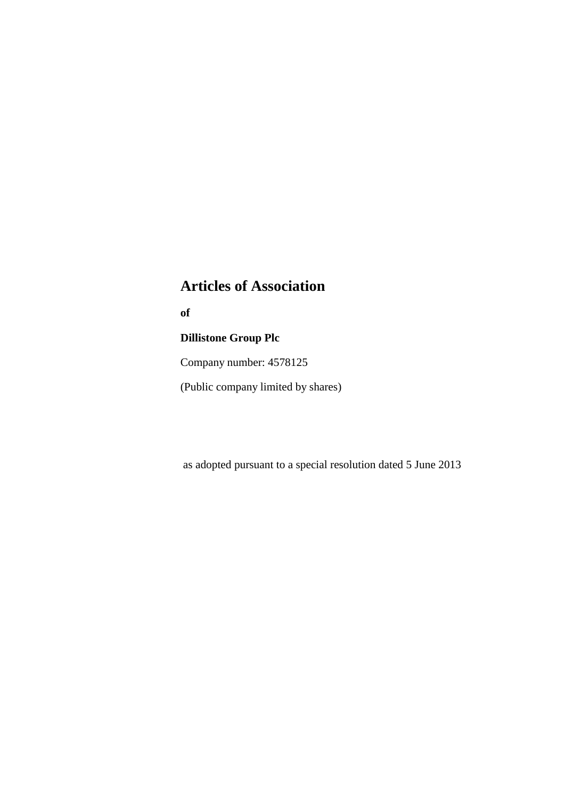# **Articles of Association**

**of**

# **Dillistone Group Plc**

Company number: 4578125

(Public company limited by shares)

as adopted pursuant to a special resolution dated 5 June 2013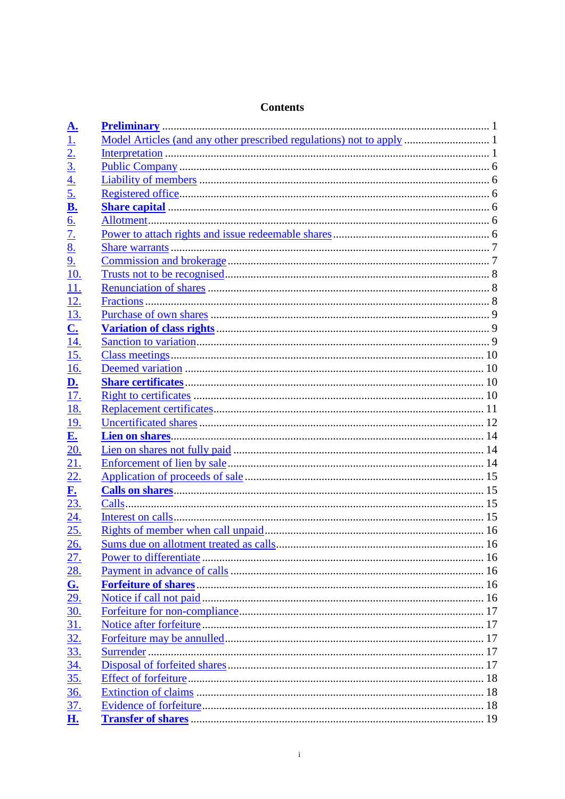| <u>A.</u>                                         |  |
|---------------------------------------------------|--|
| 1.                                                |  |
| $\frac{2}{3}$                                     |  |
|                                                   |  |
|                                                   |  |
| $\frac{4}{5}$                                     |  |
| $\underline{\mathbf{B}}$ .                        |  |
| <u>6.</u>                                         |  |
| $\overline{7}$ .                                  |  |
| $\overline{8}$ .                                  |  |
| 9.                                                |  |
| <u>10.</u>                                        |  |
| 11.                                               |  |
| <u>12.</u>                                        |  |
| 13.                                               |  |
| $\overline{\mathbf{C}}$                           |  |
| <u>14.</u>                                        |  |
| 15.                                               |  |
| 16.                                               |  |
| $\underline{\mathbf{D}}$ .                        |  |
| 17.                                               |  |
| <u>18.</u>                                        |  |
| <u>19.</u>                                        |  |
| $E_{\cdot}$                                       |  |
| 20.                                               |  |
| 21.                                               |  |
| 22.                                               |  |
| $E_{\bullet}$                                     |  |
| 23.                                               |  |
| <u>24.</u>                                        |  |
| 25.                                               |  |
| 26.                                               |  |
| 27.                                               |  |
|                                                   |  |
| $\frac{28}{\text{G}}$<br>$\frac{29}{\cancel{30}}$ |  |
|                                                   |  |
|                                                   |  |
| <u>31.</u>                                        |  |
| $\frac{32}{33}$                                   |  |
|                                                   |  |
| <u>34.</u>                                        |  |
| <u>35.</u>                                        |  |
| <u>36.</u>                                        |  |
| 37.                                               |  |
| H.                                                |  |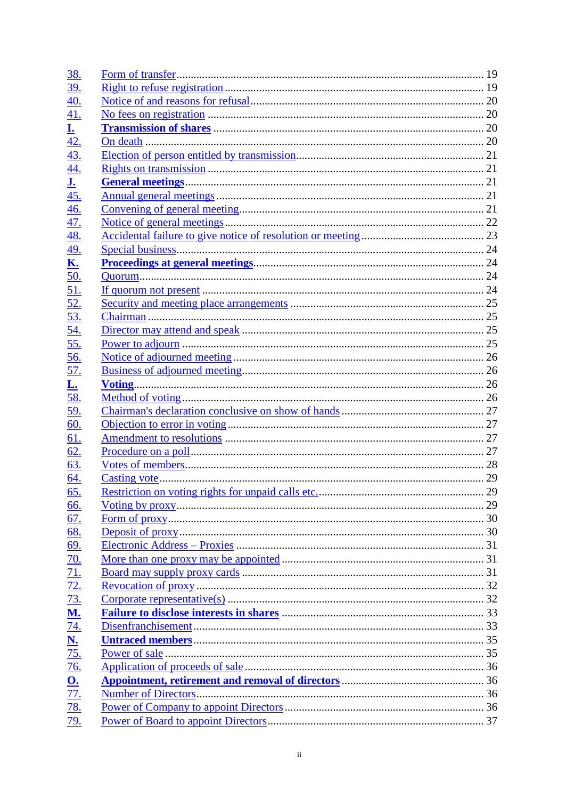| <u>38.</u>                         |  |
|------------------------------------|--|
| <u>39.</u>                         |  |
| <u>40.</u>                         |  |
| <u>41.</u>                         |  |
| $\overline{\mathbf{r}}$            |  |
| <u>42.</u>                         |  |
| <u>43.</u>                         |  |
| <u>44.</u>                         |  |
| $\overline{\mathbf{J}}$ .          |  |
| 45.                                |  |
| 46.                                |  |
| 47.                                |  |
| <u>48.</u>                         |  |
| <u>49.</u>                         |  |
| <u>K.</u>                          |  |
| 50.                                |  |
| 51.                                |  |
| 52.                                |  |
| 53.                                |  |
| 54.                                |  |
| <u>55.</u>                         |  |
| <u>56.</u>                         |  |
| <u>57.</u>                         |  |
| <u>L.</u>                          |  |
| 58.                                |  |
| <u>59.</u>                         |  |
| <u>60.</u>                         |  |
| 61.                                |  |
| 62.                                |  |
| 63.                                |  |
| 64.                                |  |
| <u>65.</u>                         |  |
| 66.                                |  |
| 67.                                |  |
| <u>68.</u>                         |  |
| 69.                                |  |
| <u>70.</u>                         |  |
| 71.                                |  |
| 72.                                |  |
| <u>73.</u>                         |  |
| <u>M.</u>                          |  |
| <u>74.</u>                         |  |
|                                    |  |
| $\frac{\overline{\mathbf{N}}}{75}$ |  |
| <u>76.</u>                         |  |
|                                    |  |
| $\frac{O}{77}$                     |  |
| <u>78.</u>                         |  |
| 79.                                |  |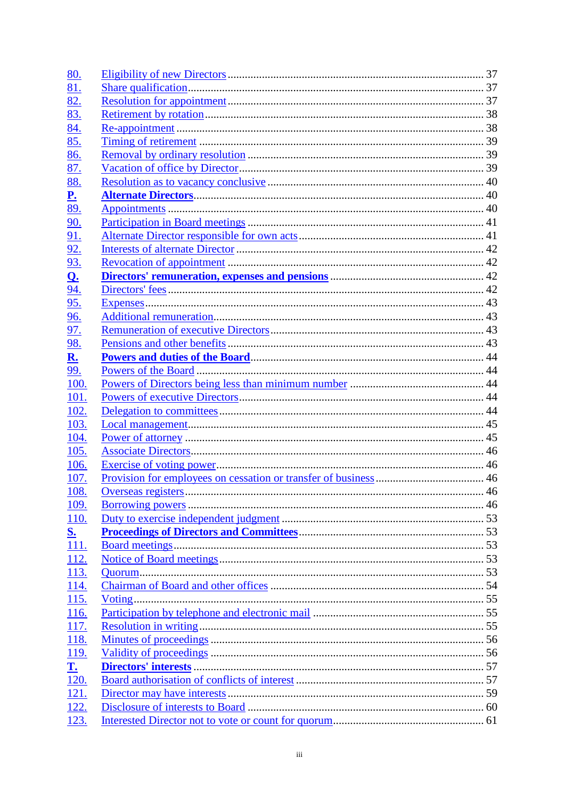| <u>80.</u>             |    |
|------------------------|----|
| <u>81.</u>             |    |
| 82.                    |    |
| 83.                    |    |
| 84.                    |    |
| 85.                    |    |
| 86.                    |    |
| 87.                    |    |
| 88.                    |    |
| $\mathbf{P}_{\bullet}$ |    |
| 89.                    |    |
| <u>90.</u>             |    |
| 91.                    |    |
| <u>92.</u>             |    |
| <u>93.</u>             |    |
| <u>Q.</u>              |    |
| 94.                    |    |
| <u>95.</u>             |    |
| <u>96.</u>             |    |
| 97.                    |    |
| <u>98.</u>             |    |
| <u>R.</u>              |    |
| 99.                    |    |
| 100.                   |    |
| 101.                   |    |
| <u>102.</u>            |    |
| 103.                   |    |
| <u>104.</u>            |    |
| 105.                   |    |
| 106.                   |    |
| <u>107.</u>            |    |
| <u>108.</u>            | 46 |
| <u>109.</u>            |    |
| 110.                   |    |
| <u>S.</u>              |    |
| 111.                   |    |
| 112.                   |    |
| 113.                   |    |
| <u>114.</u>            |    |
| <u>115.</u>            |    |
| <u>116.</u>            |    |
| 117.                   |    |
| <u>118.</u>            |    |
| <u>119.</u>            |    |
| $\mathbf{L}$           |    |
| 120.                   |    |
| 121.                   |    |
| 122.                   |    |
| 123.                   |    |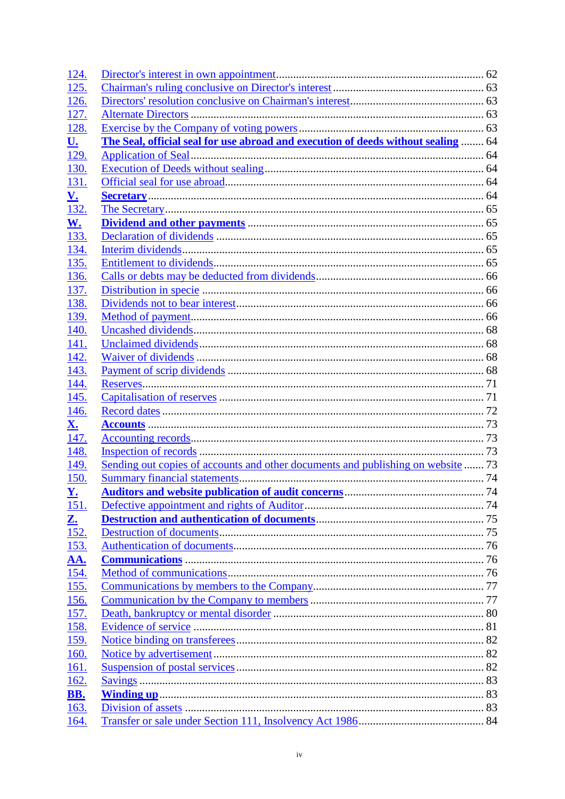| 124.                     |                                                                                   |  |
|--------------------------|-----------------------------------------------------------------------------------|--|
| 125.                     |                                                                                   |  |
| 126.                     |                                                                                   |  |
| <u>127.</u>              |                                                                                   |  |
| 128.                     |                                                                                   |  |
| <u>U.</u>                | The Seal, official seal for use abroad and execution of deeds without sealing  64 |  |
| <u>129.</u>              |                                                                                   |  |
| 130.                     |                                                                                   |  |
| 131.                     |                                                                                   |  |
| <u>V.</u>                |                                                                                   |  |
| 132.                     |                                                                                   |  |
| <u>W.</u>                |                                                                                   |  |
| 133.                     |                                                                                   |  |
| 134.                     |                                                                                   |  |
| 135.                     |                                                                                   |  |
| <u>136.</u>              |                                                                                   |  |
| <u>137.</u>              |                                                                                   |  |
| 138.                     |                                                                                   |  |
| <u>139.</u>              |                                                                                   |  |
| <u>140.</u>              |                                                                                   |  |
| 141.                     |                                                                                   |  |
| <u>142.</u>              |                                                                                   |  |
| <u>143.</u>              |                                                                                   |  |
| 144.                     |                                                                                   |  |
| <u>145.</u>              |                                                                                   |  |
| <u>146.</u>              |                                                                                   |  |
| <u>X.</u><br>147.        |                                                                                   |  |
| 148.                     |                                                                                   |  |
| <u>149.</u>              | Sending out copies of accounts and other documents and publishing on website 73   |  |
| <u>150.</u>              |                                                                                   |  |
| $\underline{\mathbf{Y}}$ |                                                                                   |  |
| 151.                     |                                                                                   |  |
| <u>Z.</u>                |                                                                                   |  |
| <u>152.</u>              |                                                                                   |  |
| 153.                     |                                                                                   |  |
| <u>AA.</u>               |                                                                                   |  |
| $\overline{154}$ .       |                                                                                   |  |
| 155.                     |                                                                                   |  |
| <u>156.</u>              |                                                                                   |  |
| <u>157.</u>              |                                                                                   |  |
| <u>158.</u>              |                                                                                   |  |
| <u>159.</u>              |                                                                                   |  |
| <u>160.</u>              |                                                                                   |  |
| <u>161.</u>              |                                                                                   |  |
| <u>162.</u>              |                                                                                   |  |
| <b>BB.</b>               |                                                                                   |  |
| 163.                     |                                                                                   |  |
| 164.                     |                                                                                   |  |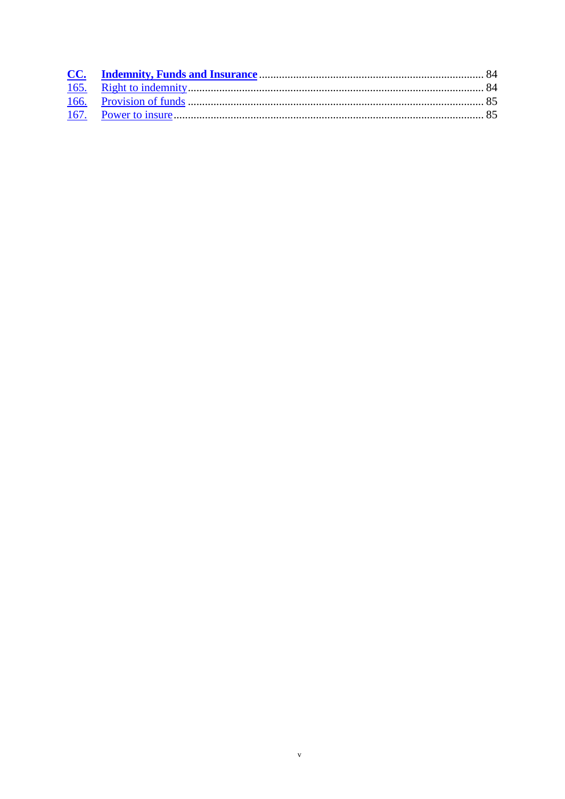$\mathbf v$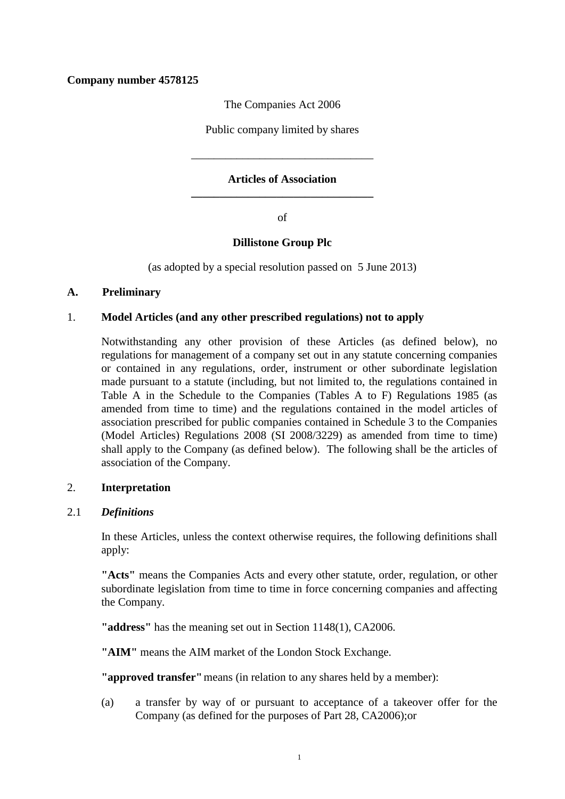# **Company number 4578125**

The Companies Act 2006

Public company limited by shares

\_\_\_\_\_\_\_\_\_\_\_\_\_\_\_\_\_\_\_\_\_\_\_\_\_\_\_\_\_\_\_\_

# **Articles of Association \_\_\_\_\_\_\_\_\_\_\_\_\_\_\_\_\_\_\_\_\_\_\_\_\_\_\_\_\_\_\_\_**

of

## **Dillistone Group Plc**

(as adopted by a special resolution passed on 5 June 2013)

## **A. Preliminary**

## 1. **Model Articles (and any other prescribed regulations) not to apply**

Notwithstanding any other provision of these Articles (as defined below), no regulations for management of a company set out in any statute concerning companies or contained in any regulations, order, instrument or other subordinate legislation made pursuant to a statute (including, but not limited to, the regulations contained in Table A in the Schedule to the Companies (Tables A to F) Regulations 1985 (as amended from time to time) and the regulations contained in the model articles of association prescribed for public companies contained in Schedule 3 to the Companies (Model Articles) Regulations 2008 (SI 2008/3229) as amended from time to time) shall apply to the Company (as defined below). The following shall be the articles of association of the Company.

## <span id="page-6-1"></span>2. **Interpretation**

## <span id="page-6-0"></span>2.1 *Definitions*

In these Articles, unless the context otherwise requires, the following definitions shall apply:

**"Acts"** means the Companies Acts and every other statute, order, regulation, or other subordinate legislation from time to time in force concerning companies and affecting the Company.

**"address"** has the meaning set out in Section 1148(1), CA2006.

**"AIM"** means the AIM market of the London Stock Exchange.

**"approved transfer"**means (in relation to any shares held by a member):

(a) a transfer by way of or pursuant to acceptance of a takeover offer for the Company (as defined for the purposes of Part 28, CA2006);or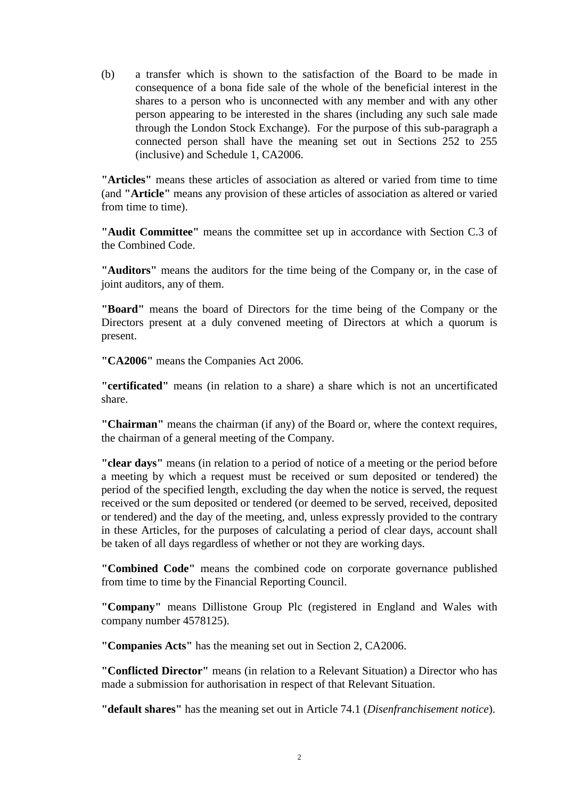(b) a transfer which is shown to the satisfaction of the Board to be made in consequence of a bona fide sale of the whole of the beneficial interest in the shares to a person who is unconnected with any member and with any other person appearing to be interested in the shares (including any such sale made through the London Stock Exchange). For the purpose of this sub-paragraph a connected person shall have the meaning set out in Sections 252 to 255 (inclusive) and Schedule 1, CA2006.

**"Articles"** means these articles of association as altered or varied from time to time (and **"Article"** means any provision of these articles of association as altered or varied from time to time).

**"Audit Committee"** means the committee set up in accordance with Section C.3 of the Combined Code.

**"Auditors"** means the auditors for the time being of the Company or, in the case of joint auditors, any of them.

**"Board"** means the board of Directors for the time being of the Company or the Directors present at a duly convened meeting of Directors at which a quorum is present.

**"CA2006"** means the Companies Act 2006.

**"certificated"** means (in relation to a share) a share which is not an uncertificated share.

**"Chairman"** means the chairman (if any) of the Board or, where the context requires, the chairman of a general meeting of the Company.

**"clear days"** means (in relation to a period of notice of a meeting or the period before a meeting by which a request must be received or sum deposited or tendered) the period of the specified length, excluding the day when the notice is served, the request received or the sum deposited or tendered (or deemed to be served, received, deposited or tendered) and the day of the meeting, and, unless expressly provided to the contrary in these Articles, for the purposes of calculating a period of clear days, account shall be taken of all days regardless of whether or not they are working days.

**"Combined Code"** means the combined code on corporate governance published from time to time by the Financial Reporting Council.

**"Company"** means Dillistone Group Plc (registered in England and Wales with company number 4578125).

**"Companies Acts"** has the meaning set out in Section 2, CA2006.

**"Conflicted Director"** means (in relation to a Relevant Situation) a Director who has made a submission for authorisation in respect of that Relevant Situation.

**"default shares"** has the meaning set out in Article [74.1](#page-38-0) (*Disenfranchisement notice*).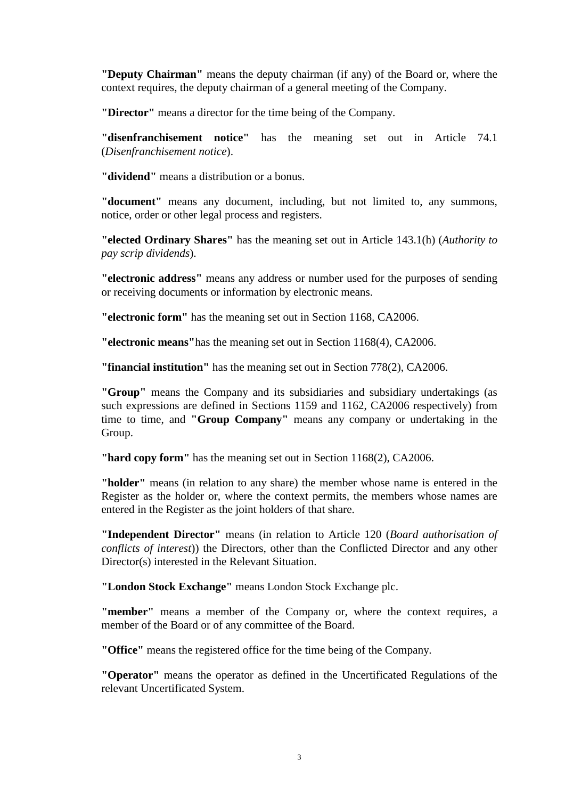**"Deputy Chairman"** means the deputy chairman (if any) of the Board or, where the context requires, the deputy chairman of a general meeting of the Company.

**"Director"** means a director for the time being of the Company.

**"disenfranchisement notice"** has the meaning set out in Article [74.1](#page-38-0) (*Disenfranchisement notice*).

**"dividend"** means a distribution or a bonus.

**"document"** means any document, including, but not limited to, any summons, notice, order or other legal process and registers.

**"elected Ordinary Shares"** has the meaning set out in Article [143.1\(h\)](#page-75-0) (*Authority to pay scrip dividends*).

**"electronic address"** means any address or number used for the purposes of sending or receiving documents or information by electronic means.

**"electronic form"** has the meaning set out in Section 1168, CA2006.

**"electronic means"**has the meaning set out in Section 1168(4), CA2006.

**"financial institution"** has the meaning set out in Section 778(2), CA2006.

**"Group"** means the Company and its subsidiaries and subsidiary undertakings (as such expressions are defined in Sections 1159 and 1162, CA2006 respectively) from time to time, and **"Group Company"** means any company or undertaking in the Group.

**"hard copy form"** has the meaning set out in Section 1168(2), CA2006.

**"holder"** means (in relation to any share) the member whose name is entered in the Register as the holder or, where the context permits, the members whose names are entered in the Register as the joint holders of that share.

**"Independent Director"** means (in relation to Article 120 (*Board authorisation of conflicts of interest*)) the Directors, other than the Conflicted Director and any other Director(s) interested in the Relevant Situation.

**"London Stock Exchange"** means London Stock Exchange plc.

**"member"** means a member of the Company or, where the context requires, a member of the Board or of any committee of the Board.

**"Office"** means the registered office for the time being of the Company.

**"Operator"** means the operator as defined in the Uncertificated Regulations of the relevant Uncertificated System.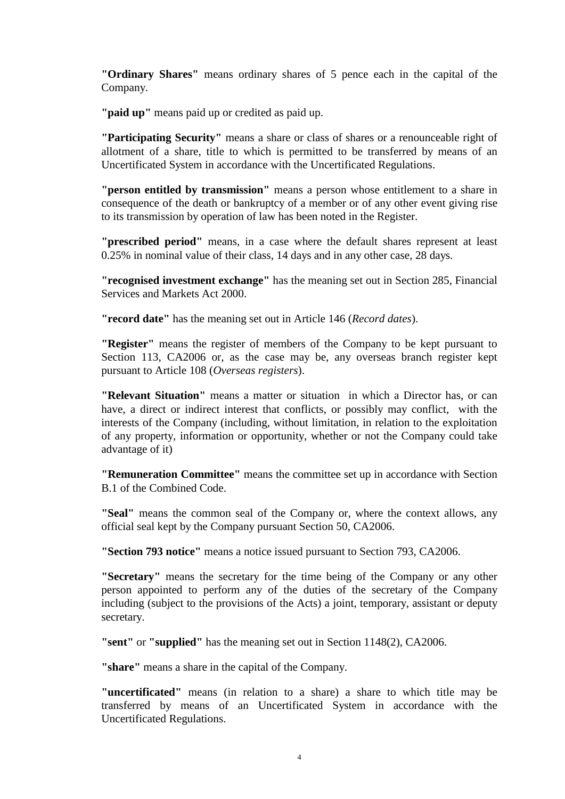**"Ordinary Shares"** means ordinary shares of 5 pence each in the capital of the Company.

**"paid up"** means paid up or credited as paid up.

**"Participating Security"** means a share or class of shares or a renounceable right of allotment of a share, title to which is permitted to be transferred by means of an Uncertificated System in accordance with the Uncertificated Regulations.

**"person entitled by transmission"** means a person whose entitlement to a share in consequence of the death or bankruptcy of a member or of any other event giving rise to its transmission by operation of law has been noted in the Register.

**"prescribed period"** means, in a case where the default shares represent at least 0.25% in nominal value of their class, 14 days and in any other case, 28 days.

**"recognised investment exchange"** has the meaning set out in Section 285, Financial Services and Markets Act 2000.

**"record date"** has the meaning set out in Article 146 (*Record dates*).

**"Register"** means the register of members of the Company to be kept pursuant to Section 113, CA2006 or, as the case may be, any overseas branch register kept pursuant to Article [108](#page-52-0) (*Overseas registers*).

**"Relevant Situation"** means a matter or situation in which a Director has, or can have, a direct or indirect interest that conflicts, or possibly may conflict, with the interests of the Company (including, without limitation, in relation to the exploitation of any property, information or opportunity, whether or not the Company could take advantage of it)

**"Remuneration Committee"** means the committee set up in accordance with Section B.1 of the Combined Code.

**"Seal"** means the common seal of the Company or, where the context allows, any official seal kept by the Company pursuant Section 50, CA2006.

**"Section 793 notice"** means a notice issued pursuant to Section 793, CA2006.

**"Secretary"** means the secretary for the time being of the Company or any other person appointed to perform any of the duties of the secretary of the Company including (subject to the provisions of the Acts) a joint, temporary, assistant or deputy secretary.

**"sent"** or **"supplied"** has the meaning set out in Section 1148(2), CA2006.

**"share"** means a share in the capital of the Company.

**"uncertificated"** means (in relation to a share) a share to which title may be transferred by means of an Uncertificated System in accordance with the Uncertificated Regulations.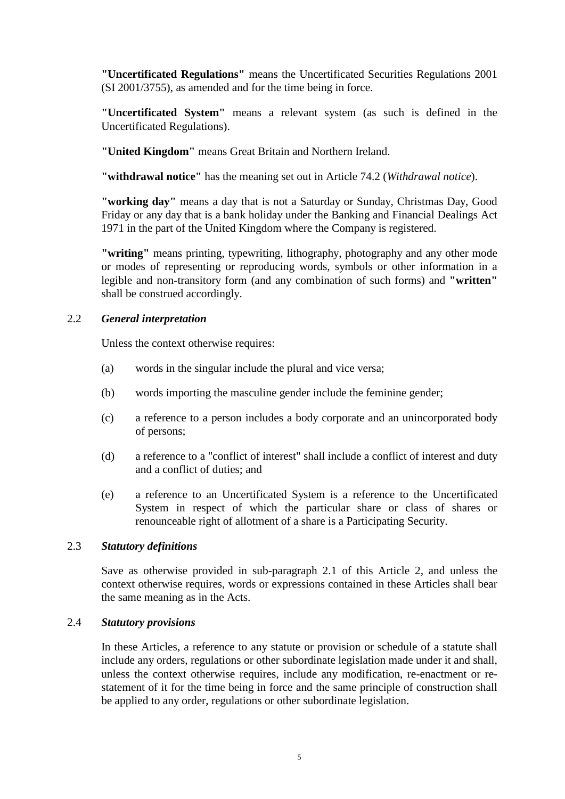**"Uncertificated Regulations"** means the Uncertificated Securities Regulations 2001 (SI 2001/3755), as amended and for the time being in force.

**"Uncertificated System"** means a relevant system (as such is defined in the Uncertificated Regulations).

**"United Kingdom"** means Great Britain and Northern Ireland.

**"withdrawal notice"** has the meaning set out in Article [74.2](#page-39-0) (*Withdrawal notice*).

**"working day"** means a day that is not a Saturday or Sunday, Christmas Day, Good Friday or any day that is a bank holiday under the Banking and Financial Dealings Act 1971 in the part of the United Kingdom where the Company is registered.

**"writing"** means printing, typewriting, lithography, photography and any other mode or modes of representing or reproducing words, symbols or other information in a legible and non-transitory form (and any combination of such forms) and **"written"** shall be construed accordingly.

## 2.2 *General interpretation*

Unless the context otherwise requires:

- (a) words in the singular include the plural and vice versa;
- (b) words importing the masculine gender include the feminine gender;
- (c) a reference to a person includes a body corporate and an unincorporated body of persons;
- (d) a reference to a "conflict of interest" shall include a conflict of interest and duty and a conflict of duties; and
- (e) a reference to an Uncertificated System is a reference to the Uncertificated System in respect of which the particular share or class of shares or renounceable right of allotment of a share is a Participating Security.

## 2.3 *Statutory definitions*

Save as otherwise provided in sub-paragraph [2.1](#page-6-0) of this Article [2,](#page-6-1) and unless the context otherwise requires, words or expressions contained in these Articles shall bear the same meaning as in the Acts.

## 2.4 *Statutory provisions*

In these Articles, a reference to any statute or provision or schedule of a statute shall include any orders, regulations or other subordinate legislation made under it and shall, unless the context otherwise requires, include any modification, re-enactment or restatement of it for the time being in force and the same principle of construction shall be applied to any order, regulations or other subordinate legislation.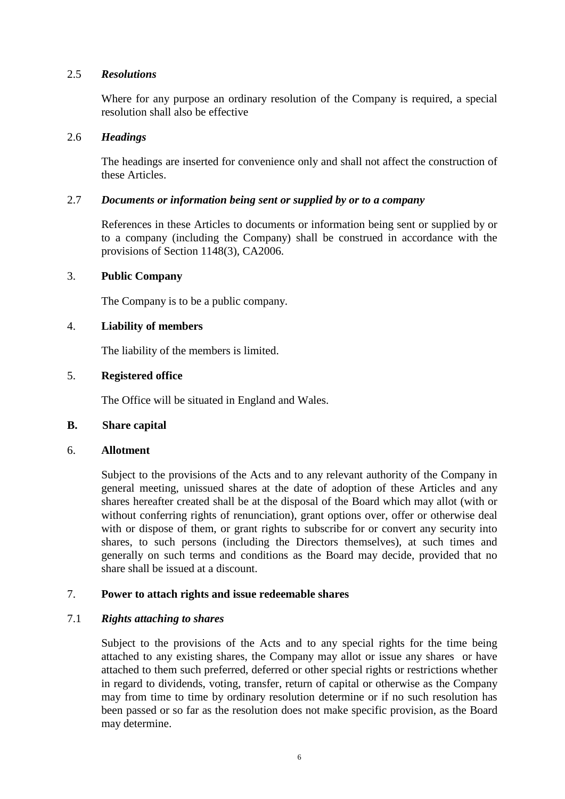## 2.5 *Resolutions*

Where for any purpose an ordinary resolution of the Company is required, a special resolution shall also be effective

## 2.6 *Headings*

The headings are inserted for convenience only and shall not affect the construction of these Articles.

## 2.7 *Documents or information being sent or supplied by or to a company*

References in these Articles to documents or information being sent or supplied by or to a company (including the Company) shall be construed in accordance with the provisions of Section 1148(3), CA2006.

# 3. **Public Company**

The Company is to be a public company.

## 4. **Liability of members**

The liability of the members is limited.

## 5. **Registered office**

The Office will be situated in England and Wales.

## **B. Share capital**

## 6. **Allotment**

Subject to the provisions of the Acts and to any relevant authority of the Company in general meeting, unissued shares at the date of adoption of these Articles and any shares hereafter created shall be at the disposal of the Board which may allot (with or without conferring rights of renunciation), grant options over, offer or otherwise deal with or dispose of them, or grant rights to subscribe for or convert any security into shares, to such persons (including the Directors themselves), at such times and generally on such terms and conditions as the Board may decide, provided that no share shall be issued at a discount.

# 7. **Power to attach rights and issue redeemable shares**

## 7.1 *Rights attaching to shares*

Subject to the provisions of the Acts and to any special rights for the time being attached to any existing shares, the Company may allot or issue any shares or have attached to them such preferred, deferred or other special rights or restrictions whether in regard to dividends, voting, transfer, return of capital or otherwise as the Company may from time to time by ordinary resolution determine or if no such resolution has been passed or so far as the resolution does not make specific provision, as the Board may determine.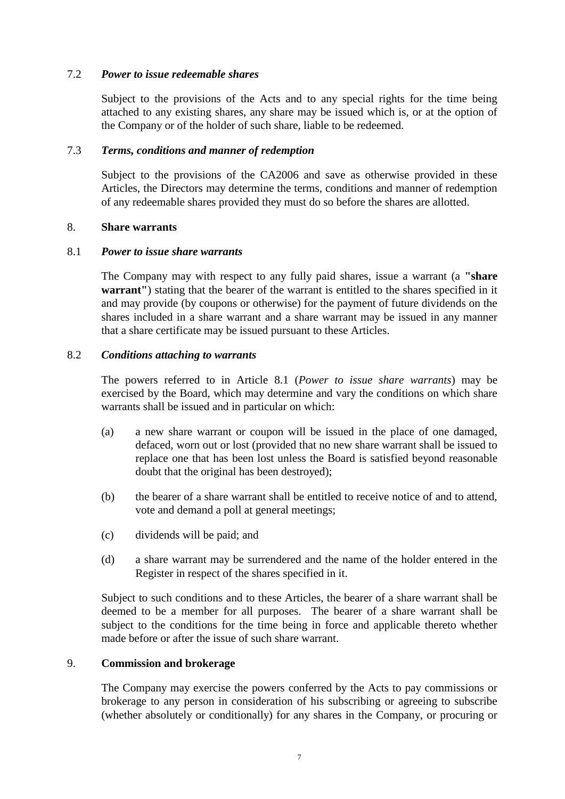## 7.2 *Power to issue redeemable shares*

Subject to the provisions of the Acts and to any special rights for the time being attached to any existing shares, any share may be issued which is, or at the option of the Company or of the holder of such share, liable to be redeemed.

## 7.3 *Terms, conditions and manner of redemption*

Subject to the provisions of the CA2006 and save as otherwise provided in these Articles, the Directors may determine the terms, conditions and manner of redemption of any redeemable shares provided they must do so before the shares are allotted.

## 8. **Share warrants**

## <span id="page-12-0"></span>8.1 *Power to issue share warrants*

The Company may with respect to any fully paid shares, issue a warrant (a **"share warrant"**) stating that the bearer of the warrant is entitled to the shares specified in it and may provide (by coupons or otherwise) for the payment of future dividends on the shares included in a share warrant and a share warrant may be issued in any manner that a share certificate may be issued pursuant to these Articles.

## 8.2 *Conditions attaching to warrants*

The powers referred to in Article [8.1](#page-12-0) (*Power to issue share warrants*) may be exercised by the Board, which may determine and vary the conditions on which share warrants shall be issued and in particular on which:

- (a) a new share warrant or coupon will be issued in the place of one damaged, defaced, worn out or lost (provided that no new share warrant shall be issued to replace one that has been lost unless the Board is satisfied beyond reasonable doubt that the original has been destroyed);
- (b) the bearer of a share warrant shall be entitled to receive notice of and to attend, vote and demand a poll at general meetings;
- (c) dividends will be paid; and
- (d) a share warrant may be surrendered and the name of the holder entered in the Register in respect of the shares specified in it.

Subject to such conditions and to these Articles, the bearer of a share warrant shall be deemed to be a member for all purposes. The bearer of a share warrant shall be subject to the conditions for the time being in force and applicable thereto whether made before or after the issue of such share warrant.

## 9. **Commission and brokerage**

The Company may exercise the powers conferred by the Acts to pay commissions or brokerage to any person in consideration of his subscribing or agreeing to subscribe (whether absolutely or conditionally) for any shares in the Company, or procuring or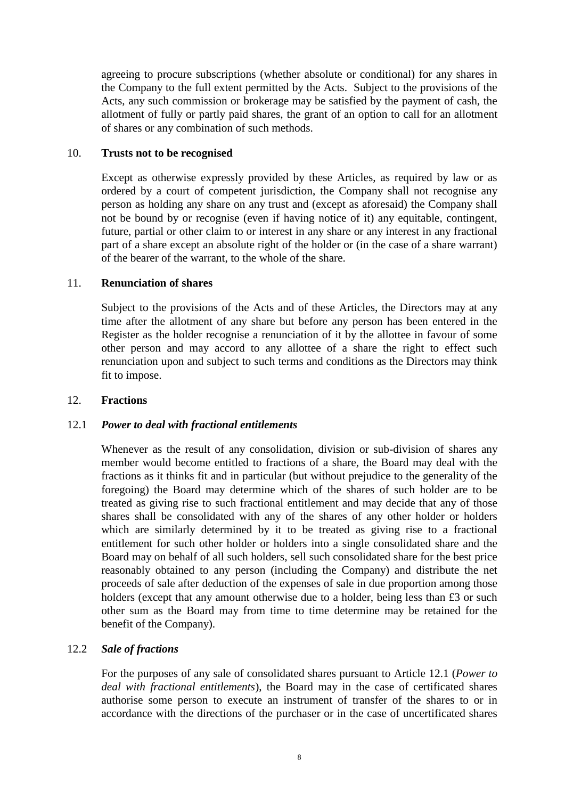agreeing to procure subscriptions (whether absolute or conditional) for any shares in the Company to the full extent permitted by the Acts. Subject to the provisions of the Acts, any such commission or brokerage may be satisfied by the payment of cash, the allotment of fully or partly paid shares, the grant of an option to call for an allotment of shares or any combination of such methods.

## 10. **Trusts not to be recognised**

Except as otherwise expressly provided by these Articles, as required by law or as ordered by a court of competent jurisdiction, the Company shall not recognise any person as holding any share on any trust and (except as aforesaid) the Company shall not be bound by or recognise (even if having notice of it) any equitable, contingent, future, partial or other claim to or interest in any share or any interest in any fractional part of a share except an absolute right of the holder or (in the case of a share warrant) of the bearer of the warrant, to the whole of the share.

## 11. **Renunciation of shares**

Subject to the provisions of the Acts and of these Articles, the Directors may at any time after the allotment of any share but before any person has been entered in the Register as the holder recognise a renunciation of it by the allottee in favour of some other person and may accord to any allottee of a share the right to effect such renunciation upon and subject to such terms and conditions as the Directors may think fit to impose.

## 12. **Fractions**

# <span id="page-13-0"></span>12.1 *Power to deal with fractional entitlements*

Whenever as the result of any consolidation, division or sub-division of shares any member would become entitled to fractions of a share, the Board may deal with the fractions as it thinks fit and in particular (but without prejudice to the generality of the foregoing) the Board may determine which of the shares of such holder are to be treated as giving rise to such fractional entitlement and may decide that any of those shares shall be consolidated with any of the shares of any other holder or holders which are similarly determined by it to be treated as giving rise to a fractional entitlement for such other holder or holders into a single consolidated share and the Board may on behalf of all such holders, sell such consolidated share for the best price reasonably obtained to any person (including the Company) and distribute the net proceeds of sale after deduction of the expenses of sale in due proportion among those holders (except that any amount otherwise due to a holder, being less than £3 or such other sum as the Board may from time to time determine may be retained for the benefit of the Company).

## 12.2 *Sale of fractions*

For the purposes of any sale of consolidated shares pursuant to Article [12.1](#page-13-0) (*Power to deal with fractional entitlements*), the Board may in the case of certificated shares authorise some person to execute an instrument of transfer of the shares to or in accordance with the directions of the purchaser or in the case of uncertificated shares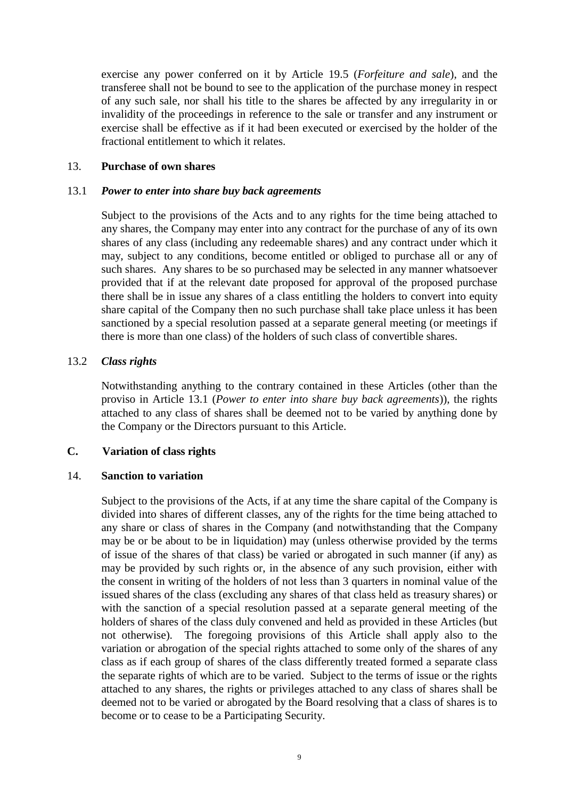exercise any power conferred on it by Article [19.5](#page-18-0) (*Forfeiture and sale*), and the transferee shall not be bound to see to the application of the purchase money in respect of any such sale, nor shall his title to the shares be affected by any irregularity in or invalidity of the proceedings in reference to the sale or transfer and any instrument or exercise shall be effective as if it had been executed or exercised by the holder of the fractional entitlement to which it relates.

## 13. **Purchase of own shares**

## <span id="page-14-0"></span>13.1 *Power to enter into share buy back agreements*

Subject to the provisions of the Acts and to any rights for the time being attached to any shares, the Company may enter into any contract for the purchase of any of its own shares of any class (including any redeemable shares) and any contract under which it may, subject to any conditions, become entitled or obliged to purchase all or any of such shares. Any shares to be so purchased may be selected in any manner whatsoever provided that if at the relevant date proposed for approval of the proposed purchase there shall be in issue any shares of a class entitling the holders to convert into equity share capital of the Company then no such purchase shall take place unless it has been sanctioned by a special resolution passed at a separate general meeting (or meetings if there is more than one class) of the holders of such class of convertible shares.

## 13.2 *Class rights*

Notwithstanding anything to the contrary contained in these Articles (other than the proviso in Article [13.1](#page-14-0) (*Power to enter into share buy back agreements*)), the rights attached to any class of shares shall be deemed not to be varied by anything done by the Company or the Directors pursuant to this Article.

## **C. Variation of class rights**

## 14. **Sanction to variation**

Subject to the provisions of the Acts, if at any time the share capital of the Company is divided into shares of different classes, any of the rights for the time being attached to any share or class of shares in the Company (and notwithstanding that the Company may be or be about to be in liquidation) may (unless otherwise provided by the terms of issue of the shares of that class) be varied or abrogated in such manner (if any) as may be provided by such rights or, in the absence of any such provision, either with the consent in writing of the holders of not less than 3 quarters in nominal value of the issued shares of the class (excluding any shares of that class held as treasury shares) or with the sanction of a special resolution passed at a separate general meeting of the holders of shares of the class duly convened and held as provided in these Articles (but not otherwise). The foregoing provisions of this Article shall apply also to the variation or abrogation of the special rights attached to some only of the shares of any class as if each group of shares of the class differently treated formed a separate class the separate rights of which are to be varied. Subject to the terms of issue or the rights attached to any shares, the rights or privileges attached to any class of shares shall be deemed not to be varied or abrogated by the Board resolving that a class of shares is to become or to cease to be a Participating Security.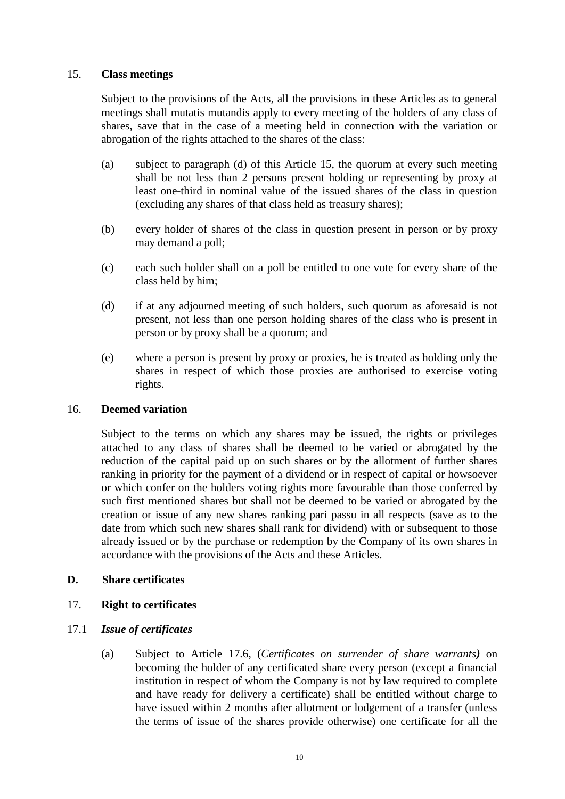## <span id="page-15-0"></span>15. **Class meetings**

Subject to the provisions of the Acts, all the provisions in these Articles as to general meetings shall mutatis mutandis apply to every meeting of the holders of any class of shares, save that in the case of a meeting held in connection with the variation or abrogation of the rights attached to the shares of the class:

- (a) subject to paragraph (d) of this Article 15, the quorum at every such meeting shall be not less than 2 persons present holding or representing by proxy at least one-third in nominal value of the issued shares of the class in question (excluding any shares of that class held as treasury shares);
- (b) every holder of shares of the class in question present in person or by proxy may demand a poll;
- (c) each such holder shall on a poll be entitled to one vote for every share of the class held by him;
- (d) if at any adjourned meeting of such holders, such quorum as aforesaid is not present, not less than one person holding shares of the class who is present in person or by proxy shall be a quorum; and
- (e) where a person is present by proxy or proxies, he is treated as holding only the shares in respect of which those proxies are authorised to exercise voting rights.

## 16. **Deemed variation**

Subject to the terms on which any shares may be issued, the rights or privileges attached to any class of shares shall be deemed to be varied or abrogated by the reduction of the capital paid up on such shares or by the allotment of further shares ranking in priority for the payment of a dividend or in respect of capital or howsoever or which confer on the holders voting rights more favourable than those conferred by such first mentioned shares but shall not be deemed to be varied or abrogated by the creation or issue of any new shares ranking pari passu in all respects (save as to the date from which such new shares shall rank for dividend) with or subsequent to those already issued or by the purchase or redemption by the Company of its own shares in accordance with the provisions of the Acts and these Articles.

## **D. Share certificates**

# 17. **Right to certificates**

# 17.1 *Issue of certificates*

(a) Subject to Article [17.6,](#page-16-0) (*Certificates on surrender of share warrants)* on becoming the holder of any certificated share every person (except a financial institution in respect of whom the Company is not by law required to complete and have ready for delivery a certificate) shall be entitled without charge to have issued within 2 months after allotment or lodgement of a transfer (unless the terms of issue of the shares provide otherwise) one certificate for all the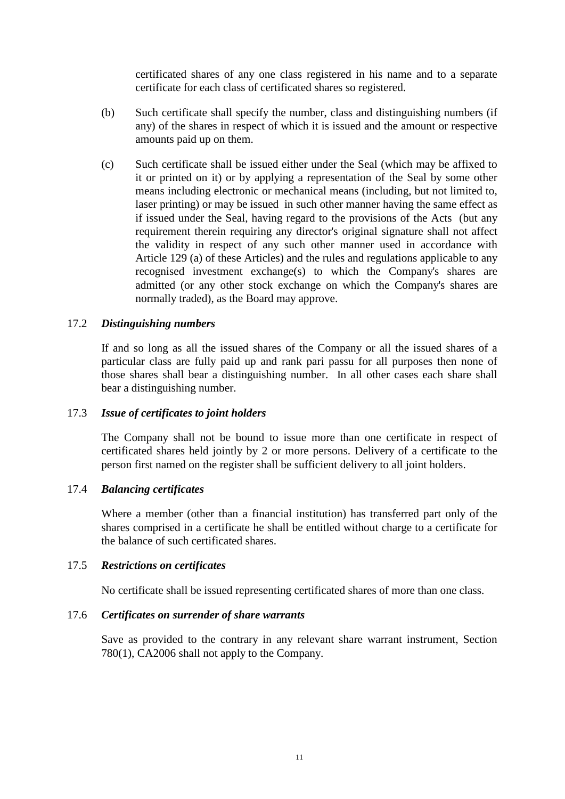certificated shares of any one class registered in his name and to a separate certificate for each class of certificated shares so registered.

- (b) Such certificate shall specify the number, class and distinguishing numbers (if any) of the shares in respect of which it is issued and the amount or respective amounts paid up on them.
- (c) Such certificate shall be issued either under the Seal (which may be affixed to it or printed on it) or by applying a representation of the Seal by some other means including electronic or mechanical means (including, but not limited to, laser printing) or may be issued in such other manner having the same effect as if issued under the Seal, having regard to the provisions of the Acts (but any requirement therein requiring any director's original signature shall not affect the validity in respect of any such other manner used in accordance with Article 129 (a) of these Articles) and the rules and regulations applicable to any recognised investment exchange(s) to which the Company's shares are admitted (or any other stock exchange on which the Company's shares are normally traded), as the Board may approve.

## 17.2 *Distinguishing numbers*

If and so long as all the issued shares of the Company or all the issued shares of a particular class are fully paid up and rank pari passu for all purposes then none of those shares shall bear a distinguishing number. In all other cases each share shall bear a distinguishing number.

## 17.3 *Issue of certificates to joint holders*

The Company shall not be bound to issue more than one certificate in respect of certificated shares held jointly by 2 or more persons. Delivery of a certificate to the person first named on the register shall be sufficient delivery to all joint holders.

## 17.4 *Balancing certificates*

Where a member (other than a financial institution) has transferred part only of the shares comprised in a certificate he shall be entitled without charge to a certificate for the balance of such certificated shares.

## 17.5 *Restrictions on certificates*

No certificate shall be issued representing certificated shares of more than one class.

## <span id="page-16-0"></span>17.6 *Certificates on surrender of share warrants*

Save as provided to the contrary in any relevant share warrant instrument, Section 780(1), CA2006 shall not apply to the Company.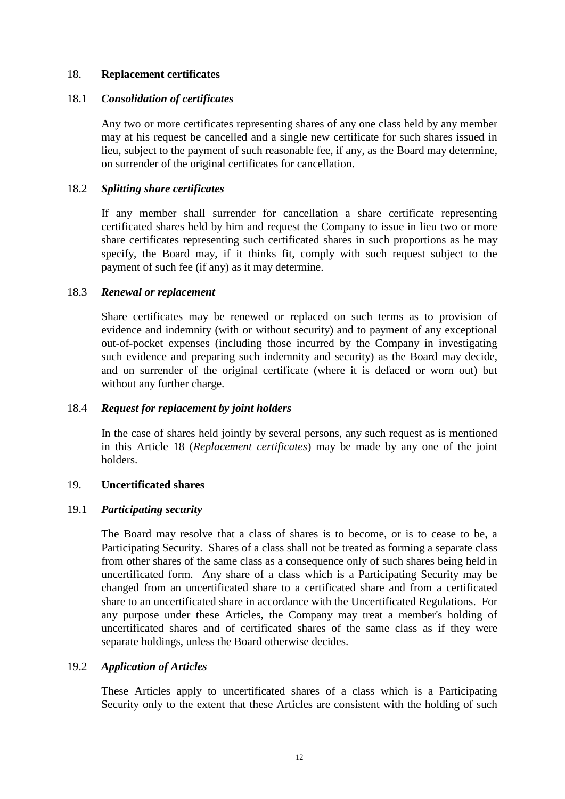## 18. **Replacement certificates**

#### 18.1 *Consolidation of certificates*

Any two or more certificates representing shares of any one class held by any member may at his request be cancelled and a single new certificate for such shares issued in lieu, subject to the payment of such reasonable fee, if any, as the Board may determine, on surrender of the original certificates for cancellation.

## 18.2 *Splitting share certificates*

If any member shall surrender for cancellation a share certificate representing certificated shares held by him and request the Company to issue in lieu two or more share certificates representing such certificated shares in such proportions as he may specify, the Board may, if it thinks fit, comply with such request subject to the payment of such fee (if any) as it may determine.

#### 18.3 *Renewal or replacement*

Share certificates may be renewed or replaced on such terms as to provision of evidence and indemnity (with or without security) and to payment of any exceptional out-of-pocket expenses (including those incurred by the Company in investigating such evidence and preparing such indemnity and security) as the Board may decide, and on surrender of the original certificate (where it is defaced or worn out) but without any further charge.

## 18.4 *Request for replacement by joint holders*

In the case of shares held jointly by several persons, any such request as is mentioned in this Article 18 (*Replacement certificates*) may be made by any one of the joint holders.

## 19. **Uncertificated shares**

#### 19.1 *Participating security*

The Board may resolve that a class of shares is to become, or is to cease to be, a Participating Security. Shares of a class shall not be treated as forming a separate class from other shares of the same class as a consequence only of such shares being held in uncertificated form. Any share of a class which is a Participating Security may be changed from an uncertificated share to a certificated share and from a certificated share to an uncertificated share in accordance with the Uncertificated Regulations. For any purpose under these Articles, the Company may treat a member's holding of uncertificated shares and of certificated shares of the same class as if they were separate holdings, unless the Board otherwise decides.

## <span id="page-17-0"></span>19.2 *Application of Articles*

These Articles apply to uncertificated shares of a class which is a Participating Security only to the extent that these Articles are consistent with the holding of such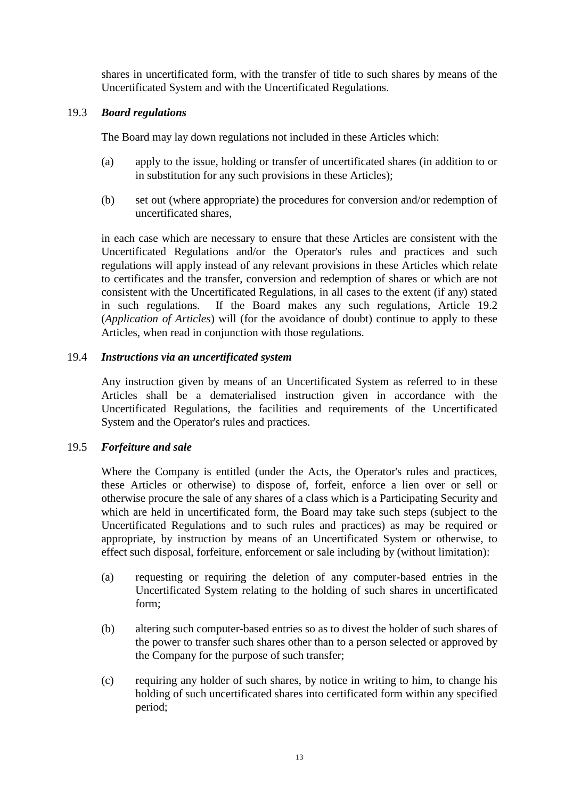shares in uncertificated form, with the transfer of title to such shares by means of the Uncertificated System and with the Uncertificated Regulations.

## 19.3 *Board regulations*

The Board may lay down regulations not included in these Articles which:

- (a) apply to the issue, holding or transfer of uncertificated shares (in addition to or in substitution for any such provisions in these Articles);
- (b) set out (where appropriate) the procedures for conversion and/or redemption of uncertificated shares,

in each case which are necessary to ensure that these Articles are consistent with the Uncertificated Regulations and/or the Operator's rules and practices and such regulations will apply instead of any relevant provisions in these Articles which relate to certificates and the transfer, conversion and redemption of shares or which are not consistent with the Uncertificated Regulations, in all cases to the extent (if any) stated in such regulations. If the Board makes any such regulations, Article [19.2](#page-17-0) (*Application of Articles*) will (for the avoidance of doubt) continue to apply to these Articles, when read in conjunction with those regulations.

## 19.4 *Instructions via an uncertificated system*

Any instruction given by means of an Uncertificated System as referred to in these Articles shall be a dematerialised instruction given in accordance with the Uncertificated Regulations, the facilities and requirements of the Uncertificated System and the Operator's rules and practices.

## <span id="page-18-0"></span>19.5 *Forfeiture and sale*

Where the Company is entitled (under the Acts, the Operator's rules and practices, these Articles or otherwise) to dispose of, forfeit, enforce a lien over or sell or otherwise procure the sale of any shares of a class which is a Participating Security and which are held in uncertificated form, the Board may take such steps (subject to the Uncertificated Regulations and to such rules and practices) as may be required or appropriate, by instruction by means of an Uncertificated System or otherwise, to effect such disposal, forfeiture, enforcement or sale including by (without limitation):

- (a) requesting or requiring the deletion of any computer-based entries in the Uncertificated System relating to the holding of such shares in uncertificated form;
- (b) altering such computer-based entries so as to divest the holder of such shares of the power to transfer such shares other than to a person selected or approved by the Company for the purpose of such transfer;
- (c) requiring any holder of such shares, by notice in writing to him, to change his holding of such uncertificated shares into certificated form within any specified period;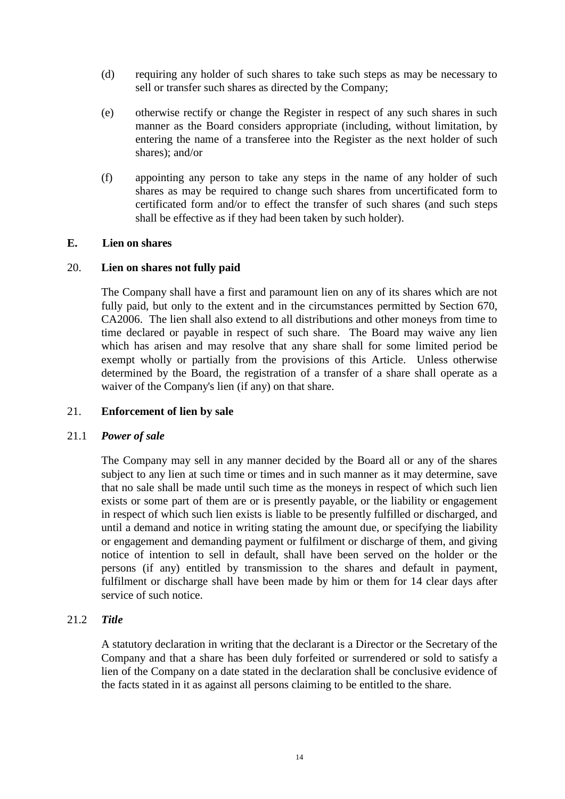- (d) requiring any holder of such shares to take such steps as may be necessary to sell or transfer such shares as directed by the Company;
- (e) otherwise rectify or change the Register in respect of any such shares in such manner as the Board considers appropriate (including, without limitation, by entering the name of a transferee into the Register as the next holder of such shares); and/or
- (f) appointing any person to take any steps in the name of any holder of such shares as may be required to change such shares from uncertificated form to certificated form and/or to effect the transfer of such shares (and such steps shall be effective as if they had been taken by such holder).

## **E. Lien on shares**

## 20. **Lien on shares not fully paid**

The Company shall have a first and paramount lien on any of its shares which are not fully paid, but only to the extent and in the circumstances permitted by Section 670, CA2006. The lien shall also extend to all distributions and other moneys from time to time declared or payable in respect of such share. The Board may waive any lien which has arisen and may resolve that any share shall for some limited period be exempt wholly or partially from the provisions of this Article. Unless otherwise determined by the Board, the registration of a transfer of a share shall operate as a waiver of the Company's lien (if any) on that share.

## 21. **Enforcement of lien by sale**

#### 21.1 *Power of sale*

The Company may sell in any manner decided by the Board all or any of the shares subject to any lien at such time or times and in such manner as it may determine, save that no sale shall be made until such time as the moneys in respect of which such lien exists or some part of them are or is presently payable, or the liability or engagement in respect of which such lien exists is liable to be presently fulfilled or discharged, and until a demand and notice in writing stating the amount due, or specifying the liability or engagement and demanding payment or fulfilment or discharge of them, and giving notice of intention to sell in default, shall have been served on the holder or the persons (if any) entitled by transmission to the shares and default in payment, fulfilment or discharge shall have been made by him or them for 14 clear days after service of such notice.

## 21.2 *Title*

A statutory declaration in writing that the declarant is a Director or the Secretary of the Company and that a share has been duly forfeited or surrendered or sold to satisfy a lien of the Company on a date stated in the declaration shall be conclusive evidence of the facts stated in it as against all persons claiming to be entitled to the share.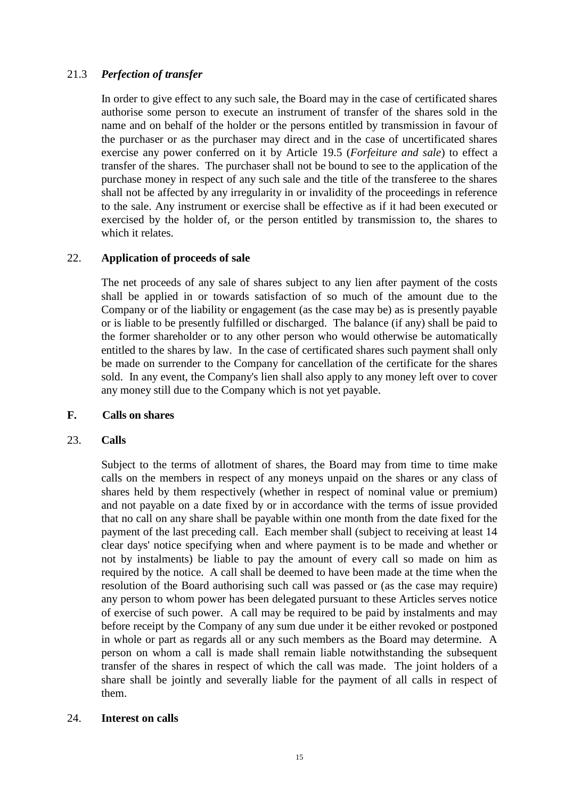# 21.3 *Perfection of transfer*

In order to give effect to any such sale, the Board may in the case of certificated shares authorise some person to execute an instrument of transfer of the shares sold in the name and on behalf of the holder or the persons entitled by transmission in favour of the purchaser or as the purchaser may direct and in the case of uncertificated shares exercise any power conferred on it by Article [19.5](#page-18-0) (*Forfeiture and sale*) to effect a transfer of the shares. The purchaser shall not be bound to see to the application of the purchase money in respect of any such sale and the title of the transferee to the shares shall not be affected by any irregularity in or invalidity of the proceedings in reference to the sale. Any instrument or exercise shall be effective as if it had been executed or exercised by the holder of, or the person entitled by transmission to, the shares to which it relates.

## 22. **Application of proceeds of sale**

The net proceeds of any sale of shares subject to any lien after payment of the costs shall be applied in or towards satisfaction of so much of the amount due to the Company or of the liability or engagement (as the case may be) as is presently payable or is liable to be presently fulfilled or discharged. The balance (if any) shall be paid to the former shareholder or to any other person who would otherwise be automatically entitled to the shares by law. In the case of certificated shares such payment shall only be made on surrender to the Company for cancellation of the certificate for the shares sold. In any event, the Company's lien shall also apply to any money left over to cover any money still due to the Company which is not yet payable.

## **F. Calls on shares**

## 23. **Calls**

Subject to the terms of allotment of shares, the Board may from time to time make calls on the members in respect of any moneys unpaid on the shares or any class of shares held by them respectively (whether in respect of nominal value or premium) and not payable on a date fixed by or in accordance with the terms of issue provided that no call on any share shall be payable within one month from the date fixed for the payment of the last preceding call. Each member shall (subject to receiving at least 14 clear days' notice specifying when and where payment is to be made and whether or not by instalments) be liable to pay the amount of every call so made on him as required by the notice. A call shall be deemed to have been made at the time when the resolution of the Board authorising such call was passed or (as the case may require) any person to whom power has been delegated pursuant to these Articles serves notice of exercise of such power. A call may be required to be paid by instalments and may before receipt by the Company of any sum due under it be either revoked or postponed in whole or part as regards all or any such members as the Board may determine. A person on whom a call is made shall remain liable notwithstanding the subsequent transfer of the shares in respect of which the call was made. The joint holders of a share shall be jointly and severally liable for the payment of all calls in respect of them.

## 24. **Interest on calls**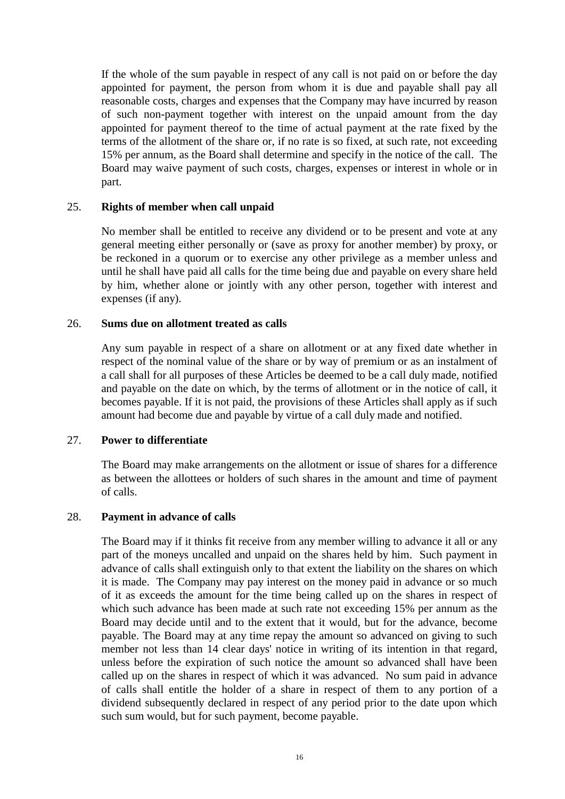If the whole of the sum payable in respect of any call is not paid on or before the day appointed for payment, the person from whom it is due and payable shall pay all reasonable costs, charges and expenses that the Company may have incurred by reason of such non-payment together with interest on the unpaid amount from the day appointed for payment thereof to the time of actual payment at the rate fixed by the terms of the allotment of the share or, if no rate is so fixed, at such rate, not exceeding 15% per annum, as the Board shall determine and specify in the notice of the call. The Board may waive payment of such costs, charges, expenses or interest in whole or in part.

## 25. **Rights of member when call unpaid**

No member shall be entitled to receive any dividend or to be present and vote at any general meeting either personally or (save as proxy for another member) by proxy, or be reckoned in a quorum or to exercise any other privilege as a member unless and until he shall have paid all calls for the time being due and payable on every share held by him, whether alone or jointly with any other person, together with interest and expenses (if any).

## 26. **Sums due on allotment treated as calls**

Any sum payable in respect of a share on allotment or at any fixed date whether in respect of the nominal value of the share or by way of premium or as an instalment of a call shall for all purposes of these Articles be deemed to be a call duly made, notified and payable on the date on which, by the terms of allotment or in the notice of call, it becomes payable. If it is not paid, the provisions of these Articles shall apply as if such amount had become due and payable by virtue of a call duly made and notified.

## 27. **Power to differentiate**

The Board may make arrangements on the allotment or issue of shares for a difference as between the allottees or holders of such shares in the amount and time of payment of calls.

## 28. **Payment in advance of calls**

The Board may if it thinks fit receive from any member willing to advance it all or any part of the moneys uncalled and unpaid on the shares held by him. Such payment in advance of calls shall extinguish only to that extent the liability on the shares on which it is made. The Company may pay interest on the money paid in advance or so much of it as exceeds the amount for the time being called up on the shares in respect of which such advance has been made at such rate not exceeding 15% per annum as the Board may decide until and to the extent that it would, but for the advance, become payable. The Board may at any time repay the amount so advanced on giving to such member not less than 14 clear days' notice in writing of its intention in that regard, unless before the expiration of such notice the amount so advanced shall have been called up on the shares in respect of which it was advanced. No sum paid in advance of calls shall entitle the holder of a share in respect of them to any portion of a dividend subsequently declared in respect of any period prior to the date upon which such sum would, but for such payment, become payable.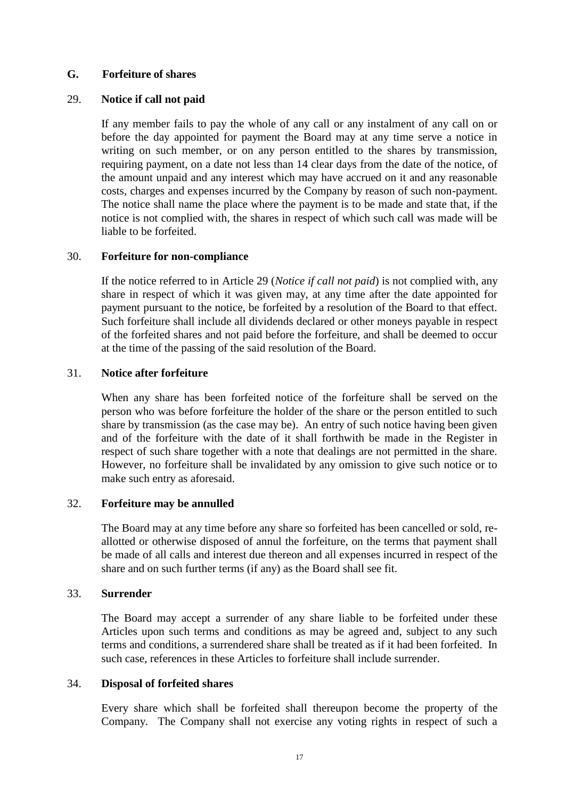## **G. Forfeiture of shares**

## 29. **Notice if call not paid**

If any member fails to pay the whole of any call or any instalment of any call on or before the day appointed for payment the Board may at any time serve a notice in writing on such member, or on any person entitled to the shares by transmission, requiring payment, on a date not less than 14 clear days from the date of the notice, of the amount unpaid and any interest which may have accrued on it and any reasonable costs, charges and expenses incurred by the Company by reason of such non-payment. The notice shall name the place where the payment is to be made and state that, if the notice is not complied with, the shares in respect of which such call was made will be liable to be forfeited.

## 30. **Forfeiture for non-compliance**

If the notice referred to in Article 29 (*Notice if call not paid*) is not complied with, any share in respect of which it was given may, at any time after the date appointed for payment pursuant to the notice, be forfeited by a resolution of the Board to that effect. Such forfeiture shall include all dividends declared or other moneys payable in respect of the forfeited shares and not paid before the forfeiture, and shall be deemed to occur at the time of the passing of the said resolution of the Board.

## 31. **Notice after forfeiture**

When any share has been forfeited notice of the forfeiture shall be served on the person who was before forfeiture the holder of the share or the person entitled to such share by transmission (as the case may be). An entry of such notice having been given and of the forfeiture with the date of it shall forthwith be made in the Register in respect of such share together with a note that dealings are not permitted in the share. However, no forfeiture shall be invalidated by any omission to give such notice or to make such entry as aforesaid.

## 32. **Forfeiture may be annulled**

The Board may at any time before any share so forfeited has been cancelled or sold, reallotted or otherwise disposed of annul the forfeiture, on the terms that payment shall be made of all calls and interest due thereon and all expenses incurred in respect of the share and on such further terms (if any) as the Board shall see fit.

## 33. **Surrender**

The Board may accept a surrender of any share liable to be forfeited under these Articles upon such terms and conditions as may be agreed and, subject to any such terms and conditions, a surrendered share shall be treated as if it had been forfeited. In such case, references in these Articles to forfeiture shall include surrender.

## 34. **Disposal of forfeited shares**

Every share which shall be forfeited shall thereupon become the property of the Company. The Company shall not exercise any voting rights in respect of such a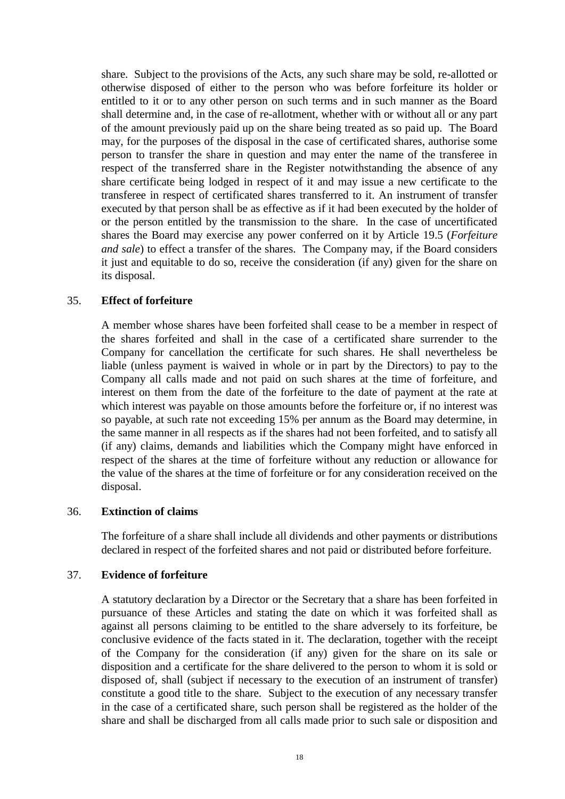share. Subject to the provisions of the Acts, any such share may be sold, re-allotted or otherwise disposed of either to the person who was before forfeiture its holder or entitled to it or to any other person on such terms and in such manner as the Board shall determine and, in the case of re-allotment, whether with or without all or any part of the amount previously paid up on the share being treated as so paid up. The Board may, for the purposes of the disposal in the case of certificated shares, authorise some person to transfer the share in question and may enter the name of the transferee in respect of the transferred share in the Register notwithstanding the absence of any share certificate being lodged in respect of it and may issue a new certificate to the transferee in respect of certificated shares transferred to it. An instrument of transfer executed by that person shall be as effective as if it had been executed by the holder of or the person entitled by the transmission to the share. In the case of uncertificated shares the Board may exercise any power conferred on it by Article [19.5](#page-18-0) (*Forfeiture and sale*) to effect a transfer of the shares. The Company may, if the Board considers it just and equitable to do so, receive the consideration (if any) given for the share on its disposal.

## 35. **Effect of forfeiture**

A member whose shares have been forfeited shall cease to be a member in respect of the shares forfeited and shall in the case of a certificated share surrender to the Company for cancellation the certificate for such shares. He shall nevertheless be liable (unless payment is waived in whole or in part by the Directors) to pay to the Company all calls made and not paid on such shares at the time of forfeiture, and interest on them from the date of the forfeiture to the date of payment at the rate at which interest was payable on those amounts before the forfeiture or, if no interest was so payable, at such rate not exceeding 15% per annum as the Board may determine, in the same manner in all respects as if the shares had not been forfeited, and to satisfy all (if any) claims, demands and liabilities which the Company might have enforced in respect of the shares at the time of forfeiture without any reduction or allowance for the value of the shares at the time of forfeiture or for any consideration received on the disposal.

## 36. **Extinction of claims**

The forfeiture of a share shall include all dividends and other payments or distributions declared in respect of the forfeited shares and not paid or distributed before forfeiture.

## 37. **Evidence of forfeiture**

A statutory declaration by a Director or the Secretary that a share has been forfeited in pursuance of these Articles and stating the date on which it was forfeited shall as against all persons claiming to be entitled to the share adversely to its forfeiture, be conclusive evidence of the facts stated in it. The declaration, together with the receipt of the Company for the consideration (if any) given for the share on its sale or disposition and a certificate for the share delivered to the person to whom it is sold or disposed of, shall (subject if necessary to the execution of an instrument of transfer) constitute a good title to the share. Subject to the execution of any necessary transfer in the case of a certificated share, such person shall be registered as the holder of the share and shall be discharged from all calls made prior to such sale or disposition and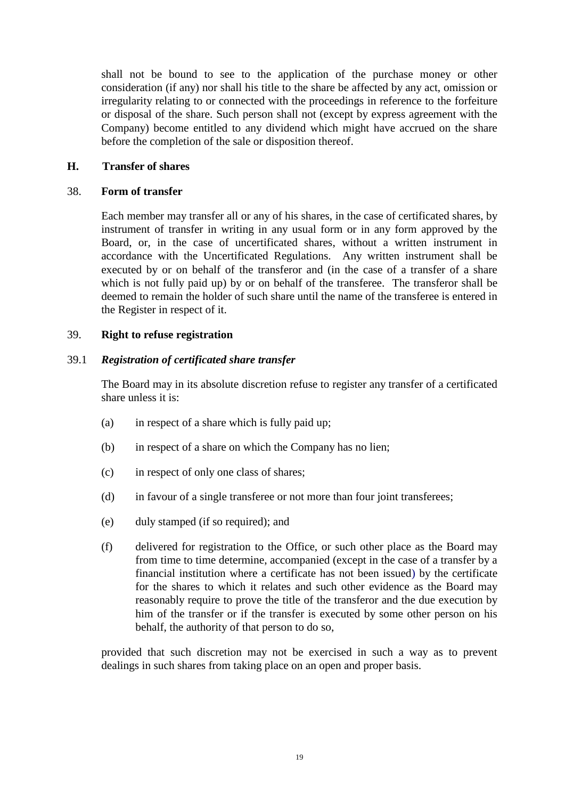shall not be bound to see to the application of the purchase money or other consideration (if any) nor shall his title to the share be affected by any act, omission or irregularity relating to or connected with the proceedings in reference to the forfeiture or disposal of the share. Such person shall not (except by express agreement with the Company) become entitled to any dividend which might have accrued on the share before the completion of the sale or disposition thereof.

## **H. Transfer of shares**

## 38. **Form of transfer**

Each member may transfer all or any of his shares, in the case of certificated shares, by instrument of transfer in writing in any usual form or in any form approved by the Board, or, in the case of uncertificated shares, without a written instrument in accordance with the Uncertificated Regulations. Any written instrument shall be executed by or on behalf of the transferor and (in the case of a transfer of a share which is not fully paid up) by or on behalf of the transferee. The transferor shall be deemed to remain the holder of such share until the name of the transferee is entered in the Register in respect of it.

## 39. **Right to refuse registration**

## 39.1 *Registration of certificated share transfer*

The Board may in its absolute discretion refuse to register any transfer of a certificated share unless it is:

- (a) in respect of a share which is fully paid up;
- (b) in respect of a share on which the Company has no lien;
- (c) in respect of only one class of shares;
- (d) in favour of a single transferee or not more than four joint transferees;
- (e) duly stamped (if so required); and
- (f) delivered for registration to the Office, or such other place as the Board may from time to time determine, accompanied (except in the case of a transfer by a financial institution where a certificate has not been issued) by the certificate for the shares to which it relates and such other evidence as the Board may reasonably require to prove the title of the transferor and the due execution by him of the transfer or if the transfer is executed by some other person on his behalf, the authority of that person to do so,

provided that such discretion may not be exercised in such a way as to prevent dealings in such shares from taking place on an open and proper basis.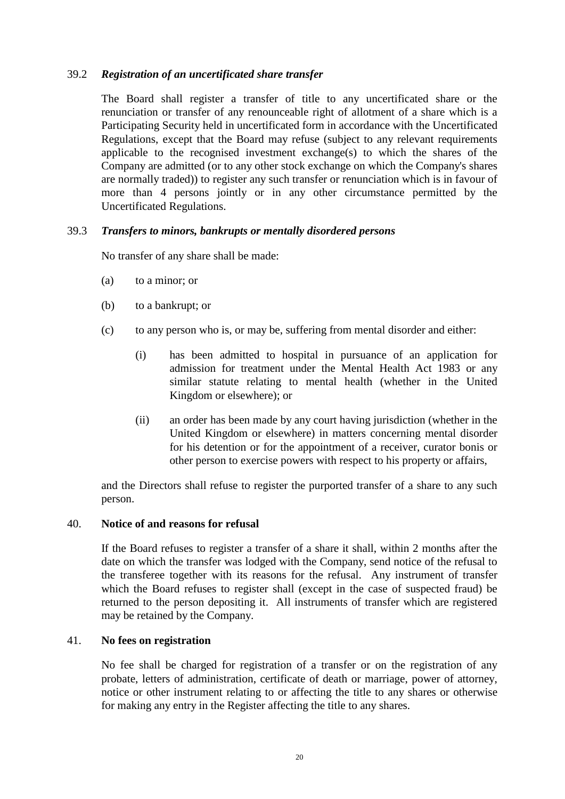# 39.2 *Registration of an uncertificated share transfer*

The Board shall register a transfer of title to any uncertificated share or the renunciation or transfer of any renounceable right of allotment of a share which is a Participating Security held in uncertificated form in accordance with the Uncertificated Regulations, except that the Board may refuse (subject to any relevant requirements applicable to the recognised investment exchange(s) to which the shares of the Company are admitted (or to any other stock exchange on which the Company's shares are normally traded)) to register any such transfer or renunciation which is in favour of more than 4 persons jointly or in any other circumstance permitted by the Uncertificated Regulations.

## 39.3 *Transfers to minors, bankrupts or mentally disordered persons*

No transfer of any share shall be made:

- (a) to a minor; or
- (b) to a bankrupt; or
- (c) to any person who is, or may be, suffering from mental disorder and either:
	- (i) has been admitted to hospital in pursuance of an application for admission for treatment under the Mental Health Act 1983 or any similar statute relating to mental health (whether in the United Kingdom or elsewhere); or
	- (ii) an order has been made by any court having jurisdiction (whether in the United Kingdom or elsewhere) in matters concerning mental disorder for his detention or for the appointment of a receiver, curator bonis or other person to exercise powers with respect to his property or affairs,

and the Directors shall refuse to register the purported transfer of a share to any such person.

## 40. **Notice of and reasons for refusal**

If the Board refuses to register a transfer of a share it shall, within 2 months after the date on which the transfer was lodged with the Company, send notice of the refusal to the transferee together with its reasons for the refusal. Any instrument of transfer which the Board refuses to register shall (except in the case of suspected fraud) be returned to the person depositing it. All instruments of transfer which are registered may be retained by the Company.

## 41. **No fees on registration**

No fee shall be charged for registration of a transfer or on the registration of any probate, letters of administration, certificate of death or marriage, power of attorney, notice or other instrument relating to or affecting the title to any shares or otherwise for making any entry in the Register affecting the title to any shares.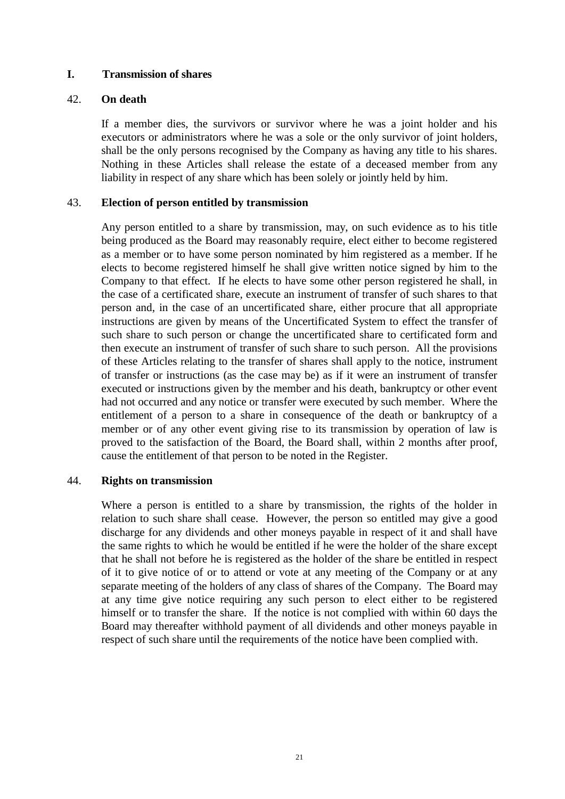## **I. Transmission of shares**

## 42. **On death**

If a member dies, the survivors or survivor where he was a joint holder and his executors or administrators where he was a sole or the only survivor of joint holders, shall be the only persons recognised by the Company as having any title to his shares. Nothing in these Articles shall release the estate of a deceased member from any liability in respect of any share which has been solely or jointly held by him.

## 43. **Election of person entitled by transmission**

Any person entitled to a share by transmission, may, on such evidence as to his title being produced as the Board may reasonably require, elect either to become registered as a member or to have some person nominated by him registered as a member. If he elects to become registered himself he shall give written notice signed by him to the Company to that effect. If he elects to have some other person registered he shall, in the case of a certificated share, execute an instrument of transfer of such shares to that person and, in the case of an uncertificated share, either procure that all appropriate instructions are given by means of the Uncertificated System to effect the transfer of such share to such person or change the uncertificated share to certificated form and then execute an instrument of transfer of such share to such person. All the provisions of these Articles relating to the transfer of shares shall apply to the notice, instrument of transfer or instructions (as the case may be) as if it were an instrument of transfer executed or instructions given by the member and his death, bankruptcy or other event had not occurred and any notice or transfer were executed by such member. Where the entitlement of a person to a share in consequence of the death or bankruptcy of a member or of any other event giving rise to its transmission by operation of law is proved to the satisfaction of the Board, the Board shall, within 2 months after proof, cause the entitlement of that person to be noted in the Register.

## 44. **Rights on transmission**

Where a person is entitled to a share by transmission, the rights of the holder in relation to such share shall cease. However, the person so entitled may give a good discharge for any dividends and other moneys payable in respect of it and shall have the same rights to which he would be entitled if he were the holder of the share except that he shall not before he is registered as the holder of the share be entitled in respect of it to give notice of or to attend or vote at any meeting of the Company or at any separate meeting of the holders of any class of shares of the Company. The Board may at any time give notice requiring any such person to elect either to be registered himself or to transfer the share. If the notice is not complied with within 60 days the Board may thereafter withhold payment of all dividends and other moneys payable in respect of such share until the requirements of the notice have been complied with.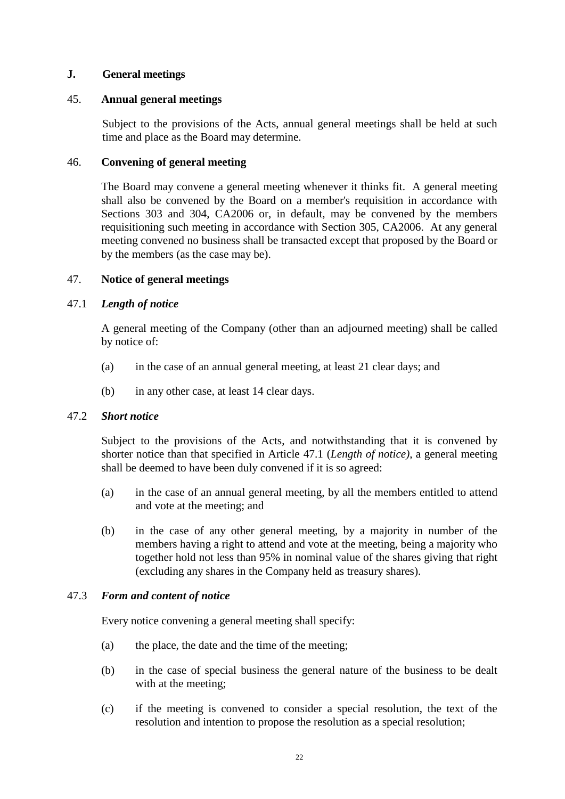## **J. General meetings**

## 45. **Annual general meetings**

Subject to the provisions of the Acts, annual general meetings shall be held at such time and place as the Board may determine.

## 46. **Convening of general meeting**

The Board may convene a general meeting whenever it thinks fit. A general meeting shall also be convened by the Board on a member's requisition in accordance with Sections 303 and 304, CA2006 or, in default, may be convened by the members requisitioning such meeting in accordance with Section 305, CA2006. At any general meeting convened no business shall be transacted except that proposed by the Board or by the members (as the case may be).

## 47. **Notice of general meetings**

## <span id="page-27-0"></span>47.1 *Length of notice*

A general meeting of the Company (other than an adjourned meeting) shall be called by notice of:

- (a) in the case of an annual general meeting, at least 21 clear days; and
- (b) in any other case, at least 14 clear days.

## 47.2 *Short notice*

Subject to the provisions of the Acts, and notwithstanding that it is convened by shorter notice than that specified in Article [47.1](#page-27-0) (*Length of notice)*, a general meeting shall be deemed to have been duly convened if it is so agreed:

- (a) in the case of an annual general meeting, by all the members entitled to attend and vote at the meeting; and
- (b) in the case of any other general meeting, by a majority in number of the members having a right to attend and vote at the meeting, being a majority who together hold not less than 95% in nominal value of the shares giving that right (excluding any shares in the Company held as treasury shares).

# 47.3 *Form and content of notice*

Every notice convening a general meeting shall specify:

- (a) the place, the date and the time of the meeting;
- (b) in the case of special business the general nature of the business to be dealt with at the meeting;
- (c) if the meeting is convened to consider a special resolution, the text of the resolution and intention to propose the resolution as a special resolution;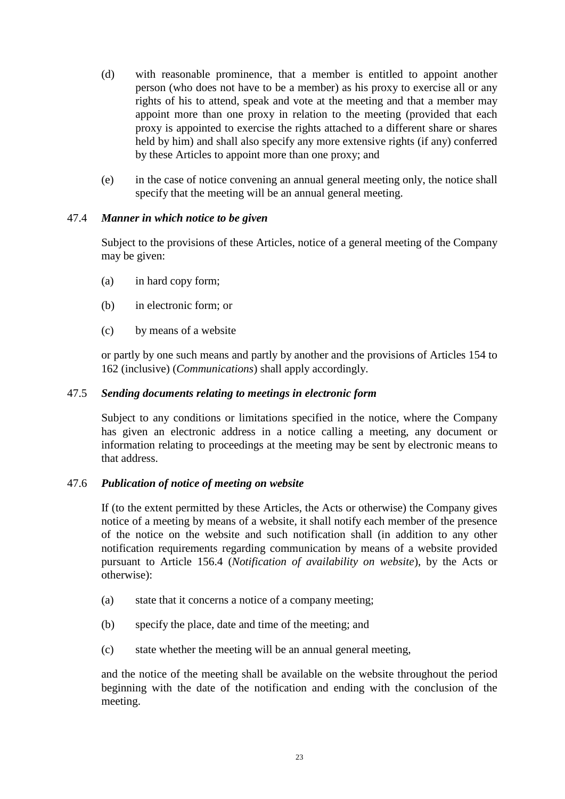- (d) with reasonable prominence, that a member is entitled to appoint another person (who does not have to be a member) as his proxy to exercise all or any rights of his to attend, speak and vote at the meeting and that a member may appoint more than one proxy in relation to the meeting (provided that each proxy is appointed to exercise the rights attached to a different share or shares held by him) and shall also specify any more extensive rights (if any) conferred by these Articles to appoint more than one proxy; and
- (e) in the case of notice convening an annual general meeting only, the notice shall specify that the meeting will be an annual general meeting.

## 47.4 *Manner in which notice to be given*

Subject to the provisions of these Articles, notice of a general meeting of the Company may be given:

- (a) in hard copy form;
- (b) in electronic form; or
- (c) by means of a website

or partly by one such means and partly by another and the provisions of Articles 154 to [162](#page-88-0) (inclusive) (*Communications*) shall apply accordingly.

## 47.5 *Sending documents relating to meetings in electronic form*

Subject to any conditions or limitations specified in the notice, where the Company has given an electronic address in a notice calling a meeting, any document or information relating to proceedings at the meeting may be sent by electronic means to that address.

## 47.6 *Publication of notice of meeting on website*

If (to the extent permitted by these Articles, the Acts or otherwise) the Company gives notice of a meeting by means of a website, it shall notify each member of the presence of the notice on the website and such notification shall (in addition to any other notification requirements regarding communication by means of a website provided pursuant to Article [156.4](#page-84-0) (*Notification of availability on website*), by the Acts or otherwise):

- (a) state that it concerns a notice of a company meeting;
- (b) specify the place, date and time of the meeting; and
- (c) state whether the meeting will be an annual general meeting,

and the notice of the meeting shall be available on the website throughout the period beginning with the date of the notification and ending with the conclusion of the meeting.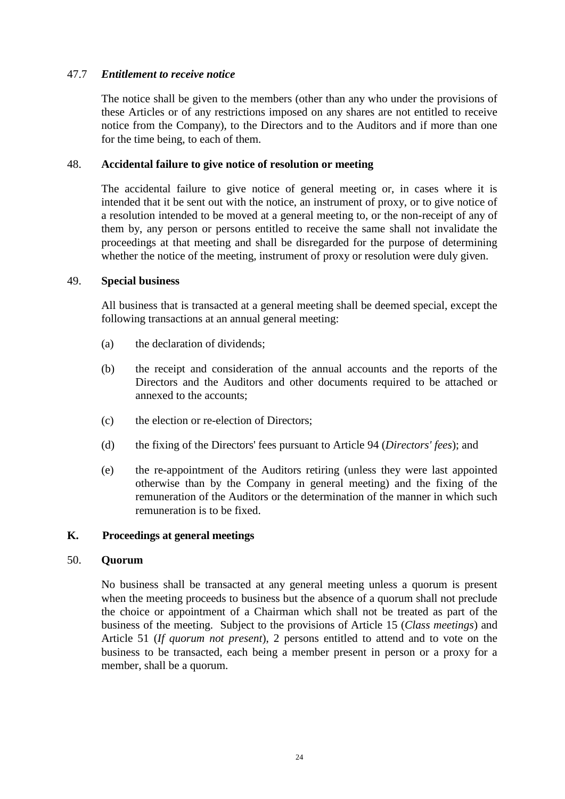## 47.7 *Entitlement to receive notice*

The notice shall be given to the members (other than any who under the provisions of these Articles or of any restrictions imposed on any shares are not entitled to receive notice from the Company), to the Directors and to the Auditors and if more than one for the time being, to each of them.

## 48. **Accidental failure to give notice of resolution or meeting**

The accidental failure to give notice of general meeting or, in cases where it is intended that it be sent out with the notice, an instrument of proxy, or to give notice of a resolution intended to be moved at a general meeting to, or the non-receipt of any of them by, any person or persons entitled to receive the same shall not invalidate the proceedings at that meeting and shall be disregarded for the purpose of determining whether the notice of the meeting, instrument of proxy or resolution were duly given.

## 49. **Special business**

All business that is transacted at a general meeting shall be deemed special, except the following transactions at an annual general meeting:

- (a) the declaration of dividends;
- (b) the receipt and consideration of the annual accounts and the reports of the Directors and the Auditors and other documents required to be attached or annexed to the accounts;
- (c) the election or re-election of Directors;
- (d) the fixing of the Directors' fees pursuant to Article [94](#page-48-0) (*Directors' fees*); and
- (e) the re-appointment of the Auditors retiring (unless they were last appointed otherwise than by the Company in general meeting) and the fixing of the remuneration of the Auditors or the determination of the manner in which such remuneration is to be fixed.

## **K. Proceedings at general meetings**

## 50. **Quorum**

No business shall be transacted at any general meeting unless a quorum is present when the meeting proceeds to business but the absence of a quorum shall not preclude the choice or appointment of a Chairman which shall not be treated as part of the business of the meeting. Subject to the provisions of Article [15](#page-15-0) (*Class meetings*) and Article [51](#page-30-0) (*If quorum not present*), 2 persons entitled to attend and to vote on the business to be transacted, each being a member present in person or a proxy for a member, shall be a quorum.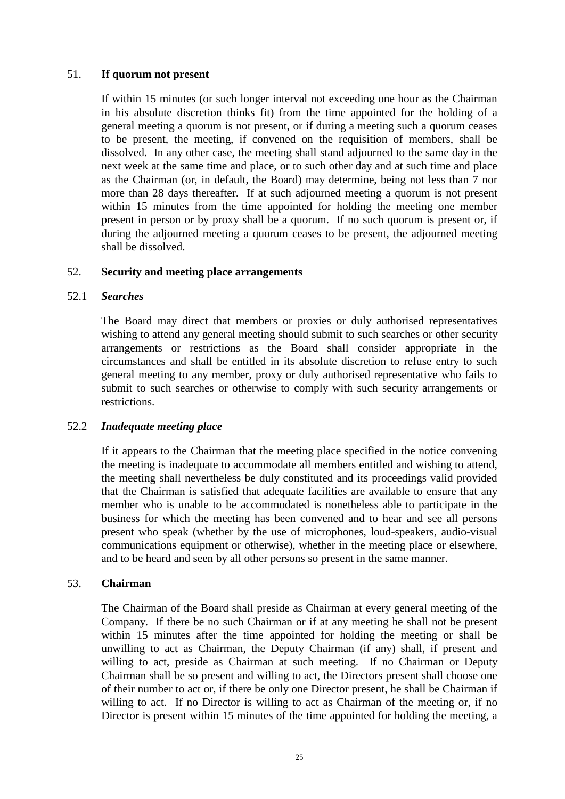## <span id="page-30-0"></span>51. **If quorum not present**

If within 15 minutes (or such longer interval not exceeding one hour as the Chairman in his absolute discretion thinks fit) from the time appointed for the holding of a general meeting a quorum is not present, or if during a meeting such a quorum ceases to be present, the meeting, if convened on the requisition of members, shall be dissolved. In any other case, the meeting shall stand adjourned to the same day in the next week at the same time and place, or to such other day and at such time and place as the Chairman (or, in default, the Board) may determine, being not less than 7 nor more than 28 days thereafter. If at such adjourned meeting a quorum is not present within 15 minutes from the time appointed for holding the meeting one member present in person or by proxy shall be a quorum. If no such quorum is present or, if during the adjourned meeting a quorum ceases to be present, the adjourned meeting shall be dissolved.

## 52. **Security and meeting place arrangements**

## 52.1 *Searches*

The Board may direct that members or proxies or duly authorised representatives wishing to attend any general meeting should submit to such searches or other security arrangements or restrictions as the Board shall consider appropriate in the circumstances and shall be entitled in its absolute discretion to refuse entry to such general meeting to any member, proxy or duly authorised representative who fails to submit to such searches or otherwise to comply with such security arrangements or restrictions.

## 52.2 *Inadequate meeting place*

If it appears to the Chairman that the meeting place specified in the notice convening the meeting is inadequate to accommodate all members entitled and wishing to attend, the meeting shall nevertheless be duly constituted and its proceedings valid provided that the Chairman is satisfied that adequate facilities are available to ensure that any member who is unable to be accommodated is nonetheless able to participate in the business for which the meeting has been convened and to hear and see all persons present who speak (whether by the use of microphones, loud-speakers, audio-visual communications equipment or otherwise), whether in the meeting place or elsewhere, and to be heard and seen by all other persons so present in the same manner.

## 53. **Chairman**

The Chairman of the Board shall preside as Chairman at every general meeting of the Company. If there be no such Chairman or if at any meeting he shall not be present within 15 minutes after the time appointed for holding the meeting or shall be unwilling to act as Chairman, the Deputy Chairman (if any) shall, if present and willing to act, preside as Chairman at such meeting. If no Chairman or Deputy Chairman shall be so present and willing to act, the Directors present shall choose one of their number to act or, if there be only one Director present, he shall be Chairman if willing to act. If no Director is willing to act as Chairman of the meeting or, if no Director is present within 15 minutes of the time appointed for holding the meeting, a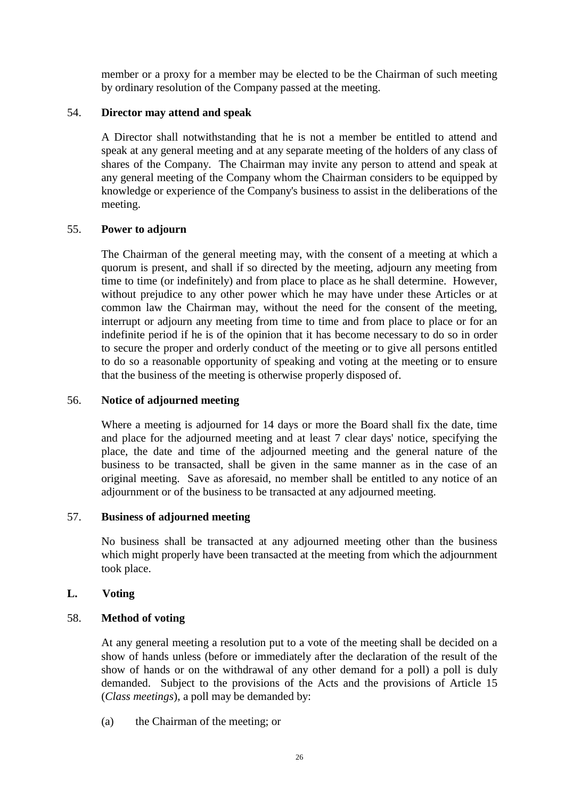member or a proxy for a member may be elected to be the Chairman of such meeting by ordinary resolution of the Company passed at the meeting.

## 54. **Director may attend and speak**

A Director shall notwithstanding that he is not a member be entitled to attend and speak at any general meeting and at any separate meeting of the holders of any class of shares of the Company. The Chairman may invite any person to attend and speak at any general meeting of the Company whom the Chairman considers to be equipped by knowledge or experience of the Company's business to assist in the deliberations of the meeting.

## 55. **Power to adjourn**

The Chairman of the general meeting may, with the consent of a meeting at which a quorum is present, and shall if so directed by the meeting, adjourn any meeting from time to time (or indefinitely) and from place to place as he shall determine. However, without prejudice to any other power which he may have under these Articles or at common law the Chairman may, without the need for the consent of the meeting, interrupt or adjourn any meeting from time to time and from place to place or for an indefinite period if he is of the opinion that it has become necessary to do so in order to secure the proper and orderly conduct of the meeting or to give all persons entitled to do so a reasonable opportunity of speaking and voting at the meeting or to ensure that the business of the meeting is otherwise properly disposed of.

## 56. **Notice of adjourned meeting**

Where a meeting is adjourned for 14 days or more the Board shall fix the date, time and place for the adjourned meeting and at least 7 clear days' notice, specifying the place, the date and time of the adjourned meeting and the general nature of the business to be transacted, shall be given in the same manner as in the case of an original meeting. Save as aforesaid, no member shall be entitled to any notice of an adjournment or of the business to be transacted at any adjourned meeting.

## 57. **Business of adjourned meeting**

No business shall be transacted at any adjourned meeting other than the business which might properly have been transacted at the meeting from which the adjournment took place.

# **L. Voting**

# <span id="page-31-0"></span>58. **Method of voting**

At any general meeting a resolution put to a vote of the meeting shall be decided on a show of hands unless (before or immediately after the declaration of the result of the show of hands or on the withdrawal of any other demand for a poll) a poll is duly demanded. Subject to the provisions of the Acts and the provisions of Article [15](#page-15-0) (*Class meetings*), a poll may be demanded by:

(a) the Chairman of the meeting; or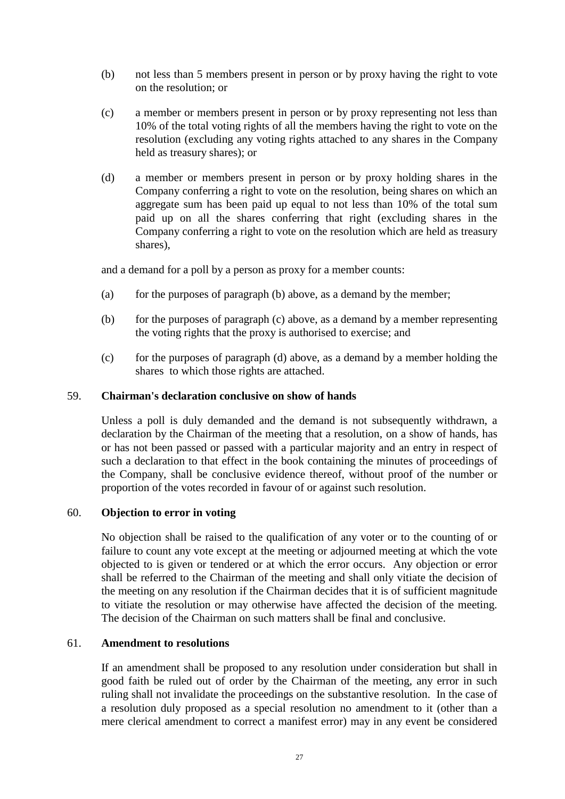- (b) not less than 5 members present in person or by proxy having the right to vote on the resolution; or
- (c) a member or members present in person or by proxy representing not less than 10% of the total voting rights of all the members having the right to vote on the resolution (excluding any voting rights attached to any shares in the Company held as treasury shares); or
- (d) a member or members present in person or by proxy holding shares in the Company conferring a right to vote on the resolution, being shares on which an aggregate sum has been paid up equal to not less than 10% of the total sum paid up on all the shares conferring that right (excluding shares in the Company conferring a right to vote on the resolution which are held as treasury shares),

and a demand for a poll by a person as proxy for a member counts:

- (a) for the purposes of paragraph (b) above, as a demand by the member;
- (b) for the purposes of paragraph (c) above, as a demand by a member representing the voting rights that the proxy is authorised to exercise; and
- (c) for the purposes of paragraph (d) above, as a demand by a member holding the shares to which those rights are attached.

## 59. **Chairman's declaration conclusive on show of hands**

Unless a poll is duly demanded and the demand is not subsequently withdrawn, a declaration by the Chairman of the meeting that a resolution, on a show of hands, has or has not been passed or passed with a particular majority and an entry in respect of such a declaration to that effect in the book containing the minutes of proceedings of the Company, shall be conclusive evidence thereof, without proof of the number or proportion of the votes recorded in favour of or against such resolution.

## 60. **Objection to error in voting**

No objection shall be raised to the qualification of any voter or to the counting of or failure to count any vote except at the meeting or adjourned meeting at which the vote objected to is given or tendered or at which the error occurs. Any objection or error shall be referred to the Chairman of the meeting and shall only vitiate the decision of the meeting on any resolution if the Chairman decides that it is of sufficient magnitude to vitiate the resolution or may otherwise have affected the decision of the meeting. The decision of the Chairman on such matters shall be final and conclusive.

## 61. **Amendment to resolutions**

If an amendment shall be proposed to any resolution under consideration but shall in good faith be ruled out of order by the Chairman of the meeting, any error in such ruling shall not invalidate the proceedings on the substantive resolution. In the case of a resolution duly proposed as a special resolution no amendment to it (other than a mere clerical amendment to correct a manifest error) may in any event be considered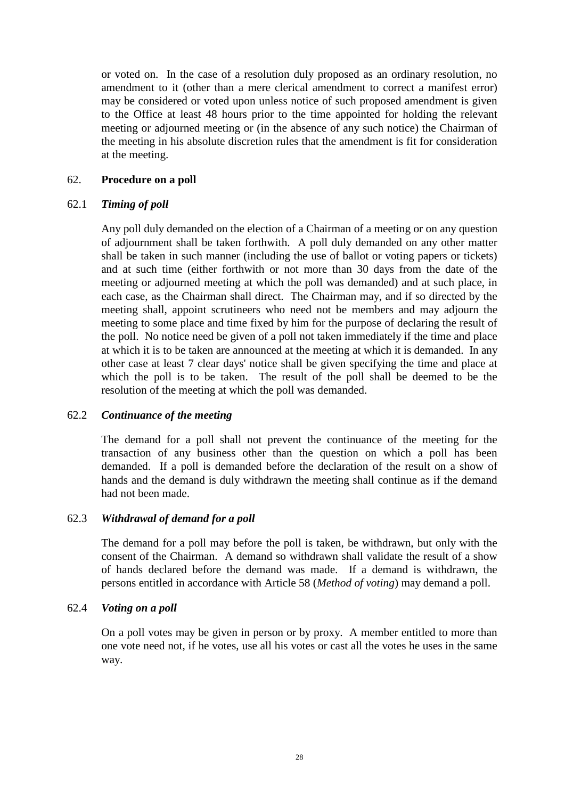or voted on. In the case of a resolution duly proposed as an ordinary resolution, no amendment to it (other than a mere clerical amendment to correct a manifest error) may be considered or voted upon unless notice of such proposed amendment is given to the Office at least 48 hours prior to the time appointed for holding the relevant meeting or adjourned meeting or (in the absence of any such notice) the Chairman of the meeting in his absolute discretion rules that the amendment is fit for consideration at the meeting.

## 62. **Procedure on a poll**

## 62.1 *Timing of poll*

Any poll duly demanded on the election of a Chairman of a meeting or on any question of adjournment shall be taken forthwith. A poll duly demanded on any other matter shall be taken in such manner (including the use of ballot or voting papers or tickets) and at such time (either forthwith or not more than 30 days from the date of the meeting or adjourned meeting at which the poll was demanded) and at such place, in each case, as the Chairman shall direct. The Chairman may, and if so directed by the meeting shall, appoint scrutineers who need not be members and may adjourn the meeting to some place and time fixed by him for the purpose of declaring the result of the poll. No notice need be given of a poll not taken immediately if the time and place at which it is to be taken are announced at the meeting at which it is demanded. In any other case at least 7 clear days' notice shall be given specifying the time and place at which the poll is to be taken. The result of the poll shall be deemed to be the resolution of the meeting at which the poll was demanded.

## 62.2 *Continuance of the meeting*

The demand for a poll shall not prevent the continuance of the meeting for the transaction of any business other than the question on which a poll has been demanded. If a poll is demanded before the declaration of the result on a show of hands and the demand is duly withdrawn the meeting shall continue as if the demand had not been made.

## 62.3 *Withdrawal of demand for a poll*

The demand for a poll may before the poll is taken, be withdrawn, but only with the consent of the Chairman. A demand so withdrawn shall validate the result of a show of hands declared before the demand was made. If a demand is withdrawn, the persons entitled in accordance with Article [58](#page-31-0) (*Method of voting*) may demand a poll.

## 62.4 *Voting on a poll*

On a poll votes may be given in person or by proxy. A member entitled to more than one vote need not, if he votes, use all his votes or cast all the votes he uses in the same way.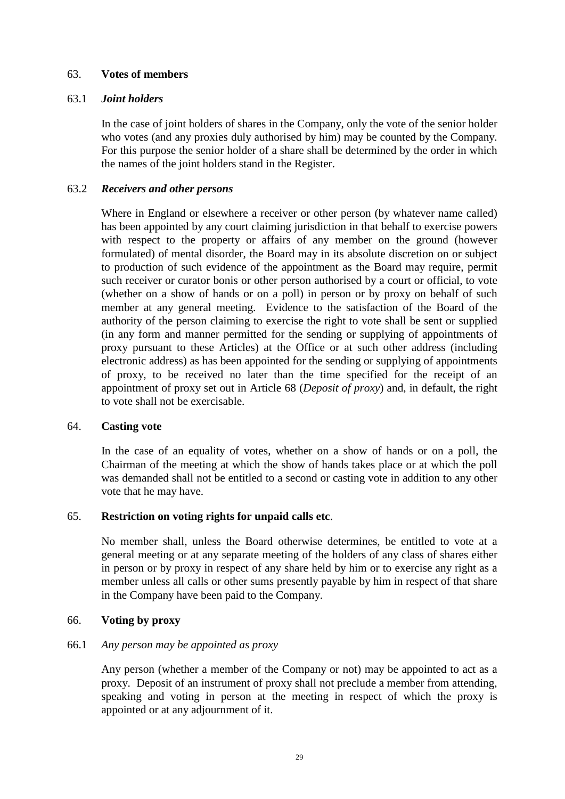## 63. **Votes of members**

## 63.1 *Joint holders*

In the case of joint holders of shares in the Company, only the vote of the senior holder who votes (and any proxies duly authorised by him) may be counted by the Company. For this purpose the senior holder of a share shall be determined by the order in which the names of the joint holders stand in the Register.

# 63.2 *Receivers and other persons*

Where in England or elsewhere a receiver or other person (by whatever name called) has been appointed by any court claiming jurisdiction in that behalf to exercise powers with respect to the property or affairs of any member on the ground (however formulated) of mental disorder, the Board may in its absolute discretion on or subject to production of such evidence of the appointment as the Board may require, permit such receiver or curator bonis or other person authorised by a court or official, to vote (whether on a show of hands or on a poll) in person or by proxy on behalf of such member at any general meeting. Evidence to the satisfaction of the Board of the authority of the person claiming to exercise the right to vote shall be sent or supplied (in any form and manner permitted for the sending or supplying of appointments of proxy pursuant to these Articles) at the Office or at such other address (including electronic address) as has been appointed for the sending or supplying of appointments of proxy, to be received no later than the time specified for the receipt of an appointment of proxy set out in Article [68](#page-36-0) (*Deposit of proxy*) and, in default, the right to vote shall not be exercisable.

## 64. **Casting vote**

In the case of an equality of votes, whether on a show of hands or on a poll, the Chairman of the meeting at which the show of hands takes place or at which the poll was demanded shall not be entitled to a second or casting vote in addition to any other vote that he may have.

## 65. **Restriction on voting rights for unpaid calls etc**.

No member shall, unless the Board otherwise determines, be entitled to vote at a general meeting or at any separate meeting of the holders of any class of shares either in person or by proxy in respect of any share held by him or to exercise any right as a member unless all calls or other sums presently payable by him in respect of that share in the Company have been paid to the Company.

## 66. **Voting by proxy**

## 66.1 *Any person may be appointed as proxy*

Any person (whether a member of the Company or not) may be appointed to act as a proxy. Deposit of an instrument of proxy shall not preclude a member from attending, speaking and voting in person at the meeting in respect of which the proxy is appointed or at any adjournment of it.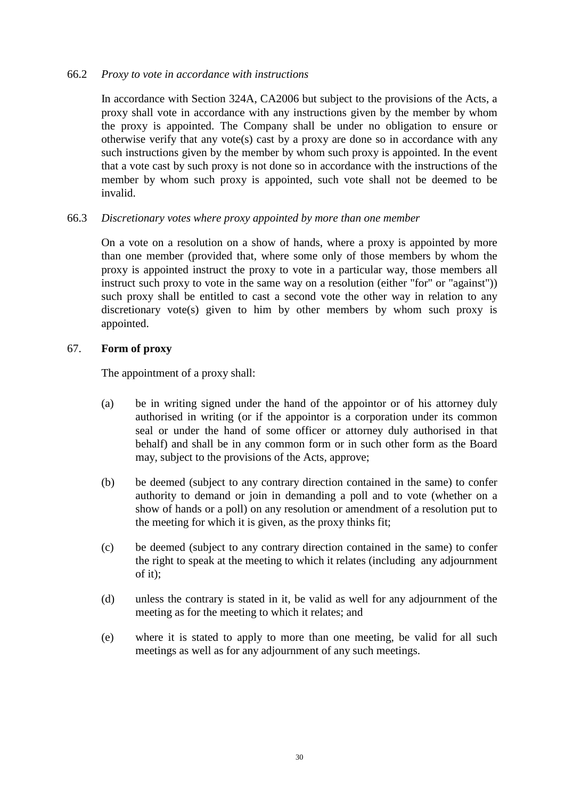## 66.2 *Proxy to vote in accordance with instructions*

In accordance with Section 324A, CA2006 but subject to the provisions of the Acts, a proxy shall vote in accordance with any instructions given by the member by whom the proxy is appointed. The Company shall be under no obligation to ensure or otherwise verify that any vote(s) cast by a proxy are done so in accordance with any such instructions given by the member by whom such proxy is appointed. In the event that a vote cast by such proxy is not done so in accordance with the instructions of the member by whom such proxy is appointed, such vote shall not be deemed to be invalid.

## 66.3 *Discretionary votes where proxy appointed by more than one member*

On a vote on a resolution on a show of hands, where a proxy is appointed by more than one member (provided that, where some only of those members by whom the proxy is appointed instruct the proxy to vote in a particular way, those members all instruct such proxy to vote in the same way on a resolution (either "for" or "against")) such proxy shall be entitled to cast a second vote the other way in relation to any discretionary vote(s) given to him by other members by whom such proxy is appointed.

## 67. **Form of proxy**

The appointment of a proxy shall:

- (a) be in writing signed under the hand of the appointor or of his attorney duly authorised in writing (or if the appointor is a corporation under its common seal or under the hand of some officer or attorney duly authorised in that behalf) and shall be in any common form or in such other form as the Board may, subject to the provisions of the Acts, approve;
- (b) be deemed (subject to any contrary direction contained in the same) to confer authority to demand or join in demanding a poll and to vote (whether on a show of hands or a poll) on any resolution or amendment of a resolution put to the meeting for which it is given, as the proxy thinks fit;
- (c) be deemed (subject to any contrary direction contained in the same) to confer the right to speak at the meeting to which it relates (including any adjournment of it);
- (d) unless the contrary is stated in it, be valid as well for any adjournment of the meeting as for the meeting to which it relates; and
- (e) where it is stated to apply to more than one meeting, be valid for all such meetings as well as for any adjournment of any such meetings.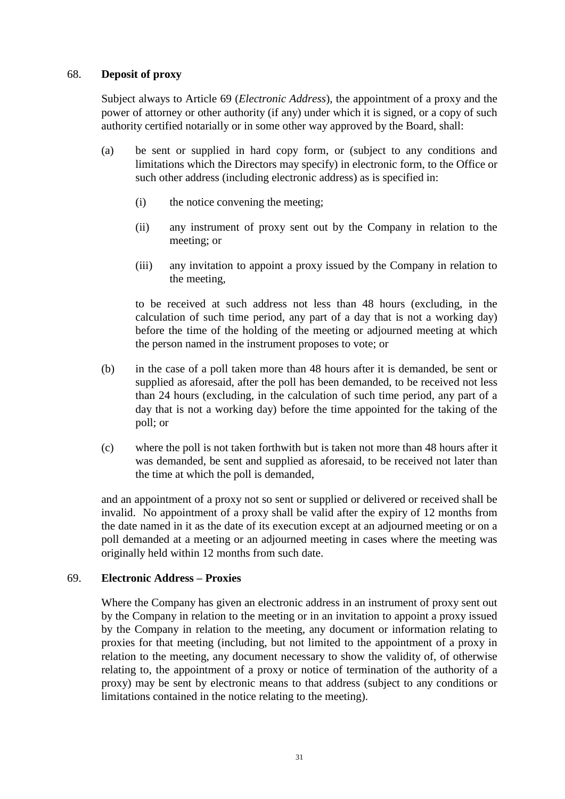## 68. **Deposit of proxy**

Subject always to Article [69](#page-36-0) (*Electronic Address*), the appointment of a proxy and the power of attorney or other authority (if any) under which it is signed, or a copy of such authority certified notarially or in some other way approved by the Board, shall:

- (a) be sent or supplied in hard copy form, or (subject to any conditions and limitations which the Directors may specify) in electronic form, to the Office or such other address (including electronic address) as is specified in:
	- (i) the notice convening the meeting;
	- (ii) any instrument of proxy sent out by the Company in relation to the meeting; or
	- (iii) any invitation to appoint a proxy issued by the Company in relation to the meeting,

to be received at such address not less than 48 hours (excluding, in the calculation of such time period, any part of a day that is not a working day) before the time of the holding of the meeting or adjourned meeting at which the person named in the instrument proposes to vote; or

- (b) in the case of a poll taken more than 48 hours after it is demanded, be sent or supplied as aforesaid, after the poll has been demanded, to be received not less than 24 hours (excluding, in the calculation of such time period, any part of a day that is not a working day) before the time appointed for the taking of the poll; or
- (c) where the poll is not taken forthwith but is taken not more than 48 hours after it was demanded, be sent and supplied as aforesaid, to be received not later than the time at which the poll is demanded,

and an appointment of a proxy not so sent or supplied or delivered or received shall be invalid. No appointment of a proxy shall be valid after the expiry of 12 months from the date named in it as the date of its execution except at an adjourned meeting or on a poll demanded at a meeting or an adjourned meeting in cases where the meeting was originally held within 12 months from such date.

### <span id="page-36-0"></span>69. **Electronic Address – Proxies**

Where the Company has given an electronic address in an instrument of proxy sent out by the Company in relation to the meeting or in an invitation to appoint a proxy issued by the Company in relation to the meeting, any document or information relating to proxies for that meeting (including, but not limited to the appointment of a proxy in relation to the meeting, any document necessary to show the validity of, of otherwise relating to, the appointment of a proxy or notice of termination of the authority of a proxy) may be sent by electronic means to that address (subject to any conditions or limitations contained in the notice relating to the meeting).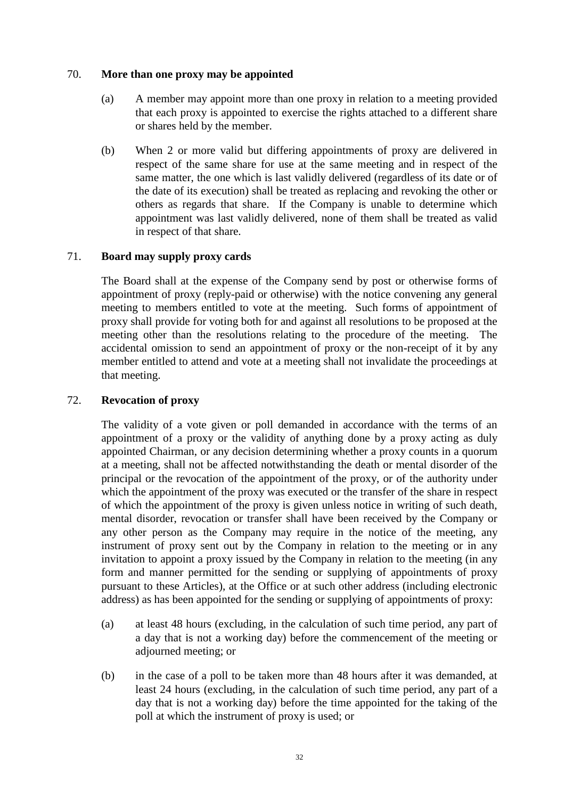### 70. **More than one proxy may be appointed**

- (a) A member may appoint more than one proxy in relation to a meeting provided that each proxy is appointed to exercise the rights attached to a different share or shares held by the member.
- (b) When 2 or more valid but differing appointments of proxy are delivered in respect of the same share for use at the same meeting and in respect of the same matter, the one which is last validly delivered (regardless of its date or of the date of its execution) shall be treated as replacing and revoking the other or others as regards that share. If the Company is unable to determine which appointment was last validly delivered, none of them shall be treated as valid in respect of that share.

## 71. **Board may supply proxy cards**

The Board shall at the expense of the Company send by post or otherwise forms of appointment of proxy (reply-paid or otherwise) with the notice convening any general meeting to members entitled to vote at the meeting. Such forms of appointment of proxy shall provide for voting both for and against all resolutions to be proposed at the meeting other than the resolutions relating to the procedure of the meeting. The accidental omission to send an appointment of proxy or the non-receipt of it by any member entitled to attend and vote at a meeting shall not invalidate the proceedings at that meeting.

## 72. **Revocation of proxy**

The validity of a vote given or poll demanded in accordance with the terms of an appointment of a proxy or the validity of anything done by a proxy acting as duly appointed Chairman, or any decision determining whether a proxy counts in a quorum at a meeting, shall not be affected notwithstanding the death or mental disorder of the principal or the revocation of the appointment of the proxy, or of the authority under which the appointment of the proxy was executed or the transfer of the share in respect of which the appointment of the proxy is given unless notice in writing of such death, mental disorder, revocation or transfer shall have been received by the Company or any other person as the Company may require in the notice of the meeting, any instrument of proxy sent out by the Company in relation to the meeting or in any invitation to appoint a proxy issued by the Company in relation to the meeting (in any form and manner permitted for the sending or supplying of appointments of proxy pursuant to these Articles), at the Office or at such other address (including electronic address) as has been appointed for the sending or supplying of appointments of proxy:

- (a) at least 48 hours (excluding, in the calculation of such time period, any part of a day that is not a working day) before the commencement of the meeting or adjourned meeting; or
- (b) in the case of a poll to be taken more than 48 hours after it was demanded, at least 24 hours (excluding, in the calculation of such time period, any part of a day that is not a working day) before the time appointed for the taking of the poll at which the instrument of proxy is used; or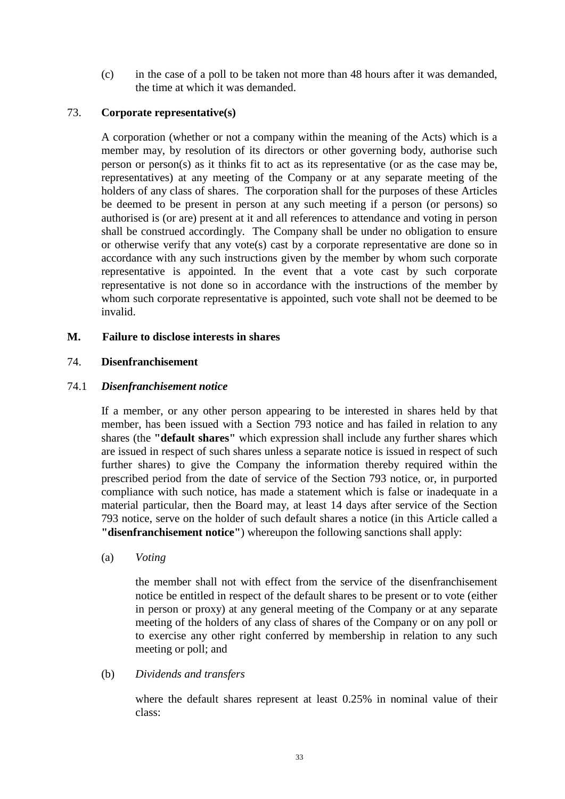(c) in the case of a poll to be taken not more than 48 hours after it was demanded, the time at which it was demanded.

## 73. **Corporate representative(s)**

A corporation (whether or not a company within the meaning of the Acts) which is a member may, by resolution of its directors or other governing body, authorise such person or person(s) as it thinks fit to act as its representative (or as the case may be, representatives) at any meeting of the Company or at any separate meeting of the holders of any class of shares. The corporation shall for the purposes of these Articles be deemed to be present in person at any such meeting if a person (or persons) so authorised is (or are) present at it and all references to attendance and voting in person shall be construed accordingly. The Company shall be under no obligation to ensure or otherwise verify that any vote(s) cast by a corporate representative are done so in accordance with any such instructions given by the member by whom such corporate representative is appointed. In the event that a vote cast by such corporate representative is not done so in accordance with the instructions of the member by whom such corporate representative is appointed, such vote shall not be deemed to be invalid.

## **M. Failure to disclose interests in shares**

## <span id="page-38-1"></span>74. **Disenfranchisement**

## <span id="page-38-0"></span>74.1 *Disenfranchisement notice*

If a member, or any other person appearing to be interested in shares held by that member, has been issued with a Section 793 notice and has failed in relation to any shares (the **"default shares"** which expression shall include any further shares which are issued in respect of such shares unless a separate notice is issued in respect of such further shares) to give the Company the information thereby required within the prescribed period from the date of service of the Section 793 notice, or, in purported compliance with such notice, has made a statement which is false or inadequate in a material particular, then the Board may, at least 14 days after service of the Section 793 notice, serve on the holder of such default shares a notice (in this Article called a **"disenfranchisement notice"**) whereupon the following sanctions shall apply:

(a) *Voting*

the member shall not with effect from the service of the disenfranchisement notice be entitled in respect of the default shares to be present or to vote (either in person or proxy) at any general meeting of the Company or at any separate meeting of the holders of any class of shares of the Company or on any poll or to exercise any other right conferred by membership in relation to any such meeting or poll; and

(b) *Dividends and transfers*

where the default shares represent at least 0.25% in nominal value of their class: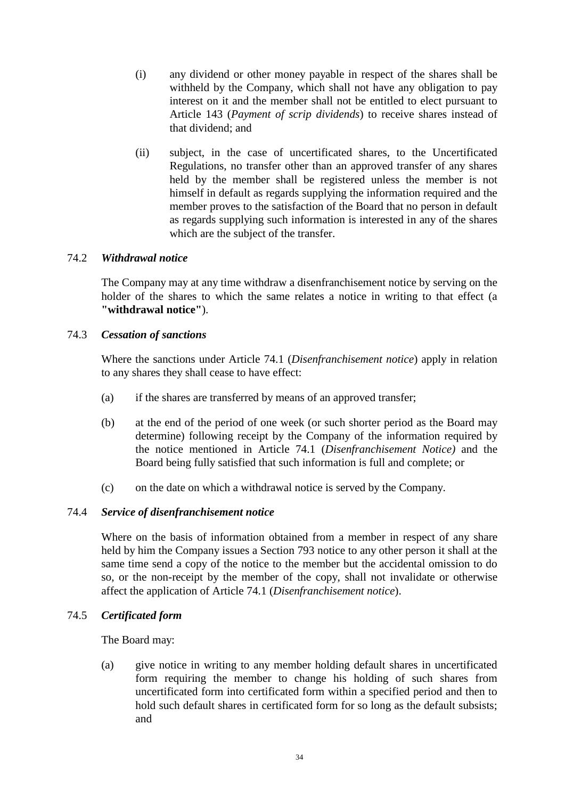- (i) any dividend or other money payable in respect of the shares shall be withheld by the Company, which shall not have any obligation to pay interest on it and the member shall not be entitled to elect pursuant to Article [143](#page-74-0) (*Payment of scrip dividends*) to receive shares instead of that dividend; and
- (ii) subject, in the case of uncertificated shares, to the Uncertificated Regulations, no transfer other than an approved transfer of any shares held by the member shall be registered unless the member is not himself in default as regards supplying the information required and the member proves to the satisfaction of the Board that no person in default as regards supplying such information is interested in any of the shares which are the subject of the transfer.

## 74.2 *Withdrawal notice*

The Company may at any time withdraw a disenfranchisement notice by serving on the holder of the shares to which the same relates a notice in writing to that effect (a **"withdrawal notice"**).

## 74.3 *Cessation of sanctions*

Where the sanctions under Article [74.1](#page-38-0) (*Disenfranchisement notice*) apply in relation to any shares they shall cease to have effect:

- (a) if the shares are transferred by means of an approved transfer;
- (b) at the end of the period of one week (or such shorter period as the Board may determine) following receipt by the Company of the information required by the notice mentioned in Article [74.1](#page-38-0) (*Disenfranchisement Notice)* and the Board being fully satisfied that such information is full and complete; or
- (c) on the date on which a withdrawal notice is served by the Company.

# 74.4 *Service of disenfranchisement notice*

Where on the basis of information obtained from a member in respect of any share held by him the Company issues a Section 793 notice to any other person it shall at the same time send a copy of the notice to the member but the accidental omission to do so, or the non-receipt by the member of the copy, shall not invalidate or otherwise affect the application of Article [74.1](#page-38-0) (*Disenfranchisement notice*).

### 74.5 *Certificated form*

The Board may:

(a) give notice in writing to any member holding default shares in uncertificated form requiring the member to change his holding of such shares from uncertificated form into certificated form within a specified period and then to hold such default shares in certificated form for so long as the default subsists; and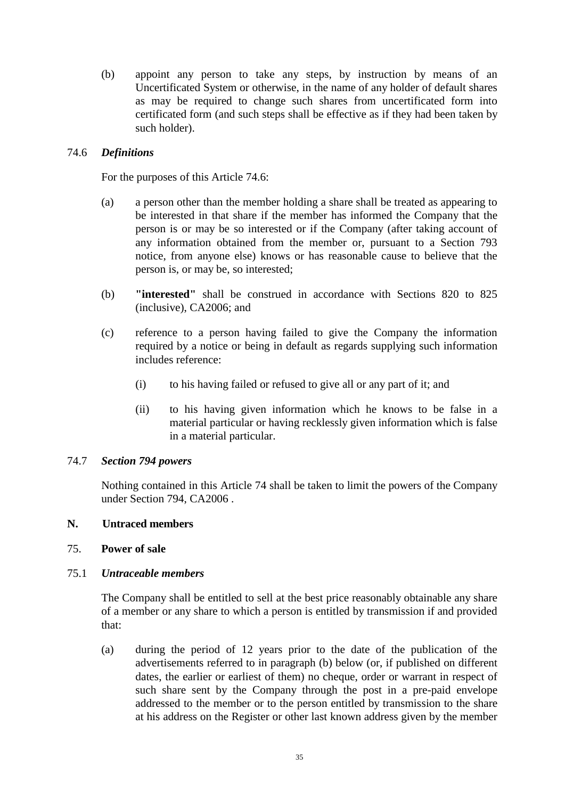(b) appoint any person to take any steps, by instruction by means of an Uncertificated System or otherwise, in the name of any holder of default shares as may be required to change such shares from uncertificated form into certificated form (and such steps shall be effective as if they had been taken by such holder).

## <span id="page-40-0"></span>74.6 *Definitions*

For the purposes of this Article [74.6:](#page-40-0)

- (a) a person other than the member holding a share shall be treated as appearing to be interested in that share if the member has informed the Company that the person is or may be so interested or if the Company (after taking account of any information obtained from the member or, pursuant to a Section 793 notice, from anyone else) knows or has reasonable cause to believe that the person is, or may be, so interested;
- (b) **"interested"** shall be construed in accordance with Sections 820 to 825 (inclusive), CA2006; and
- (c) reference to a person having failed to give the Company the information required by a notice or being in default as regards supplying such information includes reference:
	- (i) to his having failed or refused to give all or any part of it; and
	- (ii) to his having given information which he knows to be false in a material particular or having recklessly given information which is false in a material particular.

### 74.7 *Section 794 powers*

Nothing contained in this Article [74](#page-38-1) shall be taken to limit the powers of the Company under Section 794, CA2006 .

## **N. Untraced members**

# <span id="page-40-1"></span>75. **Power of sale**

# <span id="page-40-2"></span>75.1 *Untraceable members*

The Company shall be entitled to sell at the best price reasonably obtainable any share of a member or any share to which a person is entitled by transmission if and provided that:

(a) during the period of 12 years prior to the date of the publication of the advertisements referred to in paragraph (b) below (or, if published on different dates, the earlier or earliest of them) no cheque, order or warrant in respect of such share sent by the Company through the post in a pre-paid envelope addressed to the member or to the person entitled by transmission to the share at his address on the Register or other last known address given by the member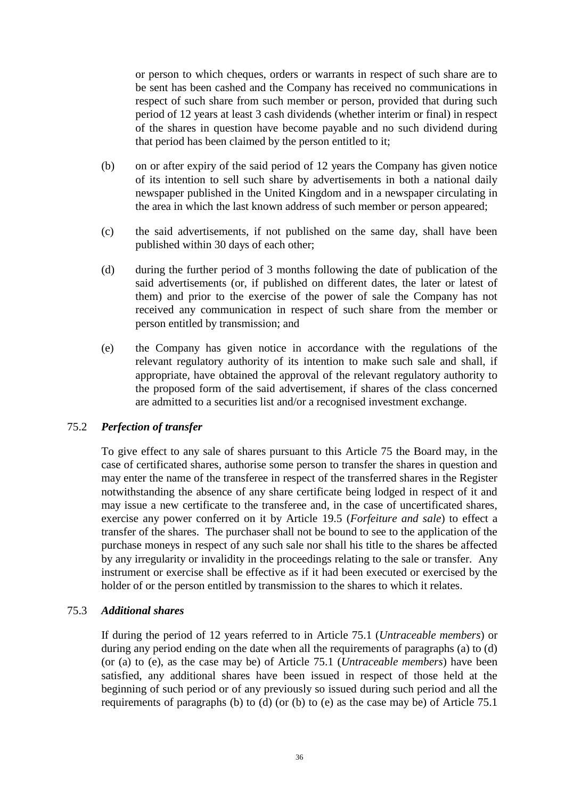or person to which cheques, orders or warrants in respect of such share are to be sent has been cashed and the Company has received no communications in respect of such share from such member or person, provided that during such period of 12 years at least 3 cash dividends (whether interim or final) in respect of the shares in question have become payable and no such dividend during that period has been claimed by the person entitled to it;

- (b) on or after expiry of the said period of 12 years the Company has given notice of its intention to sell such share by advertisements in both a national daily newspaper published in the United Kingdom and in a newspaper circulating in the area in which the last known address of such member or person appeared;
- (c) the said advertisements, if not published on the same day, shall have been published within 30 days of each other;
- (d) during the further period of 3 months following the date of publication of the said advertisements (or, if published on different dates, the later or latest of them) and prior to the exercise of the power of sale the Company has not received any communication in respect of such share from the member or person entitled by transmission; and
- (e) the Company has given notice in accordance with the regulations of the relevant regulatory authority of its intention to make such sale and shall, if appropriate, have obtained the approval of the relevant regulatory authority to the proposed form of the said advertisement, if shares of the class concerned are admitted to a securities list and/or a recognised investment exchange.

### 75.2 *Perfection of transfer*

To give effect to any sale of shares pursuant to this Article [75](#page-40-1) the Board may, in the case of certificated shares, authorise some person to transfer the shares in question and may enter the name of the transferee in respect of the transferred shares in the Register notwithstanding the absence of any share certificate being lodged in respect of it and may issue a new certificate to the transferee and, in the case of uncertificated shares, exercise any power conferred on it by Article [19.5](#page-18-0) (*Forfeiture and sale*) to effect a transfer of the shares. The purchaser shall not be bound to see to the application of the purchase moneys in respect of any such sale nor shall his title to the shares be affected by any irregularity or invalidity in the proceedings relating to the sale or transfer. Any instrument or exercise shall be effective as if it had been executed or exercised by the holder of or the person entitled by transmission to the shares to which it relates.

### 75.3 *Additional shares*

If during the period of 12 years referred to in Article [75.1](#page-40-2) (*Untraceable members*) or during any period ending on the date when all the requirements of paragraphs (a) to (d) (or (a) to (e), as the case may be) of Article [75.1](#page-40-2) (*Untraceable members*) have been satisfied, any additional shares have been issued in respect of those held at the beginning of such period or of any previously so issued during such period and all the requirements of paragraphs (b) to (d) (or (b) to (e) as the case may be) of Article [75.1](#page-40-2)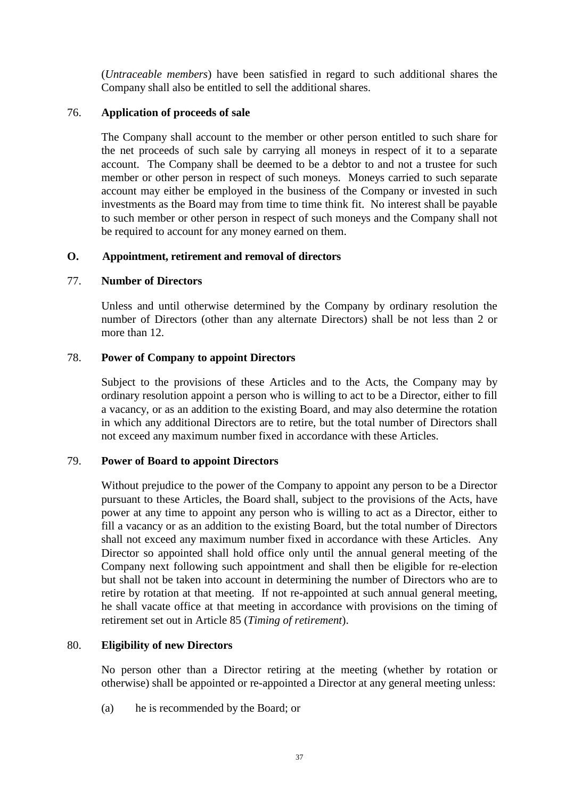(*Untraceable members*) have been satisfied in regard to such additional shares the Company shall also be entitled to sell the additional shares.

# 76. **Application of proceeds of sale**

The Company shall account to the member or other person entitled to such share for the net proceeds of such sale by carrying all moneys in respect of it to a separate account. The Company shall be deemed to be a debtor to and not a trustee for such member or other person in respect of such moneys. Moneys carried to such separate account may either be employed in the business of the Company or invested in such investments as the Board may from time to time think fit. No interest shall be payable to such member or other person in respect of such moneys and the Company shall not be required to account for any money earned on them.

### **O. Appointment, retirement and removal of directors**

## 77. **Number of Directors**

Unless and until otherwise determined by the Company by ordinary resolution the number of Directors (other than any alternate Directors) shall be not less than 2 or more than 12.

## 78. **Power of Company to appoint Directors**

Subject to the provisions of these Articles and to the Acts, the Company may by ordinary resolution appoint a person who is willing to act to be a Director, either to fill a vacancy, or as an addition to the existing Board, and may also determine the rotation in which any additional Directors are to retire, but the total number of Directors shall not exceed any maximum number fixed in accordance with these Articles.

# 79. **Power of Board to appoint Directors**

Without prejudice to the power of the Company to appoint any person to be a Director pursuant to these Articles, the Board shall, subject to the provisions of the Acts, have power at any time to appoint any person who is willing to act as a Director, either to fill a vacancy or as an addition to the existing Board, but the total number of Directors shall not exceed any maximum number fixed in accordance with these Articles. Any Director so appointed shall hold office only until the annual general meeting of the Company next following such appointment and shall then be eligible for re-election but shall not be taken into account in determining the number of Directors who are to retire by rotation at that meeting. If not re-appointed at such annual general meeting, he shall vacate office at that meeting in accordance with provisions on the timing of retirement set out in Article [85](#page-44-0) (*Timing of retirement*).

### 80. **Eligibility of new Directors**

No person other than a Director retiring at the meeting (whether by rotation or otherwise) shall be appointed or re-appointed a Director at any general meeting unless:

(a) he is recommended by the Board; or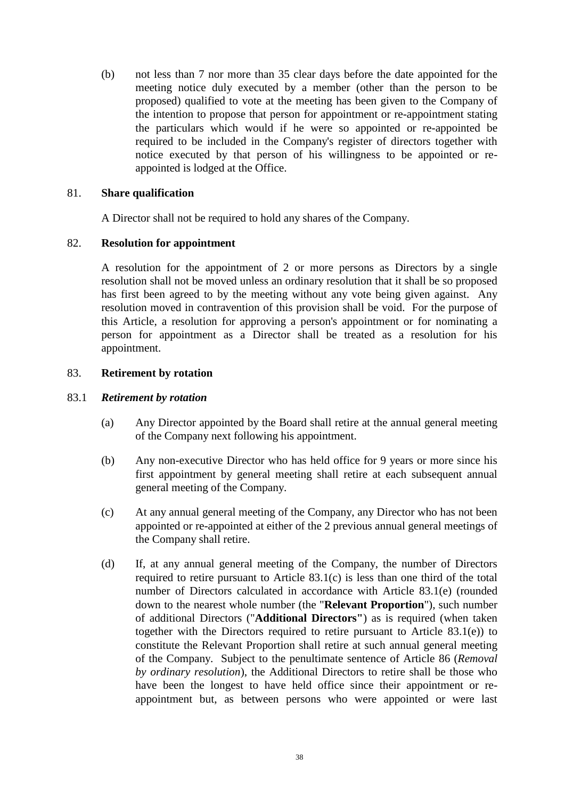(b) not less than 7 nor more than 35 clear days before the date appointed for the meeting notice duly executed by a member (other than the person to be proposed) qualified to vote at the meeting has been given to the Company of the intention to propose that person for appointment or re-appointment stating the particulars which would if he were so appointed or re-appointed be required to be included in the Company's register of directors together with notice executed by that person of his willingness to be appointed or reappointed is lodged at the Office.

## 81. **Share qualification**

A Director shall not be required to hold any shares of the Company.

## <span id="page-43-2"></span>82. **Resolution for appointment**

A resolution for the appointment of 2 or more persons as Directors by a single resolution shall not be moved unless an ordinary resolution that it shall be so proposed has first been agreed to by the meeting without any vote being given against. Any resolution moved in contravention of this provision shall be void. For the purpose of this Article, a resolution for approving a person's appointment or for nominating a person for appointment as a Director shall be treated as a resolution for his appointment.

## 83. **Retirement by rotation**

## <span id="page-43-1"></span>83.1 *Retirement by rotation*

- (a) Any Director appointed by the Board shall retire at the annual general meeting of the Company next following his appointment.
- (b) Any non-executive Director who has held office for 9 years or more since his first appointment by general meeting shall retire at each subsequent annual general meeting of the Company.
- <span id="page-43-0"></span>(c) At any annual general meeting of the Company, any Director who has not been appointed or re-appointed at either of the 2 previous annual general meetings of the Company shall retire.
- (d) If, at any annual general meeting of the Company, the number of Directors required to retire pursuant to Article [83.1\(c\)](#page-43-0) is less than one third of the total number of Directors calculated in accordance with Article [83.1\(e\)](#page-44-1) (rounded down to the nearest whole number (the "**Relevant Proportion**"), such number of additional Directors ("**Additional Directors"**) as is required (when taken together with the Directors required to retire pursuant to Article [83.1\(e\)\)](#page-44-1) to constitute the Relevant Proportion shall retire at such annual general meeting of the Company. Subject to the penultimate sentence of Article [86](#page-44-2) (*Removal by ordinary resolution*), the Additional Directors to retire shall be those who have been the longest to have held office since their appointment or reappointment but, as between persons who were appointed or were last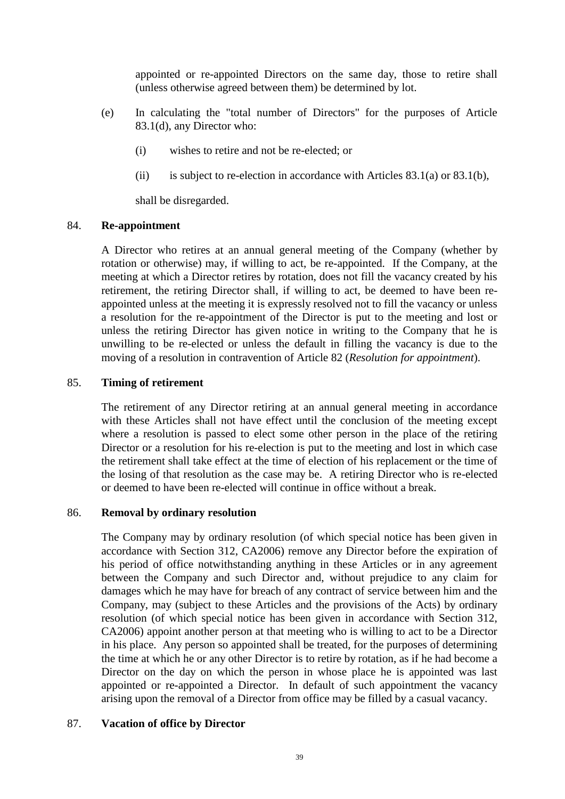appointed or re-appointed Directors on the same day, those to retire shall (unless otherwise agreed between them) be determined by lot.

- <span id="page-44-1"></span>(e) In calculating the "total number of Directors" for the purposes of Article [83.1\(d\),](#page-43-1) any Director who:
	- (i) wishes to retire and not be re-elected; or
	- (ii) is subject to re-election in accordance with Articles  $83.1(a)$  or  $83.1(b)$ ,

shall be disregarded.

### 84. **Re-appointment**

A Director who retires at an annual general meeting of the Company (whether by rotation or otherwise) may, if willing to act, be re-appointed. If the Company, at the meeting at which a Director retires by rotation, does not fill the vacancy created by his retirement, the retiring Director shall, if willing to act, be deemed to have been reappointed unless at the meeting it is expressly resolved not to fill the vacancy or unless a resolution for the re-appointment of the Director is put to the meeting and lost or unless the retiring Director has given notice in writing to the Company that he is unwilling to be re-elected or unless the default in filling the vacancy is due to the moving of a resolution in contravention of Article [82](#page-43-2) (*Resolution for appointment*).

## <span id="page-44-0"></span>85. **Timing of retirement**

The retirement of any Director retiring at an annual general meeting in accordance with these Articles shall not have effect until the conclusion of the meeting except where a resolution is passed to elect some other person in the place of the retiring Director or a resolution for his re-election is put to the meeting and lost in which case the retirement shall take effect at the time of election of his replacement or the time of the losing of that resolution as the case may be. A retiring Director who is re-elected or deemed to have been re-elected will continue in office without a break.

# <span id="page-44-2"></span>86. **Removal by ordinary resolution**

The Company may by ordinary resolution (of which special notice has been given in accordance with Section 312, CA2006) remove any Director before the expiration of his period of office notwithstanding anything in these Articles or in any agreement between the Company and such Director and, without prejudice to any claim for damages which he may have for breach of any contract of service between him and the Company, may (subject to these Articles and the provisions of the Acts) by ordinary resolution (of which special notice has been given in accordance with Section 312, CA2006) appoint another person at that meeting who is willing to act to be a Director in his place. Any person so appointed shall be treated, for the purposes of determining the time at which he or any other Director is to retire by rotation, as if he had become a Director on the day on which the person in whose place he is appointed was last appointed or re-appointed a Director. In default of such appointment the vacancy arising upon the removal of a Director from office may be filled by a casual vacancy.

# <span id="page-44-3"></span>87. **Vacation of office by Director**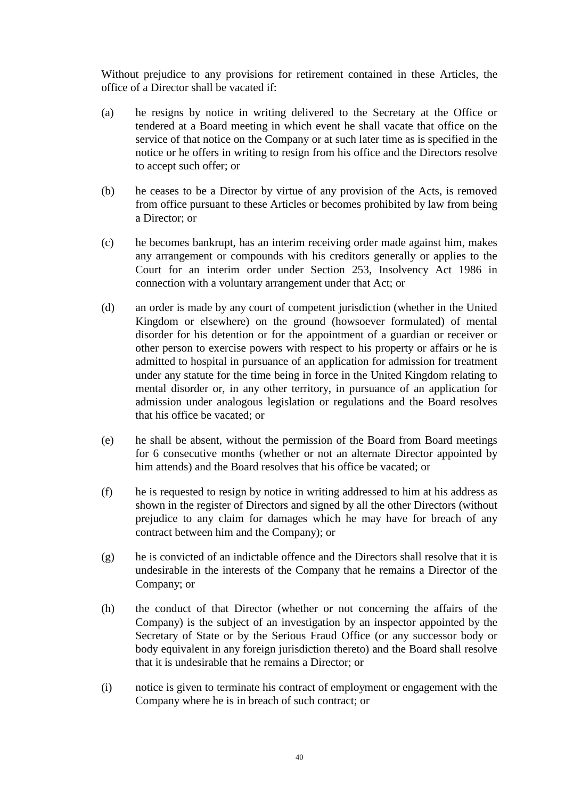Without prejudice to any provisions for retirement contained in these Articles, the office of a Director shall be vacated if:

- (a) he resigns by notice in writing delivered to the Secretary at the Office or tendered at a Board meeting in which event he shall vacate that office on the service of that notice on the Company or at such later time as is specified in the notice or he offers in writing to resign from his office and the Directors resolve to accept such offer; or
- (b) he ceases to be a Director by virtue of any provision of the Acts, is removed from office pursuant to these Articles or becomes prohibited by law from being a Director; or
- (c) he becomes bankrupt, has an interim receiving order made against him, makes any arrangement or compounds with his creditors generally or applies to the Court for an interim order under Section 253, Insolvency Act 1986 in connection with a voluntary arrangement under that Act; or
- (d) an order is made by any court of competent jurisdiction (whether in the United Kingdom or elsewhere) on the ground (howsoever formulated) of mental disorder for his detention or for the appointment of a guardian or receiver or other person to exercise powers with respect to his property or affairs or he is admitted to hospital in pursuance of an application for admission for treatment under any statute for the time being in force in the United Kingdom relating to mental disorder or, in any other territory, in pursuance of an application for admission under analogous legislation or regulations and the Board resolves that his office be vacated; or
- (e) he shall be absent, without the permission of the Board from Board meetings for 6 consecutive months (whether or not an alternate Director appointed by him attends) and the Board resolves that his office be vacated; or
- (f) he is requested to resign by notice in writing addressed to him at his address as shown in the register of Directors and signed by all the other Directors (without prejudice to any claim for damages which he may have for breach of any contract between him and the Company); or
- (g) he is convicted of an indictable offence and the Directors shall resolve that it is undesirable in the interests of the Company that he remains a Director of the Company; or
- (h) the conduct of that Director (whether or not concerning the affairs of the Company) is the subject of an investigation by an inspector appointed by the Secretary of State or by the Serious Fraud Office (or any successor body or body equivalent in any foreign jurisdiction thereto) and the Board shall resolve that it is undesirable that he remains a Director; or
- (i) notice is given to terminate his contract of employment or engagement with the Company where he is in breach of such contract; or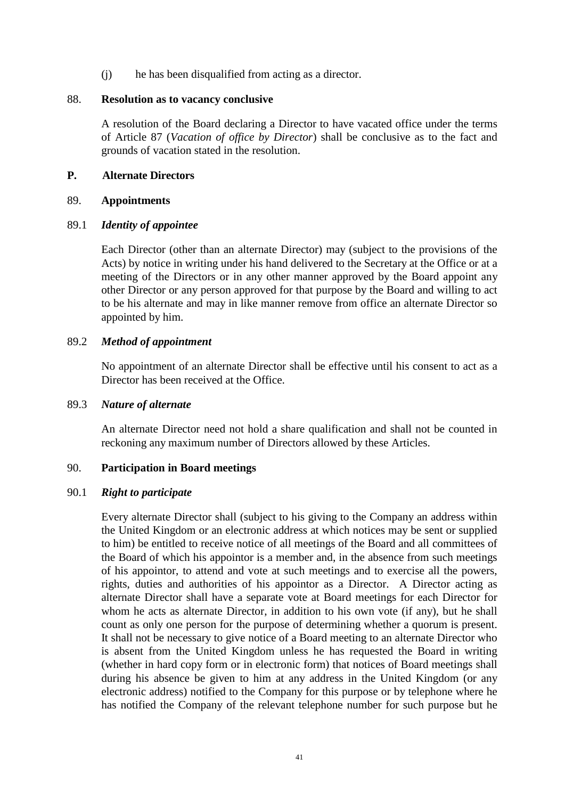(j) he has been disqualified from acting as a director.

#### 88. **Resolution as to vacancy conclusive**

A resolution of the Board declaring a Director to have vacated office under the terms of Article [87](#page-44-3) (*Vacation of office by Director*) shall be conclusive as to the fact and grounds of vacation stated in the resolution.

## **P. Alternate Directors**

#### 89. **Appointments**

#### 89.1 *Identity of appointee*

Each Director (other than an alternate Director) may (subject to the provisions of the Acts) by notice in writing under his hand delivered to the Secretary at the Office or at a meeting of the Directors or in any other manner approved by the Board appoint any other Director or any person approved for that purpose by the Board and willing to act to be his alternate and may in like manner remove from office an alternate Director so appointed by him.

### 89.2 *Method of appointment*

No appointment of an alternate Director shall be effective until his consent to act as a Director has been received at the Office.

### 89.3 *Nature of alternate*

An alternate Director need not hold a share qualification and shall not be counted in reckoning any maximum number of Directors allowed by these Articles.

### 90. **Participation in Board meetings**

### 90.1 *Right to participate*

Every alternate Director shall (subject to his giving to the Company an address within the United Kingdom or an electronic address at which notices may be sent or supplied to him) be entitled to receive notice of all meetings of the Board and all committees of the Board of which his appointor is a member and, in the absence from such meetings of his appointor, to attend and vote at such meetings and to exercise all the powers, rights, duties and authorities of his appointor as a Director. A Director acting as alternate Director shall have a separate vote at Board meetings for each Director for whom he acts as alternate Director, in addition to his own vote (if any), but he shall count as only one person for the purpose of determining whether a quorum is present. It shall not be necessary to give notice of a Board meeting to an alternate Director who is absent from the United Kingdom unless he has requested the Board in writing (whether in hard copy form or in electronic form) that notices of Board meetings shall during his absence be given to him at any address in the United Kingdom (or any electronic address) notified to the Company for this purpose or by telephone where he has notified the Company of the relevant telephone number for such purpose but he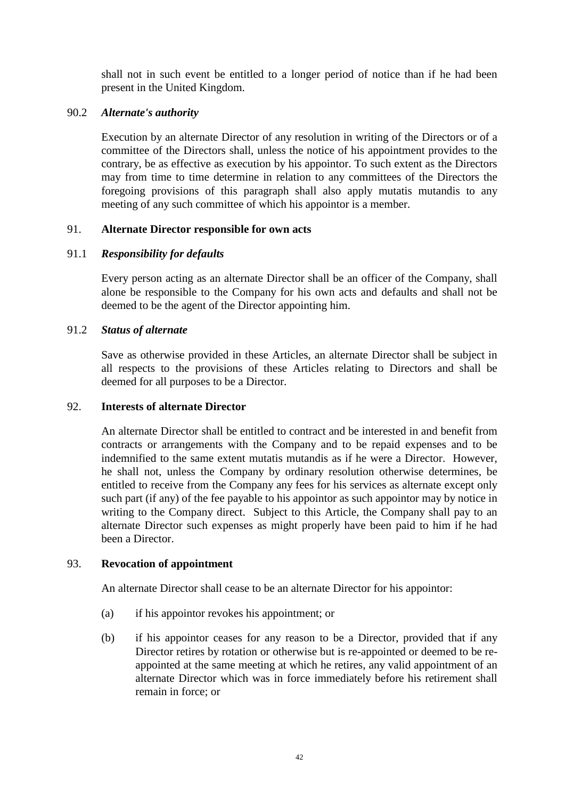shall not in such event be entitled to a longer period of notice than if he had been present in the United Kingdom.

## 90.2 *Alternate's authority*

Execution by an alternate Director of any resolution in writing of the Directors or of a committee of the Directors shall, unless the notice of his appointment provides to the contrary, be as effective as execution by his appointor. To such extent as the Directors may from time to time determine in relation to any committees of the Directors the foregoing provisions of this paragraph shall also apply mutatis mutandis to any meeting of any such committee of which his appointor is a member.

## 91. **Alternate Director responsible for own acts**

# 91.1 *Responsibility for defaults*

Every person acting as an alternate Director shall be an officer of the Company, shall alone be responsible to the Company for his own acts and defaults and shall not be deemed to be the agent of the Director appointing him.

## 91.2 *Status of alternate*

Save as otherwise provided in these Articles, an alternate Director shall be subject in all respects to the provisions of these Articles relating to Directors and shall be deemed for all purposes to be a Director.

### 92. **Interests of alternate Director**

An alternate Director shall be entitled to contract and be interested in and benefit from contracts or arrangements with the Company and to be repaid expenses and to be indemnified to the same extent mutatis mutandis as if he were a Director. However, he shall not, unless the Company by ordinary resolution otherwise determines, be entitled to receive from the Company any fees for his services as alternate except only such part (if any) of the fee payable to his appointor as such appointor may by notice in writing to the Company direct. Subject to this Article, the Company shall pay to an alternate Director such expenses as might properly have been paid to him if he had been a Director.

### 93. **Revocation of appointment**

An alternate Director shall cease to be an alternate Director for his appointor:

- (a) if his appointor revokes his appointment; or
- (b) if his appointor ceases for any reason to be a Director, provided that if any Director retires by rotation or otherwise but is re-appointed or deemed to be reappointed at the same meeting at which he retires, any valid appointment of an alternate Director which was in force immediately before his retirement shall remain in force; or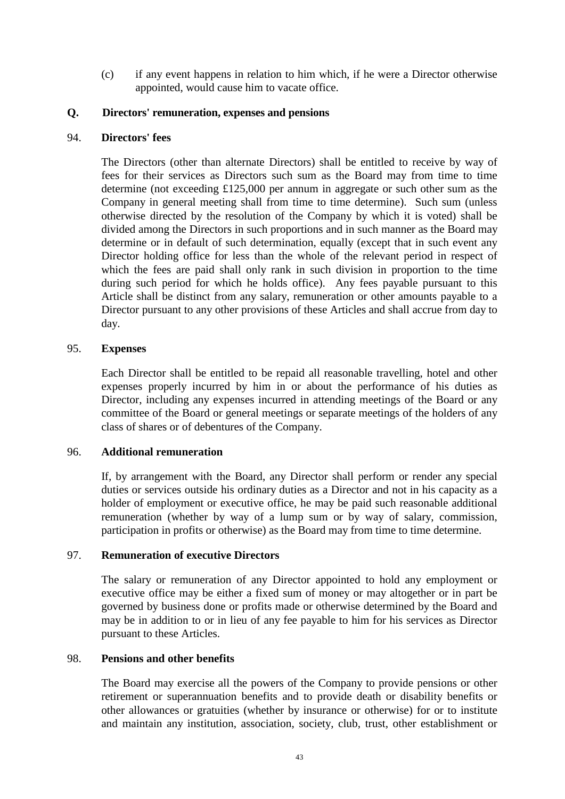(c) if any event happens in relation to him which, if he were a Director otherwise appointed, would cause him to vacate office.

## **Q. Directors' remuneration, expenses and pensions**

### 94. **Directors' fees**

The Directors (other than alternate Directors) shall be entitled to receive by way of fees for their services as Directors such sum as the Board may from time to time determine (not exceeding £125,000 per annum in aggregate or such other sum as the Company in general meeting shall from time to time determine). Such sum (unless otherwise directed by the resolution of the Company by which it is voted) shall be divided among the Directors in such proportions and in such manner as the Board may determine or in default of such determination, equally (except that in such event any Director holding office for less than the whole of the relevant period in respect of which the fees are paid shall only rank in such division in proportion to the time during such period for which he holds office). Any fees payable pursuant to this Article shall be distinct from any salary, remuneration or other amounts payable to a Director pursuant to any other provisions of these Articles and shall accrue from day to day.

### 95. **Expenses**

Each Director shall be entitled to be repaid all reasonable travelling, hotel and other expenses properly incurred by him in or about the performance of his duties as Director, including any expenses incurred in attending meetings of the Board or any committee of the Board or general meetings or separate meetings of the holders of any class of shares or of debentures of the Company.

## 96. **Additional remuneration**

If, by arrangement with the Board, any Director shall perform or render any special duties or services outside his ordinary duties as a Director and not in his capacity as a holder of employment or executive office, he may be paid such reasonable additional remuneration (whether by way of a lump sum or by way of salary, commission, participation in profits or otherwise) as the Board may from time to time determine.

### 97. **Remuneration of executive Directors**

The salary or remuneration of any Director appointed to hold any employment or executive office may be either a fixed sum of money or may altogether or in part be governed by business done or profits made or otherwise determined by the Board and may be in addition to or in lieu of any fee payable to him for his services as Director pursuant to these Articles.

### 98. **Pensions and other benefits**

The Board may exercise all the powers of the Company to provide pensions or other retirement or superannuation benefits and to provide death or disability benefits or other allowances or gratuities (whether by insurance or otherwise) for or to institute and maintain any institution, association, society, club, trust, other establishment or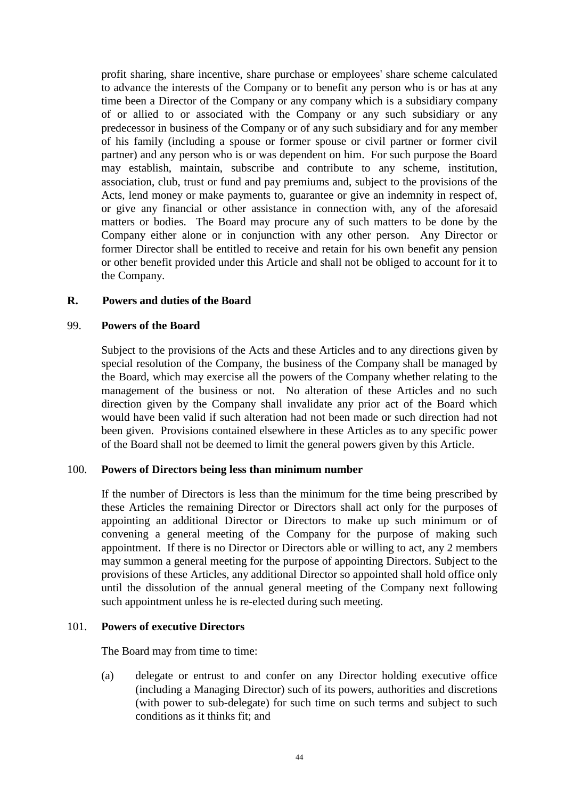profit sharing, share incentive, share purchase or employees' share scheme calculated to advance the interests of the Company or to benefit any person who is or has at any time been a Director of the Company or any company which is a subsidiary company of or allied to or associated with the Company or any such subsidiary or any predecessor in business of the Company or of any such subsidiary and for any member of his family (including a spouse or former spouse or civil partner or former civil partner) and any person who is or was dependent on him. For such purpose the Board may establish, maintain, subscribe and contribute to any scheme, institution, association, club, trust or fund and pay premiums and, subject to the provisions of the Acts, lend money or make payments to, guarantee or give an indemnity in respect of, or give any financial or other assistance in connection with, any of the aforesaid matters or bodies. The Board may procure any of such matters to be done by the Company either alone or in conjunction with any other person. Any Director or former Director shall be entitled to receive and retain for his own benefit any pension or other benefit provided under this Article and shall not be obliged to account for it to the Company.

## **R. Powers and duties of the Board**

### 99. **Powers of the Board**

Subject to the provisions of the Acts and these Articles and to any directions given by special resolution of the Company, the business of the Company shall be managed by the Board, which may exercise all the powers of the Company whether relating to the management of the business or not. No alteration of these Articles and no such direction given by the Company shall invalidate any prior act of the Board which would have been valid if such alteration had not been made or such direction had not been given. Provisions contained elsewhere in these Articles as to any specific power of the Board shall not be deemed to limit the general powers given by this Article.

### 100. **Powers of Directors being less than minimum number**

If the number of Directors is less than the minimum for the time being prescribed by these Articles the remaining Director or Directors shall act only for the purposes of appointing an additional Director or Directors to make up such minimum or of convening a general meeting of the Company for the purpose of making such appointment. If there is no Director or Directors able or willing to act, any 2 members may summon a general meeting for the purpose of appointing Directors. Subject to the provisions of these Articles, any additional Director so appointed shall hold office only until the dissolution of the annual general meeting of the Company next following such appointment unless he is re-elected during such meeting.

### 101. **Powers of executive Directors**

The Board may from time to time:

(a) delegate or entrust to and confer on any Director holding executive office (including a Managing Director) such of its powers, authorities and discretions (with power to sub-delegate) for such time on such terms and subject to such conditions as it thinks fit; and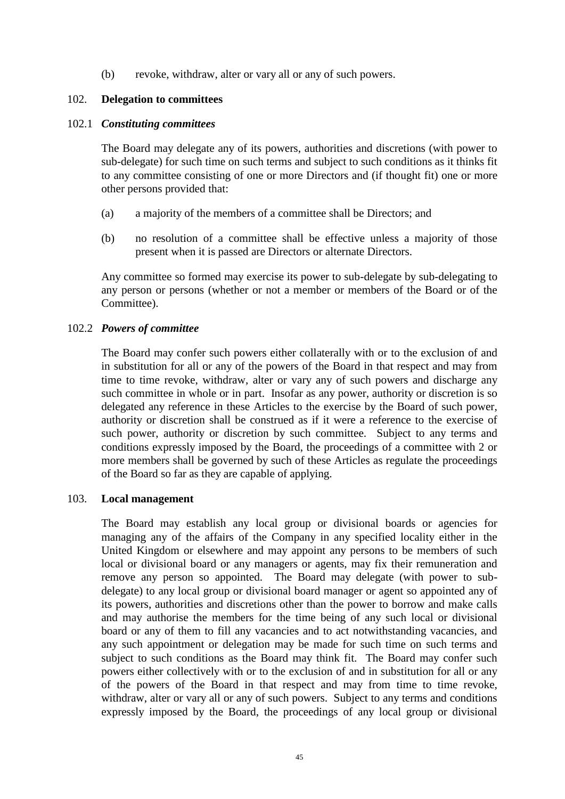(b) revoke, withdraw, alter or vary all or any of such powers.

# 102. **Delegation to committees**

#### 102.1 *Constituting committees*

The Board may delegate any of its powers, authorities and discretions (with power to sub-delegate) for such time on such terms and subject to such conditions as it thinks fit to any committee consisting of one or more Directors and (if thought fit) one or more other persons provided that:

- (a) a majority of the members of a committee shall be Directors; and
- (b) no resolution of a committee shall be effective unless a majority of those present when it is passed are Directors or alternate Directors.

Any committee so formed may exercise its power to sub-delegate by sub-delegating to any person or persons (whether or not a member or members of the Board or of the Committee).

### 102.2 *Powers of committee*

The Board may confer such powers either collaterally with or to the exclusion of and in substitution for all or any of the powers of the Board in that respect and may from time to time revoke, withdraw, alter or vary any of such powers and discharge any such committee in whole or in part. Insofar as any power, authority or discretion is so delegated any reference in these Articles to the exercise by the Board of such power, authority or discretion shall be construed as if it were a reference to the exercise of such power, authority or discretion by such committee. Subject to any terms and conditions expressly imposed by the Board, the proceedings of a committee with 2 or more members shall be governed by such of these Articles as regulate the proceedings of the Board so far as they are capable of applying.

### 103. **Local management**

The Board may establish any local group or divisional boards or agencies for managing any of the affairs of the Company in any specified locality either in the United Kingdom or elsewhere and may appoint any persons to be members of such local or divisional board or any managers or agents, may fix their remuneration and remove any person so appointed. The Board may delegate (with power to subdelegate) to any local group or divisional board manager or agent so appointed any of its powers, authorities and discretions other than the power to borrow and make calls and may authorise the members for the time being of any such local or divisional board or any of them to fill any vacancies and to act notwithstanding vacancies, and any such appointment or delegation may be made for such time on such terms and subject to such conditions as the Board may think fit. The Board may confer such powers either collectively with or to the exclusion of and in substitution for all or any of the powers of the Board in that respect and may from time to time revoke, withdraw, alter or vary all or any of such powers. Subject to any terms and conditions expressly imposed by the Board, the proceedings of any local group or divisional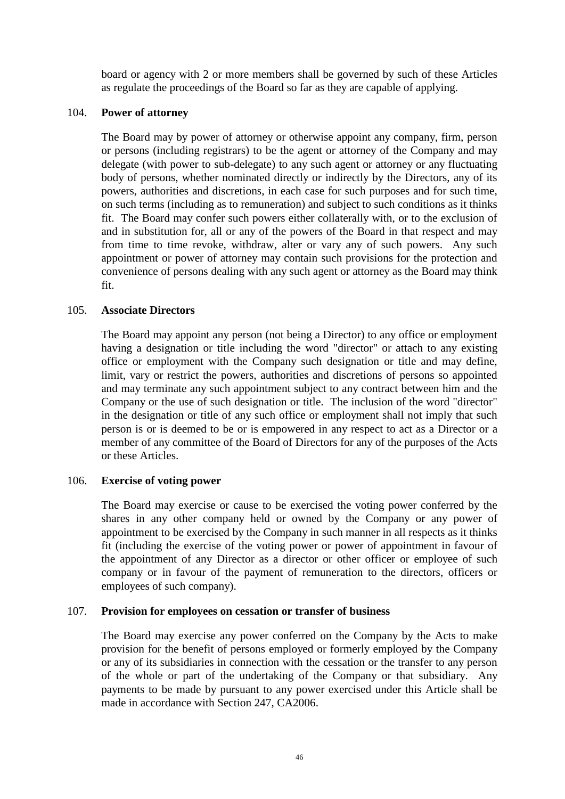board or agency with 2 or more members shall be governed by such of these Articles as regulate the proceedings of the Board so far as they are capable of applying.

#### 104. **Power of attorney**

The Board may by power of attorney or otherwise appoint any company, firm, person or persons (including registrars) to be the agent or attorney of the Company and may delegate (with power to sub-delegate) to any such agent or attorney or any fluctuating body of persons, whether nominated directly or indirectly by the Directors, any of its powers, authorities and discretions, in each case for such purposes and for such time, on such terms (including as to remuneration) and subject to such conditions as it thinks fit. The Board may confer such powers either collaterally with, or to the exclusion of and in substitution for, all or any of the powers of the Board in that respect and may from time to time revoke, withdraw, alter or vary any of such powers. Any such appointment or power of attorney may contain such provisions for the protection and convenience of persons dealing with any such agent or attorney as the Board may think fit.

### 105. **Associate Directors**

The Board may appoint any person (not being a Director) to any office or employment having a designation or title including the word "director" or attach to any existing office or employment with the Company such designation or title and may define, limit, vary or restrict the powers, authorities and discretions of persons so appointed and may terminate any such appointment subject to any contract between him and the Company or the use of such designation or title. The inclusion of the word "director" in the designation or title of any such office or employment shall not imply that such person is or is deemed to be or is empowered in any respect to act as a Director or a member of any committee of the Board of Directors for any of the purposes of the Acts or these Articles.

### 106. **Exercise of voting power**

The Board may exercise or cause to be exercised the voting power conferred by the shares in any other company held or owned by the Company or any power of appointment to be exercised by the Company in such manner in all respects as it thinks fit (including the exercise of the voting power or power of appointment in favour of the appointment of any Director as a director or other officer or employee of such company or in favour of the payment of remuneration to the directors, officers or employees of such company).

### 107. **Provision for employees on cessation or transfer of business**

The Board may exercise any power conferred on the Company by the Acts to make provision for the benefit of persons employed or formerly employed by the Company or any of its subsidiaries in connection with the cessation or the transfer to any person of the whole or part of the undertaking of the Company or that subsidiary. Any payments to be made by pursuant to any power exercised under this Article shall be made in accordance with Section 247, CA2006.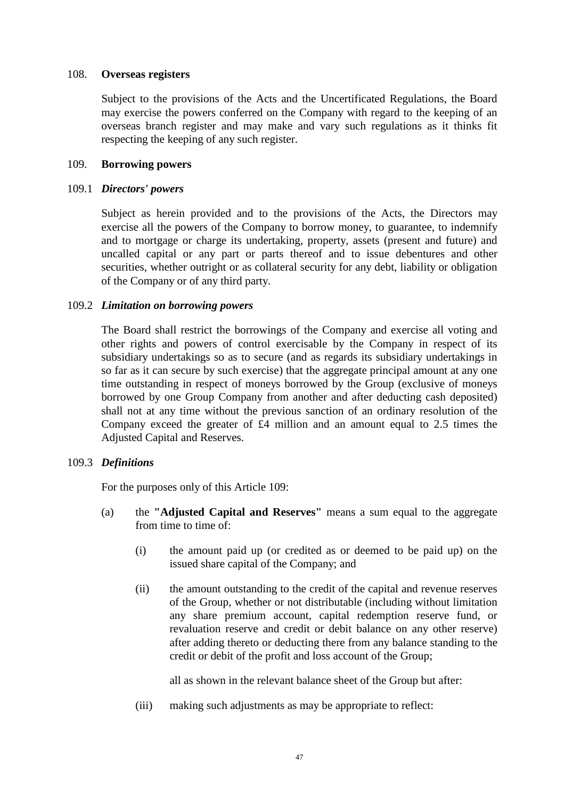#### 108. **Overseas registers**

Subject to the provisions of the Acts and the Uncertificated Regulations, the Board may exercise the powers conferred on the Company with regard to the keeping of an overseas branch register and may make and vary such regulations as it thinks fit respecting the keeping of any such register.

#### <span id="page-52-0"></span>109. **Borrowing powers**

#### 109.1 *Directors' powers*

Subject as herein provided and to the provisions of the Acts, the Directors may exercise all the powers of the Company to borrow money, to guarantee, to indemnify and to mortgage or charge its undertaking, property, assets (present and future) and uncalled capital or any part or parts thereof and to issue debentures and other securities, whether outright or as collateral security for any debt, liability or obligation of the Company or of any third party.

#### <span id="page-52-1"></span>109.2 *Limitation on borrowing powers*

The Board shall restrict the borrowings of the Company and exercise all voting and other rights and powers of control exercisable by the Company in respect of its subsidiary undertakings so as to secure (and as regards its subsidiary undertakings in so far as it can secure by such exercise) that the aggregate principal amount at any one time outstanding in respect of moneys borrowed by the Group (exclusive of moneys borrowed by one Group Company from another and after deducting cash deposited) shall not at any time without the previous sanction of an ordinary resolution of the Company exceed the greater of £4 million and an amount equal to 2.5 times the Adjusted Capital and Reserves.

### 109.3 *Definitions*

For the purposes only of this Article [109:](#page-52-0)

- (a) the **"Adjusted Capital and Reserves"** means a sum equal to the aggregate from time to time of:
	- (i) the amount paid up (or credited as or deemed to be paid up) on the issued share capital of the Company; and
	- (ii) the amount outstanding to the credit of the capital and revenue reserves of the Group, whether or not distributable (including without limitation any share premium account, capital redemption reserve fund, or revaluation reserve and credit or debit balance on any other reserve) after adding thereto or deducting there from any balance standing to the credit or debit of the profit and loss account of the Group;

all as shown in the relevant balance sheet of the Group but after:

(iii) making such adjustments as may be appropriate to reflect: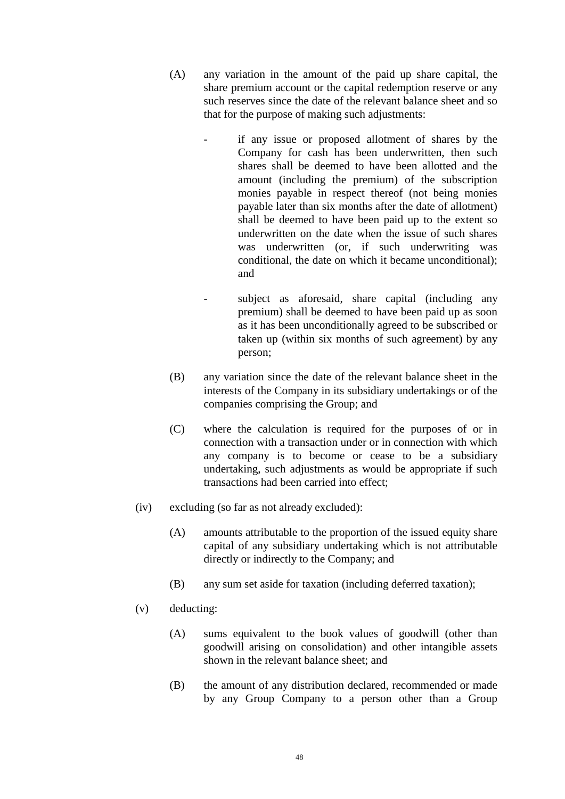- (A) any variation in the amount of the paid up share capital, the share premium account or the capital redemption reserve or any such reserves since the date of the relevant balance sheet and so that for the purpose of making such adjustments:
	- if any issue or proposed allotment of shares by the Company for cash has been underwritten, then such shares shall be deemed to have been allotted and the amount (including the premium) of the subscription monies payable in respect thereof (not being monies payable later than six months after the date of allotment) shall be deemed to have been paid up to the extent so underwritten on the date when the issue of such shares was underwritten (or, if such underwriting was conditional, the date on which it became unconditional); and
	- subject as aforesaid, share capital (including any premium) shall be deemed to have been paid up as soon as it has been unconditionally agreed to be subscribed or taken up (within six months of such agreement) by any person;
- (B) any variation since the date of the relevant balance sheet in the interests of the Company in its subsidiary undertakings or of the companies comprising the Group; and
- (C) where the calculation is required for the purposes of or in connection with a transaction under or in connection with which any company is to become or cease to be a subsidiary undertaking, such adjustments as would be appropriate if such transactions had been carried into effect;
- (iv) excluding (so far as not already excluded):
	- (A) amounts attributable to the proportion of the issued equity share capital of any subsidiary undertaking which is not attributable directly or indirectly to the Company; and
	- (B) any sum set aside for taxation (including deferred taxation);
- (v) deducting:
	- (A) sums equivalent to the book values of goodwill (other than goodwill arising on consolidation) and other intangible assets shown in the relevant balance sheet; and
	- (B) the amount of any distribution declared, recommended or made by any Group Company to a person other than a Group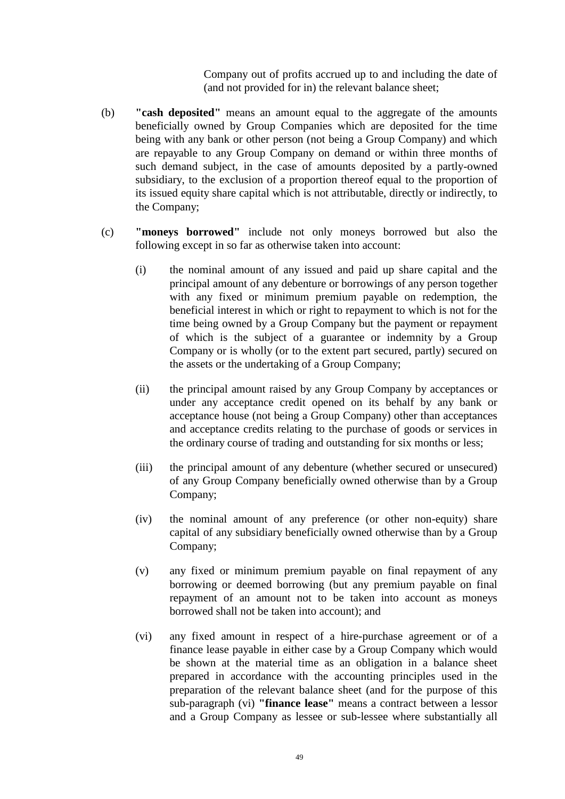Company out of profits accrued up to and including the date of (and not provided for in) the relevant balance sheet;

- (b) **"cash deposited"** means an amount equal to the aggregate of the amounts beneficially owned by Group Companies which are deposited for the time being with any bank or other person (not being a Group Company) and which are repayable to any Group Company on demand or within three months of such demand subject, in the case of amounts deposited by a partly-owned subsidiary, to the exclusion of a proportion thereof equal to the proportion of its issued equity share capital which is not attributable, directly or indirectly, to the Company;
- (c) **"moneys borrowed"** include not only moneys borrowed but also the following except in so far as otherwise taken into account:
	- (i) the nominal amount of any issued and paid up share capital and the principal amount of any debenture or borrowings of any person together with any fixed or minimum premium payable on redemption, the beneficial interest in which or right to repayment to which is not for the time being owned by a Group Company but the payment or repayment of which is the subject of a guarantee or indemnity by a Group Company or is wholly (or to the extent part secured, partly) secured on the assets or the undertaking of a Group Company;
	- (ii) the principal amount raised by any Group Company by acceptances or under any acceptance credit opened on its behalf by any bank or acceptance house (not being a Group Company) other than acceptances and acceptance credits relating to the purchase of goods or services in the ordinary course of trading and outstanding for six months or less;
	- (iii) the principal amount of any debenture (whether secured or unsecured) of any Group Company beneficially owned otherwise than by a Group Company;
	- (iv) the nominal amount of any preference (or other non-equity) share capital of any subsidiary beneficially owned otherwise than by a Group Company;
	- (v) any fixed or minimum premium payable on final repayment of any borrowing or deemed borrowing (but any premium payable on final repayment of an amount not to be taken into account as moneys borrowed shall not be taken into account); and
	- (vi) any fixed amount in respect of a hire-purchase agreement or of a finance lease payable in either case by a Group Company which would be shown at the material time as an obligation in a balance sheet prepared in accordance with the accounting principles used in the preparation of the relevant balance sheet (and for the purpose of this sub-paragraph (vi) **"finance lease"** means a contract between a lessor and a Group Company as lessee or sub-lessee where substantially all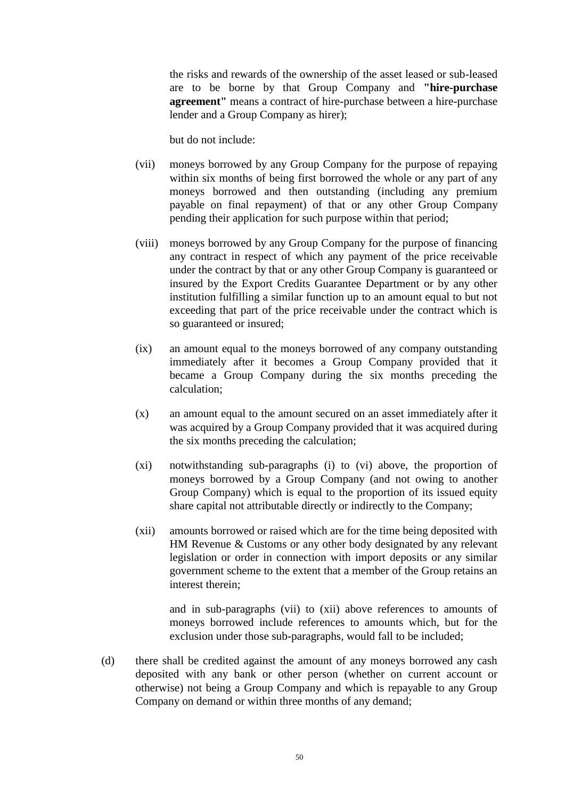the risks and rewards of the ownership of the asset leased or sub-leased are to be borne by that Group Company and **"hire-purchase agreement"** means a contract of hire-purchase between a hire-purchase lender and a Group Company as hirer);

but do not include:

- (vii) moneys borrowed by any Group Company for the purpose of repaying within six months of being first borrowed the whole or any part of any moneys borrowed and then outstanding (including any premium payable on final repayment) of that or any other Group Company pending their application for such purpose within that period;
- (viii) moneys borrowed by any Group Company for the purpose of financing any contract in respect of which any payment of the price receivable under the contract by that or any other Group Company is guaranteed or insured by the Export Credits Guarantee Department or by any other institution fulfilling a similar function up to an amount equal to but not exceeding that part of the price receivable under the contract which is so guaranteed or insured;
- (ix) an amount equal to the moneys borrowed of any company outstanding immediately after it becomes a Group Company provided that it became a Group Company during the six months preceding the calculation;
- (x) an amount equal to the amount secured on an asset immediately after it was acquired by a Group Company provided that it was acquired during the six months preceding the calculation;
- (xi) notwithstanding sub-paragraphs (i) to (vi) above, the proportion of moneys borrowed by a Group Company (and not owing to another Group Company) which is equal to the proportion of its issued equity share capital not attributable directly or indirectly to the Company;
- (xii) amounts borrowed or raised which are for the time being deposited with HM Revenue & Customs or any other body designated by any relevant legislation or order in connection with import deposits or any similar government scheme to the extent that a member of the Group retains an interest therein;

and in sub-paragraphs (vii) to (xii) above references to amounts of moneys borrowed include references to amounts which, but for the exclusion under those sub-paragraphs, would fall to be included;

(d) there shall be credited against the amount of any moneys borrowed any cash deposited with any bank or other person (whether on current account or otherwise) not being a Group Company and which is repayable to any Group Company on demand or within three months of any demand;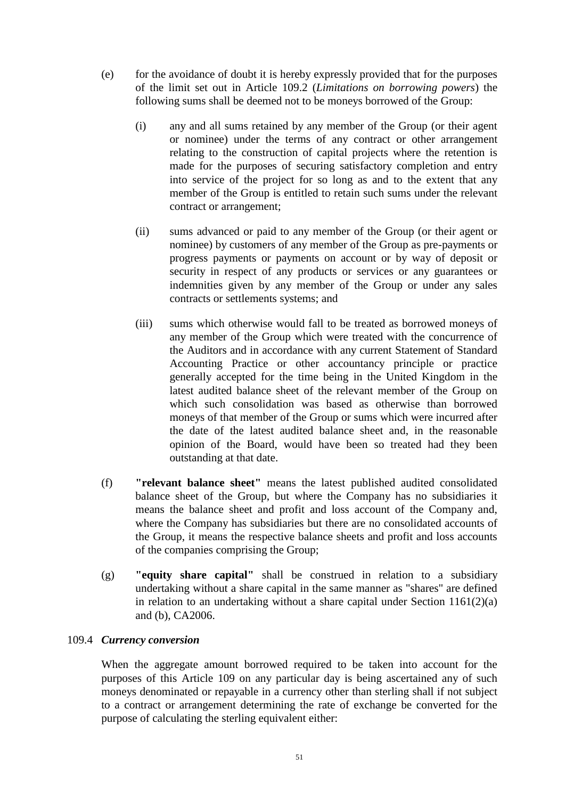- (e) for the avoidance of doubt it is hereby expressly provided that for the purposes of the limit set out in Article [109.2](#page-52-1) (*Limitations on borrowing powers*) the following sums shall be deemed not to be moneys borrowed of the Group:
	- (i) any and all sums retained by any member of the Group (or their agent or nominee) under the terms of any contract or other arrangement relating to the construction of capital projects where the retention is made for the purposes of securing satisfactory completion and entry into service of the project for so long as and to the extent that any member of the Group is entitled to retain such sums under the relevant contract or arrangement;
	- (ii) sums advanced or paid to any member of the Group (or their agent or nominee) by customers of any member of the Group as pre-payments or progress payments or payments on account or by way of deposit or security in respect of any products or services or any guarantees or indemnities given by any member of the Group or under any sales contracts or settlements systems; and
	- (iii) sums which otherwise would fall to be treated as borrowed moneys of any member of the Group which were treated with the concurrence of the Auditors and in accordance with any current Statement of Standard Accounting Practice or other accountancy principle or practice generally accepted for the time being in the United Kingdom in the latest audited balance sheet of the relevant member of the Group on which such consolidation was based as otherwise than borrowed moneys of that member of the Group or sums which were incurred after the date of the latest audited balance sheet and, in the reasonable opinion of the Board, would have been so treated had they been outstanding at that date.
- (f) **"relevant balance sheet"** means the latest published audited consolidated balance sheet of the Group, but where the Company has no subsidiaries it means the balance sheet and profit and loss account of the Company and, where the Company has subsidiaries but there are no consolidated accounts of the Group, it means the respective balance sheets and profit and loss accounts of the companies comprising the Group;
- (g) **"equity share capital"** shall be construed in relation to a subsidiary undertaking without a share capital in the same manner as "shares" are defined in relation to an undertaking without a share capital under Section 1161(2)(a) and (b), CA2006.

### <span id="page-56-0"></span>109.4 *Currency conversion*

When the aggregate amount borrowed required to be taken into account for the purposes of this Article [109](#page-52-0) on any particular day is being ascertained any of such moneys denominated or repayable in a currency other than sterling shall if not subject to a contract or arrangement determining the rate of exchange be converted for the purpose of calculating the sterling equivalent either: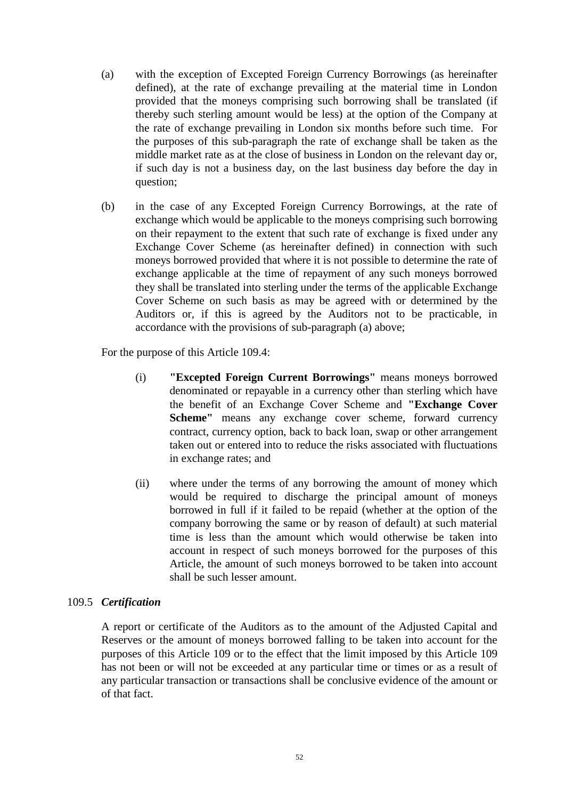- (a) with the exception of Excepted Foreign Currency Borrowings (as hereinafter defined), at the rate of exchange prevailing at the material time in London provided that the moneys comprising such borrowing shall be translated (if thereby such sterling amount would be less) at the option of the Company at the rate of exchange prevailing in London six months before such time. For the purposes of this sub-paragraph the rate of exchange shall be taken as the middle market rate as at the close of business in London on the relevant day or, if such day is not a business day, on the last business day before the day in question;
- (b) in the case of any Excepted Foreign Currency Borrowings, at the rate of exchange which would be applicable to the moneys comprising such borrowing on their repayment to the extent that such rate of exchange is fixed under any Exchange Cover Scheme (as hereinafter defined) in connection with such moneys borrowed provided that where it is not possible to determine the rate of exchange applicable at the time of repayment of any such moneys borrowed they shall be translated into sterling under the terms of the applicable Exchange Cover Scheme on such basis as may be agreed with or determined by the Auditors or, if this is agreed by the Auditors not to be practicable, in accordance with the provisions of sub-paragraph (a) above;

For the purpose of this Article [109.4:](#page-56-0)

- (i) **"Excepted Foreign Current Borrowings"** means moneys borrowed denominated or repayable in a currency other than sterling which have the benefit of an Exchange Cover Scheme and **"Exchange Cover Scheme"** means any exchange cover scheme, forward currency contract, currency option, back to back loan, swap or other arrangement taken out or entered into to reduce the risks associated with fluctuations in exchange rates; and
- (ii) where under the terms of any borrowing the amount of money which would be required to discharge the principal amount of moneys borrowed in full if it failed to be repaid (whether at the option of the company borrowing the same or by reason of default) at such material time is less than the amount which would otherwise be taken into account in respect of such moneys borrowed for the purposes of this Article, the amount of such moneys borrowed to be taken into account shall be such lesser amount.

### 109.5 *Certification*

A report or certificate of the Auditors as to the amount of the Adjusted Capital and Reserves or the amount of moneys borrowed falling to be taken into account for the purposes of this Article [109](#page-52-0) or to the effect that the limit imposed by this Article [109](#page-52-0) has not been or will not be exceeded at any particular time or times or as a result of any particular transaction or transactions shall be conclusive evidence of the amount or of that fact.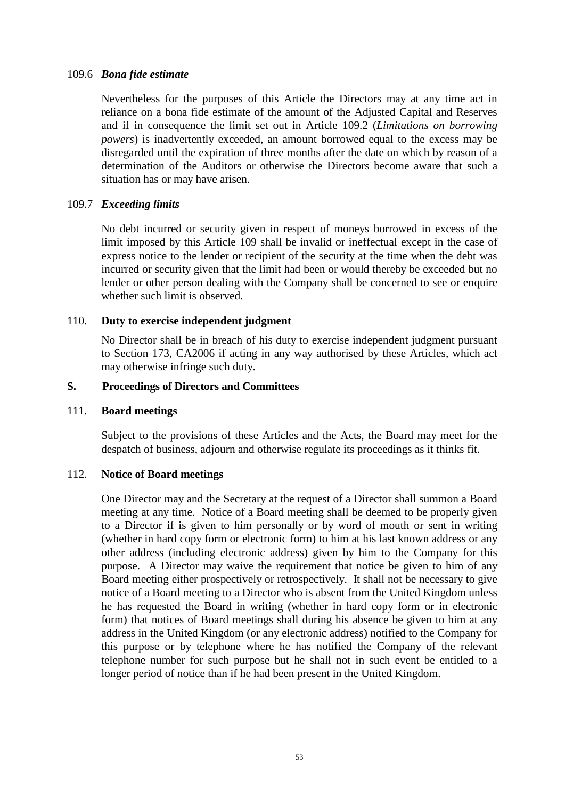#### 109.6 *Bona fide estimate*

Nevertheless for the purposes of this Article the Directors may at any time act in reliance on a bona fide estimate of the amount of the Adjusted Capital and Reserves and if in consequence the limit set out in Article [109.2](#page-52-1) (*Limitations on borrowing powers*) is inadvertently exceeded, an amount borrowed equal to the excess may be disregarded until the expiration of three months after the date on which by reason of a determination of the Auditors or otherwise the Directors become aware that such a situation has or may have arisen.

### 109.7 *Exceeding limits*

No debt incurred or security given in respect of moneys borrowed in excess of the limit imposed by this Article [109](#page-52-0) shall be invalid or ineffectual except in the case of express notice to the lender or recipient of the security at the time when the debt was incurred or security given that the limit had been or would thereby be exceeded but no lender or other person dealing with the Company shall be concerned to see or enquire whether such limit is observed.

## 110. **Duty to exercise independent judgment**

No Director shall be in breach of his duty to exercise independent judgment pursuant to Section 173, CA2006 if acting in any way authorised by these Articles, which act may otherwise infringe such duty.

### **S. Proceedings of Directors and Committees**

### 111. **Board meetings**

Subject to the provisions of these Articles and the Acts, the Board may meet for the despatch of business, adjourn and otherwise regulate its proceedings as it thinks fit.

### 112. **Notice of Board meetings**

One Director may and the Secretary at the request of a Director shall summon a Board meeting at any time. Notice of a Board meeting shall be deemed to be properly given to a Director if is given to him personally or by word of mouth or sent in writing (whether in hard copy form or electronic form) to him at his last known address or any other address (including electronic address) given by him to the Company for this purpose. A Director may waive the requirement that notice be given to him of any Board meeting either prospectively or retrospectively. It shall not be necessary to give notice of a Board meeting to a Director who is absent from the United Kingdom unless he has requested the Board in writing (whether in hard copy form or in electronic form) that notices of Board meetings shall during his absence be given to him at any address in the United Kingdom (or any electronic address) notified to the Company for this purpose or by telephone where he has notified the Company of the relevant telephone number for such purpose but he shall not in such event be entitled to a longer period of notice than if he had been present in the United Kingdom.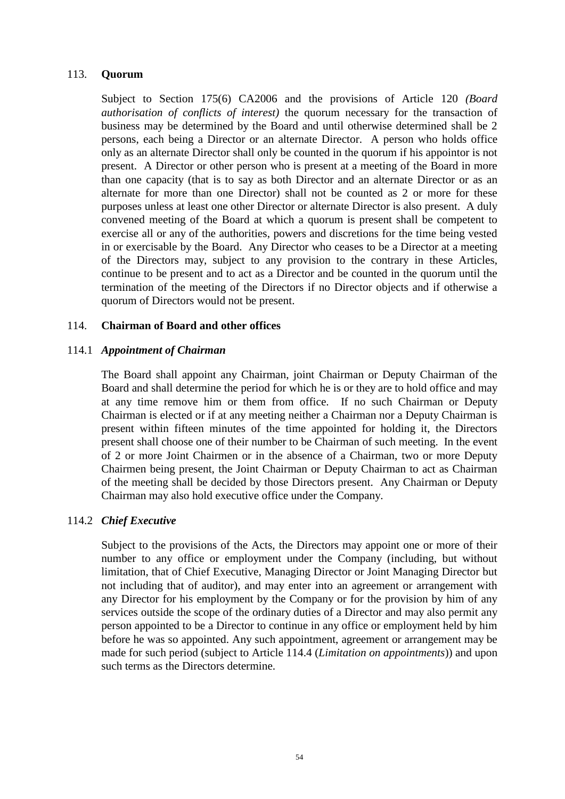#### 113. **Quorum**

Subject to Section 175(6) CA2006 and the provisions of Article [120](#page-62-0) *(Board authorisation of conflicts of interest)* the quorum necessary for the transaction of business may be determined by the Board and until otherwise determined shall be 2 persons, each being a Director or an alternate Director. A person who holds office only as an alternate Director shall only be counted in the quorum if his appointor is not present. A Director or other person who is present at a meeting of the Board in more than one capacity (that is to say as both Director and an alternate Director or as an alternate for more than one Director) shall not be counted as 2 or more for these purposes unless at least one other Director or alternate Director is also present. A duly convened meeting of the Board at which a quorum is present shall be competent to exercise all or any of the authorities, powers and discretions for the time being vested in or exercisable by the Board. Any Director who ceases to be a Director at a meeting of the Directors may, subject to any provision to the contrary in these Articles, continue to be present and to act as a Director and be counted in the quorum until the termination of the meeting of the Directors if no Director objects and if otherwise a quorum of Directors would not be present.

### 114. **Chairman of Board and other offices**

### 114.1 *Appointment of Chairman*

The Board shall appoint any Chairman, joint Chairman or Deputy Chairman of the Board and shall determine the period for which he is or they are to hold office and may at any time remove him or them from office. If no such Chairman or Deputy Chairman is elected or if at any meeting neither a Chairman nor a Deputy Chairman is present within fifteen minutes of the time appointed for holding it, the Directors present shall choose one of their number to be Chairman of such meeting. In the event of 2 or more Joint Chairmen or in the absence of a Chairman, two or more Deputy Chairmen being present, the Joint Chairman or Deputy Chairman to act as Chairman of the meeting shall be decided by those Directors present. Any Chairman or Deputy Chairman may also hold executive office under the Company.

### 114.2 *Chief Executive*

Subject to the provisions of the Acts, the Directors may appoint one or more of their number to any office or employment under the Company (including, but without limitation, that of Chief Executive, Managing Director or Joint Managing Director but not including that of auditor), and may enter into an agreement or arrangement with any Director for his employment by the Company or for the provision by him of any services outside the scope of the ordinary duties of a Director and may also permit any person appointed to be a Director to continue in any office or employment held by him before he was so appointed. Any such appointment, agreement or arrangement may be made for such period (subject to Article [114.4](#page-60-0) (*Limitation on appointments*)) and upon such terms as the Directors determine.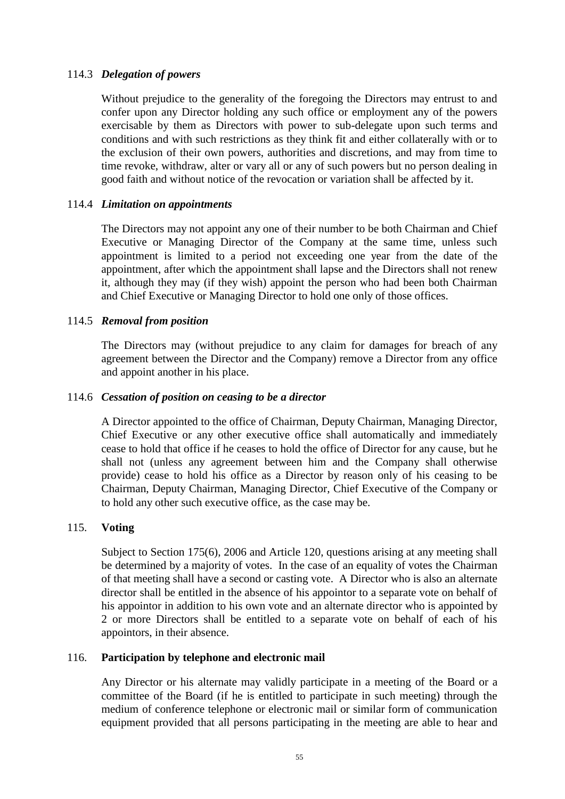## 114.3 *Delegation of powers*

Without prejudice to the generality of the foregoing the Directors may entrust to and confer upon any Director holding any such office or employment any of the powers exercisable by them as Directors with power to sub-delegate upon such terms and conditions and with such restrictions as they think fit and either collaterally with or to the exclusion of their own powers, authorities and discretions, and may from time to time revoke, withdraw, alter or vary all or any of such powers but no person dealing in good faith and without notice of the revocation or variation shall be affected by it.

## <span id="page-60-0"></span>114.4 *Limitation on appointments*

The Directors may not appoint any one of their number to be both Chairman and Chief Executive or Managing Director of the Company at the same time, unless such appointment is limited to a period not exceeding one year from the date of the appointment, after which the appointment shall lapse and the Directors shall not renew it, although they may (if they wish) appoint the person who had been both Chairman and Chief Executive or Managing Director to hold one only of those offices.

### 114.5 *Removal from position*

The Directors may (without prejudice to any claim for damages for breach of any agreement between the Director and the Company) remove a Director from any office and appoint another in his place.

## 114.6 *Cessation of position on ceasing to be a director*

A Director appointed to the office of Chairman, Deputy Chairman, Managing Director, Chief Executive or any other executive office shall automatically and immediately cease to hold that office if he ceases to hold the office of Director for any cause, but he shall not (unless any agreement between him and the Company shall otherwise provide) cease to hold his office as a Director by reason only of his ceasing to be Chairman, Deputy Chairman, Managing Director, Chief Executive of the Company or to hold any other such executive office, as the case may be.

### 115. **Voting**

Subject to Section 175(6), 2006 and Article [120,](#page-62-0) questions arising at any meeting shall be determined by a majority of votes. In the case of an equality of votes the Chairman of that meeting shall have a second or casting vote. A Director who is also an alternate director shall be entitled in the absence of his appointor to a separate vote on behalf of his appointor in addition to his own vote and an alternate director who is appointed by 2 or more Directors shall be entitled to a separate vote on behalf of each of his appointors, in their absence.

### 116. **Participation by telephone and electronic mail**

Any Director or his alternate may validly participate in a meeting of the Board or a committee of the Board (if he is entitled to participate in such meeting) through the medium of conference telephone or electronic mail or similar form of communication equipment provided that all persons participating in the meeting are able to hear and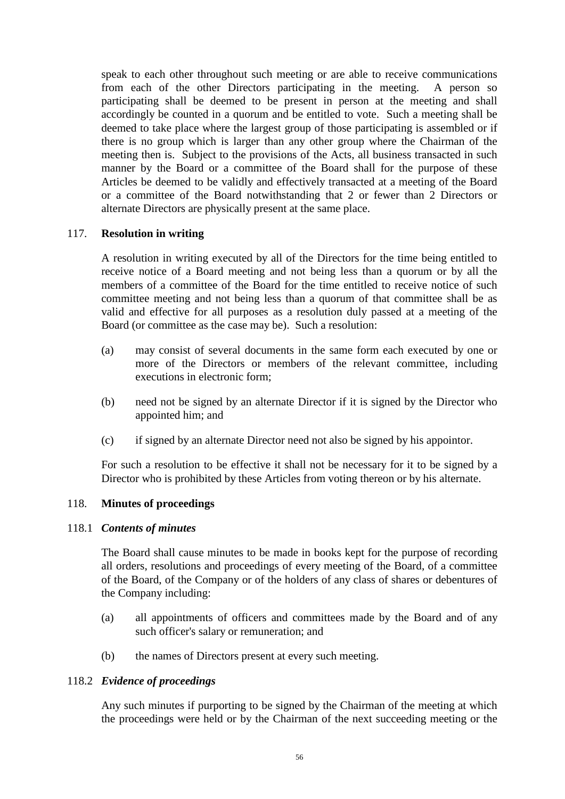speak to each other throughout such meeting or are able to receive communications from each of the other Directors participating in the meeting. A person so participating shall be deemed to be present in person at the meeting and shall accordingly be counted in a quorum and be entitled to vote. Such a meeting shall be deemed to take place where the largest group of those participating is assembled or if there is no group which is larger than any other group where the Chairman of the meeting then is. Subject to the provisions of the Acts, all business transacted in such manner by the Board or a committee of the Board shall for the purpose of these Articles be deemed to be validly and effectively transacted at a meeting of the Board or a committee of the Board notwithstanding that 2 or fewer than 2 Directors or alternate Directors are physically present at the same place.

## 117. **Resolution in writing**

A resolution in writing executed by all of the Directors for the time being entitled to receive notice of a Board meeting and not being less than a quorum or by all the members of a committee of the Board for the time entitled to receive notice of such committee meeting and not being less than a quorum of that committee shall be as valid and effective for all purposes as a resolution duly passed at a meeting of the Board (or committee as the case may be). Such a resolution:

- (a) may consist of several documents in the same form each executed by one or more of the Directors or members of the relevant committee, including executions in electronic form;
- (b) need not be signed by an alternate Director if it is signed by the Director who appointed him; and
- (c) if signed by an alternate Director need not also be signed by his appointor.

For such a resolution to be effective it shall not be necessary for it to be signed by a Director who is prohibited by these Articles from voting thereon or by his alternate.

# 118. **Minutes of proceedings**

### 118.1 *Contents of minutes*

The Board shall cause minutes to be made in books kept for the purpose of recording all orders, resolutions and proceedings of every meeting of the Board, of a committee of the Board, of the Company or of the holders of any class of shares or debentures of the Company including:

- (a) all appointments of officers and committees made by the Board and of any such officer's salary or remuneration; and
- (b) the names of Directors present at every such meeting.

### 118.2 *Evidence of proceedings*

Any such minutes if purporting to be signed by the Chairman of the meeting at which the proceedings were held or by the Chairman of the next succeeding meeting or the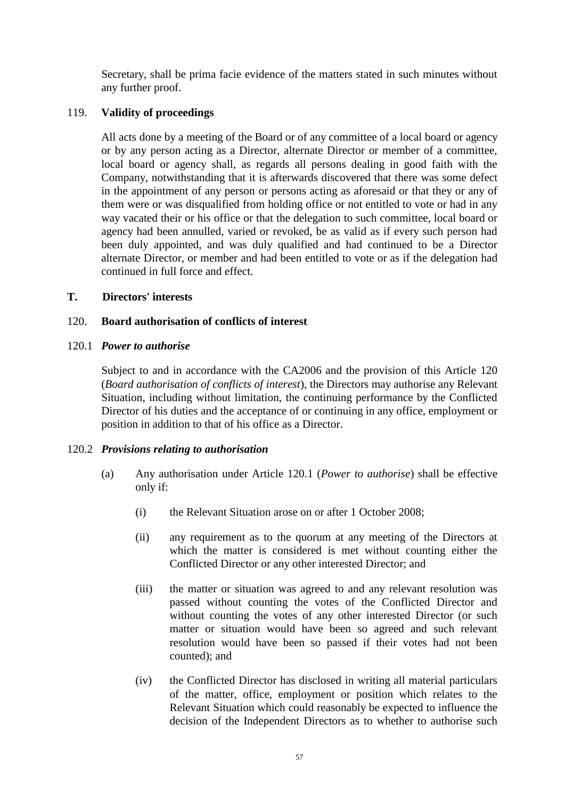Secretary, shall be prima facie evidence of the matters stated in such minutes without any further proof.

# 119. **Validity of proceedings**

All acts done by a meeting of the Board or of any committee of a local board or agency or by any person acting as a Director, alternate Director or member of a committee, local board or agency shall, as regards all persons dealing in good faith with the Company, notwithstanding that it is afterwards discovered that there was some defect in the appointment of any person or persons acting as aforesaid or that they or any of them were or was disqualified from holding office or not entitled to vote or had in any way vacated their or his office or that the delegation to such committee, local board or agency had been annulled, varied or revoked, be as valid as if every such person had been duly appointed, and was duly qualified and had continued to be a Director alternate Director, or member and had been entitled to vote or as if the delegation had continued in full force and effect.

# **T. Directors' interests**

# <span id="page-62-0"></span>120. **Board authorisation of conflicts of interest**

## <span id="page-62-1"></span>120.1 *Power to authorise*

Subject to and in accordance with the CA2006 and the provision of this Article [120](#page-62-0) (*Board authorisation of conflicts of interest*), the Directors may authorise any Relevant Situation, including without limitation, the continuing performance by the Conflicted Director of his duties and the acceptance of or continuing in any office, employment or position in addition to that of his office as a Director.

### 120.2 *Provisions relating to authorisation*

- (a) Any authorisation under Article [120.1](#page-62-1) (*Power to authorise*) shall be effective only if:
	- (i) the Relevant Situation arose on or after 1 October 2008;
	- (ii) any requirement as to the quorum at any meeting of the Directors at which the matter is considered is met without counting either the Conflicted Director or any other interested Director; and
	- (iii) the matter or situation was agreed to and any relevant resolution was passed without counting the votes of the Conflicted Director and without counting the votes of any other interested Director (or such matter or situation would have been so agreed and such relevant resolution would have been so passed if their votes had not been counted); and
	- (iv) the Conflicted Director has disclosed in writing all material particulars of the matter, office, employment or position which relates to the Relevant Situation which could reasonably be expected to influence the decision of the Independent Directors as to whether to authorise such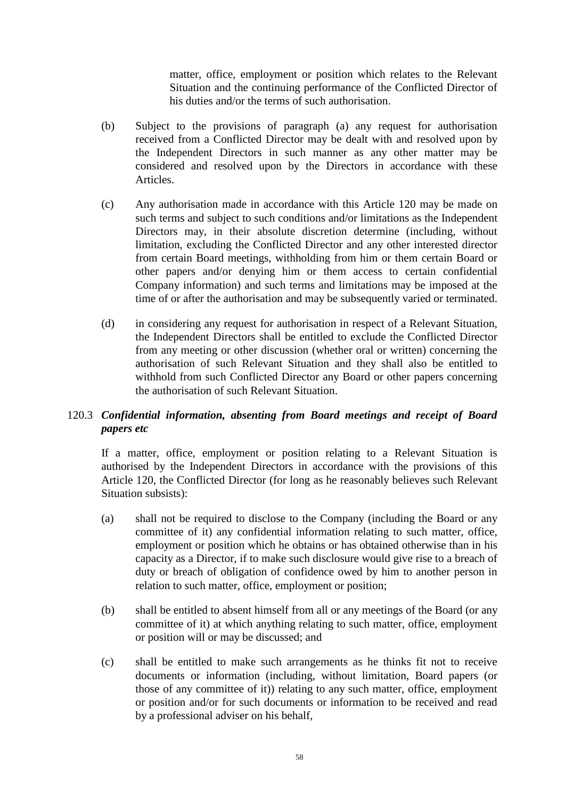matter, office, employment or position which relates to the Relevant Situation and the continuing performance of the Conflicted Director of his duties and/or the terms of such authorisation.

- (b) Subject to the provisions of paragraph (a) any request for authorisation received from a Conflicted Director may be dealt with and resolved upon by the Independent Directors in such manner as any other matter may be considered and resolved upon by the Directors in accordance with these Articles.
- (c) Any authorisation made in accordance with this Article [120](#page-62-0) may be made on such terms and subject to such conditions and/or limitations as the Independent Directors may, in their absolute discretion determine (including, without limitation, excluding the Conflicted Director and any other interested director from certain Board meetings, withholding from him or them certain Board or other papers and/or denying him or them access to certain confidential Company information) and such terms and limitations may be imposed at the time of or after the authorisation and may be subsequently varied or terminated.
- (d) in considering any request for authorisation in respect of a Relevant Situation, the Independent Directors shall be entitled to exclude the Conflicted Director from any meeting or other discussion (whether oral or written) concerning the authorisation of such Relevant Situation and they shall also be entitled to withhold from such Conflicted Director any Board or other papers concerning the authorisation of such Relevant Situation.

# <span id="page-63-0"></span>120.3 *Confidential information, absenting from Board meetings and receipt of Board papers etc*

If a matter, office, employment or position relating to a Relevant Situation is authorised by the Independent Directors in accordance with the provisions of this Article [120,](#page-62-0) the Conflicted Director (for long as he reasonably believes such Relevant Situation subsists):

- (a) shall not be required to disclose to the Company (including the Board or any committee of it) any confidential information relating to such matter, office, employment or position which he obtains or has obtained otherwise than in his capacity as a Director, if to make such disclosure would give rise to a breach of duty or breach of obligation of confidence owed by him to another person in relation to such matter, office, employment or position;
- (b) shall be entitled to absent himself from all or any meetings of the Board (or any committee of it) at which anything relating to such matter, office, employment or position will or may be discussed; and
- (c) shall be entitled to make such arrangements as he thinks fit not to receive documents or information (including, without limitation, Board papers (or those of any committee of it)) relating to any such matter, office, employment or position and/or for such documents or information to be received and read by a professional adviser on his behalf,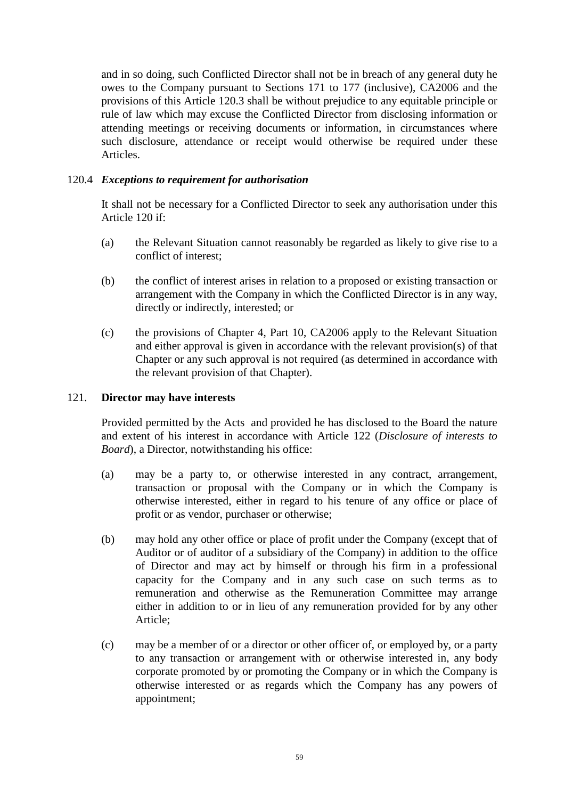and in so doing, such Conflicted Director shall not be in breach of any general duty he owes to the Company pursuant to Sections 171 to 177 (inclusive), CA2006 and the provisions of this Article [120.3](#page-63-0) shall be without prejudice to any equitable principle or rule of law which may excuse the Conflicted Director from disclosing information or attending meetings or receiving documents or information, in circumstances where such disclosure, attendance or receipt would otherwise be required under these Articles.

# 120.4 *Exceptions to requirement for authorisation*

It shall not be necessary for a Conflicted Director to seek any authorisation under this Article [120](#page-62-0) if:

- (a) the Relevant Situation cannot reasonably be regarded as likely to give rise to a conflict of interest;
- (b) the conflict of interest arises in relation to a proposed or existing transaction or arrangement with the Company in which the Conflicted Director is in any way, directly or indirectly, interested; or
- (c) the provisions of Chapter 4, Part 10, CA2006 apply to the Relevant Situation and either approval is given in accordance with the relevant provision(s) of that Chapter or any such approval is not required (as determined in accordance with the relevant provision of that Chapter).

## <span id="page-64-0"></span>121. **Director may have interests**

Provided permitted by the Acts and provided he has disclosed to the Board the nature and extent of his interest in accordance with Article [122](#page-65-0) (*Disclosure of interests to Board*), a Director, notwithstanding his office:

- (a) may be a party to, or otherwise interested in any contract, arrangement, transaction or proposal with the Company or in which the Company is otherwise interested, either in regard to his tenure of any office or place of profit or as vendor, purchaser or otherwise;
- (b) may hold any other office or place of profit under the Company (except that of Auditor or of auditor of a subsidiary of the Company) in addition to the office of Director and may act by himself or through his firm in a professional capacity for the Company and in any such case on such terms as to remuneration and otherwise as the Remuneration Committee may arrange either in addition to or in lieu of any remuneration provided for by any other Article;
- (c) may be a member of or a director or other officer of, or employed by, or a party to any transaction or arrangement with or otherwise interested in, any body corporate promoted by or promoting the Company or in which the Company is otherwise interested or as regards which the Company has any powers of appointment;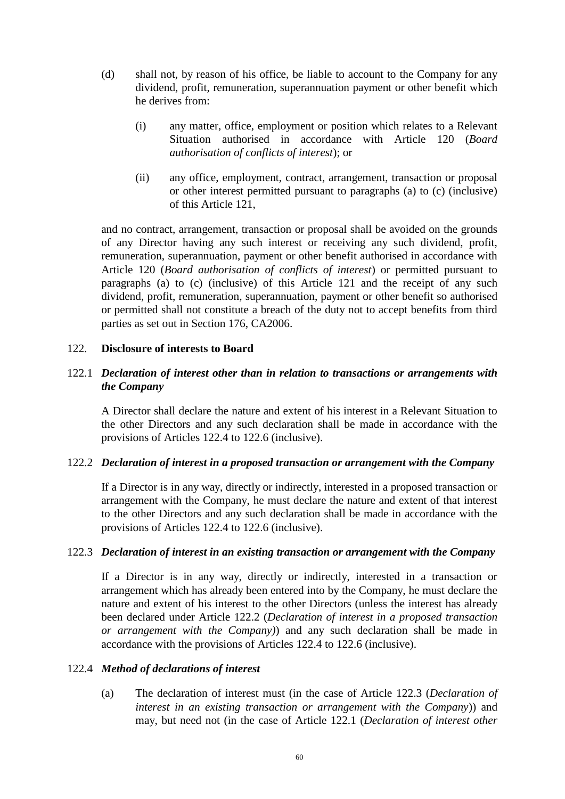- (d) shall not, by reason of his office, be liable to account to the Company for any dividend, profit, remuneration, superannuation payment or other benefit which he derives from:
	- (i) any matter, office, employment or position which relates to a Relevant Situation authorised in accordance with Article [120](#page-62-0) (*Board authorisation of conflicts of interest*); or
	- (ii) any office, employment, contract, arrangement, transaction or proposal or other interest permitted pursuant to paragraphs (a) to (c) (inclusive) of this Article [121,](#page-64-0)

and no contract, arrangement, transaction or proposal shall be avoided on the grounds of any Director having any such interest or receiving any such dividend, profit, remuneration, superannuation, payment or other benefit authorised in accordance with Article [120](#page-62-0) (*Board authorisation of conflicts of interest*) or permitted pursuant to paragraphs (a) to (c) (inclusive) of this Article [121](#page-64-0) and the receipt of any such dividend, profit, remuneration, superannuation, payment or other benefit so authorised or permitted shall not constitute a breach of the duty not to accept benefits from third parties as set out in Section 176, CA2006.

### <span id="page-65-0"></span>122. **Disclosure of interests to Board**

## <span id="page-65-4"></span>122.1 *Declaration of interest other than in relation to transactions or arrangements with the Company*

A Director shall declare the nature and extent of his interest in a Relevant Situation to the other Directors and any such declaration shall be made in accordance with the provisions of Articles [122.4](#page-65-1) to [122.6](#page-66-0) (inclusive).

### <span id="page-65-2"></span>122.2 *Declaration of interest in a proposed transaction or arrangement with the Company*

If a Director is in any way, directly or indirectly, interested in a proposed transaction or arrangement with the Company, he must declare the nature and extent of that interest to the other Directors and any such declaration shall be made in accordance with the provisions of Articles [122.4](#page-65-1) to [122.6](#page-66-0) (inclusive).

#### <span id="page-65-3"></span>122.3 *Declaration of interest in an existing transaction or arrangement with the Company*

If a Director is in any way, directly or indirectly, interested in a transaction or arrangement which has already been entered into by the Company, he must declare the nature and extent of his interest to the other Directors (unless the interest has already been declared under Article [122.2](#page-65-2) (*Declaration of interest in a proposed transaction or arrangement with the Company)*) and any such declaration shall be made in accordance with the provisions of Articles [122.4](#page-65-1) to [122.6](#page-66-0) (inclusive).

#### <span id="page-65-1"></span>122.4 *Method of declarations of interest*

(a) The declaration of interest must (in the case of Article [122.3](#page-65-3) (*Declaration of interest in an existing transaction or arrangement with the Company*)) and may, but need not (in the case of Article [122.1](#page-65-4) (*Declaration of interest other*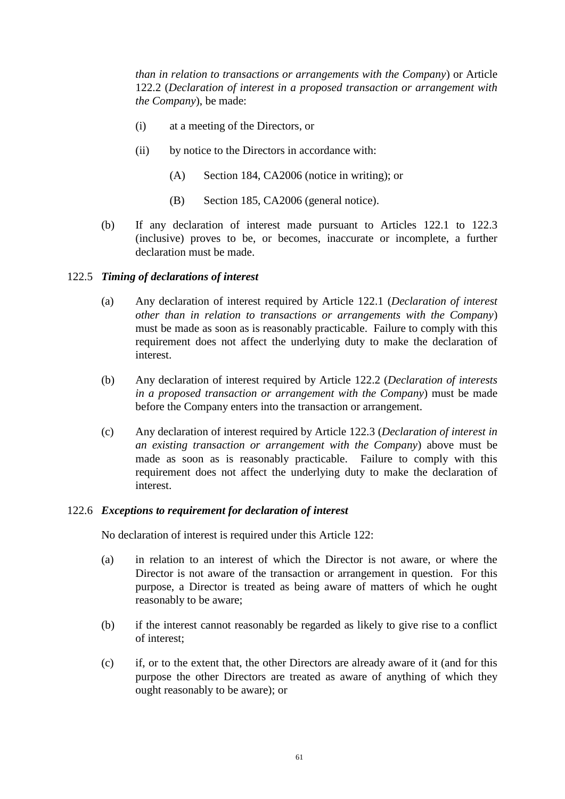*than in relation to transactions or arrangements with the Company*) or Article [122.2](#page-65-2) (*Declaration of interest in a proposed transaction or arrangement with the Company*), be made:

- (i) at a meeting of the Directors, or
- (ii) by notice to the Directors in accordance with:
	- (A) Section 184, CA2006 (notice in writing); or
	- (B) Section 185, CA2006 (general notice).
- (b) If any declaration of interest made pursuant to Articles [122.1](#page-65-4) to [122.3](#page-65-3) (inclusive) proves to be, or becomes, inaccurate or incomplete, a further declaration must be made.

## 122.5 *Timing of declarations of interest*

- (a) Any declaration of interest required by Article [122.1](#page-65-4) (*Declaration of interest other than in relation to transactions or arrangements with the Company*) must be made as soon as is reasonably practicable. Failure to comply with this requirement does not affect the underlying duty to make the declaration of interest.
- (b) Any declaration of interest required by Article [122.2](#page-65-2) (*Declaration of interests in a proposed transaction or arrangement with the Company*) must be made before the Company enters into the transaction or arrangement.
- (c) Any declaration of interest required by Article [122.3](#page-65-3) (*Declaration of interest in an existing transaction or arrangement with the Company*) above must be made as soon as is reasonably practicable. Failure to comply with this requirement does not affect the underlying duty to make the declaration of interest.

### <span id="page-66-0"></span>122.6 *Exceptions to requirement for declaration of interest*

No declaration of interest is required under this Article [122:](#page-65-0)

- (a) in relation to an interest of which the Director is not aware, or where the Director is not aware of the transaction or arrangement in question. For this purpose, a Director is treated as being aware of matters of which he ought reasonably to be aware;
- (b) if the interest cannot reasonably be regarded as likely to give rise to a conflict of interest;
- (c) if, or to the extent that, the other Directors are already aware of it (and for this purpose the other Directors are treated as aware of anything of which they ought reasonably to be aware); or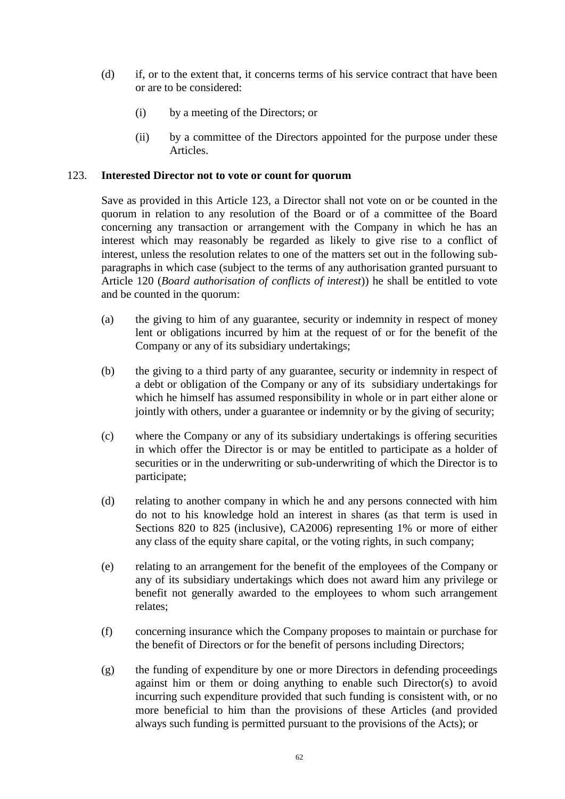- (d) if, or to the extent that, it concerns terms of his service contract that have been or are to be considered:
	- (i) by a meeting of the Directors; or
	- (ii) by a committee of the Directors appointed for the purpose under these Articles.

## <span id="page-67-0"></span>123. **Interested Director not to vote or count for quorum**

Save as provided in this Article [123,](#page-67-0) a Director shall not vote on or be counted in the quorum in relation to any resolution of the Board or of a committee of the Board concerning any transaction or arrangement with the Company in which he has an interest which may reasonably be regarded as likely to give rise to a conflict of interest, unless the resolution relates to one of the matters set out in the following subparagraphs in which case (subject to the terms of any authorisation granted pursuant to Article [120](#page-62-0) (*Board authorisation of conflicts of interest*)) he shall be entitled to vote and be counted in the quorum:

- (a) the giving to him of any guarantee, security or indemnity in respect of money lent or obligations incurred by him at the request of or for the benefit of the Company or any of its subsidiary undertakings;
- (b) the giving to a third party of any guarantee, security or indemnity in respect of a debt or obligation of the Company or any of its subsidiary undertakings for which he himself has assumed responsibility in whole or in part either alone or jointly with others, under a guarantee or indemnity or by the giving of security;
- (c) where the Company or any of its subsidiary undertakings is offering securities in which offer the Director is or may be entitled to participate as a holder of securities or in the underwriting or sub-underwriting of which the Director is to participate;
- (d) relating to another company in which he and any persons connected with him do not to his knowledge hold an interest in shares (as that term is used in Sections 820 to 825 (inclusive), CA2006) representing 1% or more of either any class of the equity share capital, or the voting rights, in such company;
- (e) relating to an arrangement for the benefit of the employees of the Company or any of its subsidiary undertakings which does not award him any privilege or benefit not generally awarded to the employees to whom such arrangement relates;
- (f) concerning insurance which the Company proposes to maintain or purchase for the benefit of Directors or for the benefit of persons including Directors;
- (g) the funding of expenditure by one or more Directors in defending proceedings against him or them or doing anything to enable such Director(s) to avoid incurring such expenditure provided that such funding is consistent with, or no more beneficial to him than the provisions of these Articles (and provided always such funding is permitted pursuant to the provisions of the Acts); or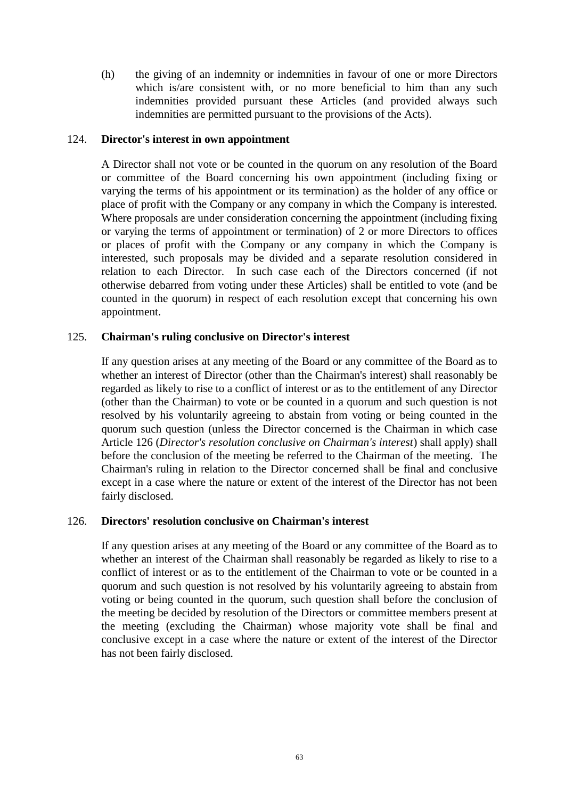(h) the giving of an indemnity or indemnities in favour of one or more Directors which is/are consistent with, or no more beneficial to him than any such indemnities provided pursuant these Articles (and provided always such indemnities are permitted pursuant to the provisions of the Acts).

### 124. **Director's interest in own appointment**

A Director shall not vote or be counted in the quorum on any resolution of the Board or committee of the Board concerning his own appointment (including fixing or varying the terms of his appointment or its termination) as the holder of any office or place of profit with the Company or any company in which the Company is interested. Where proposals are under consideration concerning the appointment (including fixing or varying the terms of appointment or termination) of 2 or more Directors to offices or places of profit with the Company or any company in which the Company is interested, such proposals may be divided and a separate resolution considered in relation to each Director. In such case each of the Directors concerned (if not otherwise debarred from voting under these Articles) shall be entitled to vote (and be counted in the quorum) in respect of each resolution except that concerning his own appointment.

### 125. **Chairman's ruling conclusive on Director's interest**

If any question arises at any meeting of the Board or any committee of the Board as to whether an interest of Director (other than the Chairman's interest) shall reasonably be regarded as likely to rise to a conflict of interest or as to the entitlement of any Director (other than the Chairman) to vote or be counted in a quorum and such question is not resolved by his voluntarily agreeing to abstain from voting or being counted in the quorum such question (unless the Director concerned is the Chairman in which case Article [126](#page-68-0) (*Director's resolution conclusive on Chairman's interest*) shall apply) shall before the conclusion of the meeting be referred to the Chairman of the meeting. The Chairman's ruling in relation to the Director concerned shall be final and conclusive except in a case where the nature or extent of the interest of the Director has not been fairly disclosed.

### <span id="page-68-0"></span>126. **Directors' resolution conclusive on Chairman's interest**

If any question arises at any meeting of the Board or any committee of the Board as to whether an interest of the Chairman shall reasonably be regarded as likely to rise to a conflict of interest or as to the entitlement of the Chairman to vote or be counted in a quorum and such question is not resolved by his voluntarily agreeing to abstain from voting or being counted in the quorum, such question shall before the conclusion of the meeting be decided by resolution of the Directors or committee members present at the meeting (excluding the Chairman) whose majority vote shall be final and conclusive except in a case where the nature or extent of the interest of the Director has not been fairly disclosed.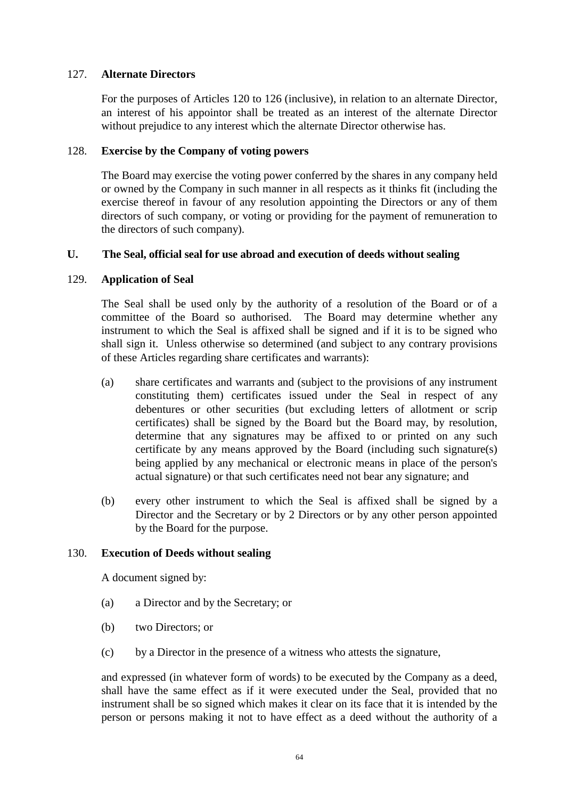## 127. **Alternate Directors**

For the purposes of Articles [120](#page-62-0) to [126](#page-68-0) (inclusive), in relation to an alternate Director, an interest of his appointor shall be treated as an interest of the alternate Director without prejudice to any interest which the alternate Director otherwise has.

### 128. **Exercise by the Company of voting powers**

The Board may exercise the voting power conferred by the shares in any company held or owned by the Company in such manner in all respects as it thinks fit (including the exercise thereof in favour of any resolution appointing the Directors or any of them directors of such company, or voting or providing for the payment of remuneration to the directors of such company).

### **U. The Seal, official seal for use abroad and execution of deeds without sealing**

### 129. **Application of Seal**

The Seal shall be used only by the authority of a resolution of the Board or of a committee of the Board so authorised. The Board may determine whether any instrument to which the Seal is affixed shall be signed and if it is to be signed who shall sign it. Unless otherwise so determined (and subject to any contrary provisions of these Articles regarding share certificates and warrants):

- (a) share certificates and warrants and (subject to the provisions of any instrument constituting them) certificates issued under the Seal in respect of any debentures or other securities (but excluding letters of allotment or scrip certificates) shall be signed by the Board but the Board may, by resolution, determine that any signatures may be affixed to or printed on any such certificate by any means approved by the Board (including such signature(s) being applied by any mechanical or electronic means in place of the person's actual signature) or that such certificates need not bear any signature; and
- (b) every other instrument to which the Seal is affixed shall be signed by a Director and the Secretary or by 2 Directors or by any other person appointed by the Board for the purpose.

### 130. **Execution of Deeds without sealing**

A document signed by:

- (a) a Director and by the Secretary; or
- (b) two Directors; or
- (c) by a Director in the presence of a witness who attests the signature,

and expressed (in whatever form of words) to be executed by the Company as a deed, shall have the same effect as if it were executed under the Seal, provided that no instrument shall be so signed which makes it clear on its face that it is intended by the person or persons making it not to have effect as a deed without the authority of a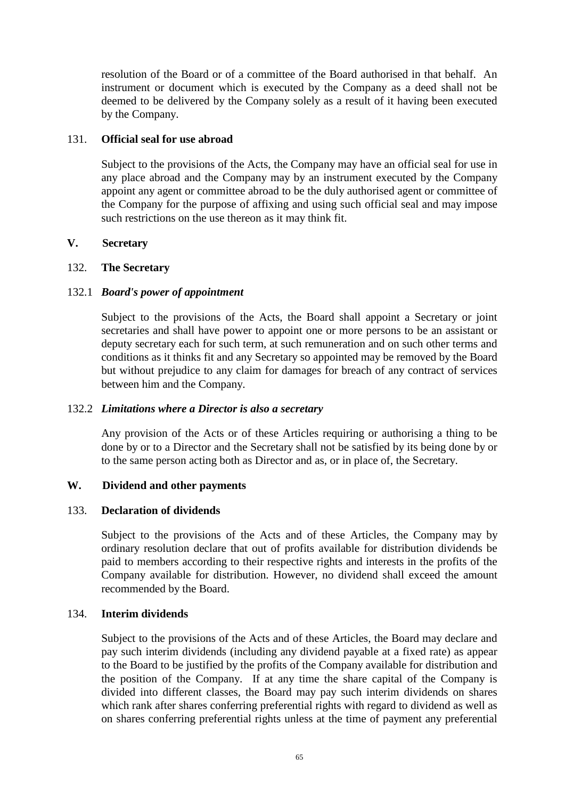resolution of the Board or of a committee of the Board authorised in that behalf. An instrument or document which is executed by the Company as a deed shall not be deemed to be delivered by the Company solely as a result of it having been executed by the Company.

## 131. **Official seal for use abroad**

Subject to the provisions of the Acts, the Company may have an official seal for use in any place abroad and the Company may by an instrument executed by the Company appoint any agent or committee abroad to be the duly authorised agent or committee of the Company for the purpose of affixing and using such official seal and may impose such restrictions on the use thereon as it may think fit.

## **V. Secretary**

## 132. **The Secretary**

# 132.1 *Board's power of appointment*

Subject to the provisions of the Acts, the Board shall appoint a Secretary or joint secretaries and shall have power to appoint one or more persons to be an assistant or deputy secretary each for such term, at such remuneration and on such other terms and conditions as it thinks fit and any Secretary so appointed may be removed by the Board but without prejudice to any claim for damages for breach of any contract of services between him and the Company.

### 132.2 *Limitations where a Director is also a secretary*

Any provision of the Acts or of these Articles requiring or authorising a thing to be done by or to a Director and the Secretary shall not be satisfied by its being done by or to the same person acting both as Director and as, or in place of, the Secretary.

# **W. Dividend and other payments**

### 133. **Declaration of dividends**

Subject to the provisions of the Acts and of these Articles, the Company may by ordinary resolution declare that out of profits available for distribution dividends be paid to members according to their respective rights and interests in the profits of the Company available for distribution. However, no dividend shall exceed the amount recommended by the Board.

## 134. **Interim dividends**

Subject to the provisions of the Acts and of these Articles, the Board may declare and pay such interim dividends (including any dividend payable at a fixed rate) as appear to the Board to be justified by the profits of the Company available for distribution and the position of the Company. If at any time the share capital of the Company is divided into different classes, the Board may pay such interim dividends on shares which rank after shares conferring preferential rights with regard to dividend as well as on shares conferring preferential rights unless at the time of payment any preferential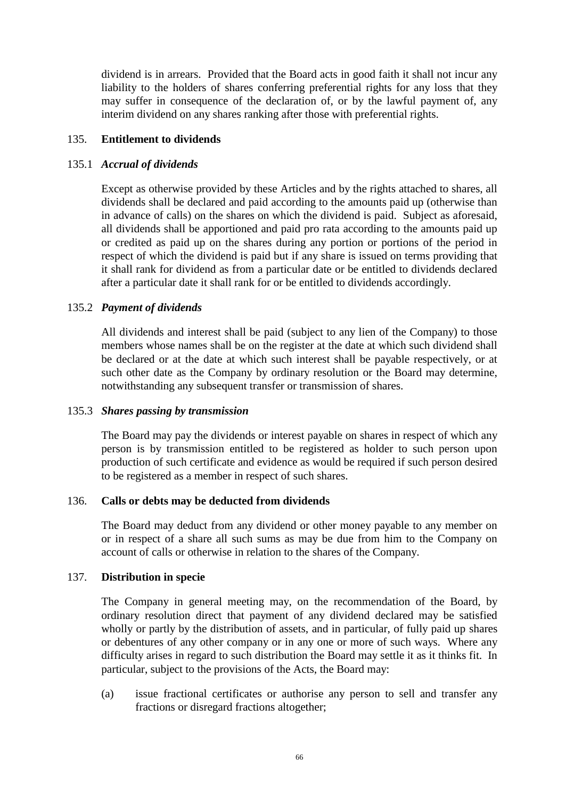dividend is in arrears. Provided that the Board acts in good faith it shall not incur any liability to the holders of shares conferring preferential rights for any loss that they may suffer in consequence of the declaration of, or by the lawful payment of, any interim dividend on any shares ranking after those with preferential rights.

## 135. **Entitlement to dividends**

## 135.1 *Accrual of dividends*

Except as otherwise provided by these Articles and by the rights attached to shares, all dividends shall be declared and paid according to the amounts paid up (otherwise than in advance of calls) on the shares on which the dividend is paid. Subject as aforesaid, all dividends shall be apportioned and paid pro rata according to the amounts paid up or credited as paid up on the shares during any portion or portions of the period in respect of which the dividend is paid but if any share is issued on terms providing that it shall rank for dividend as from a particular date or be entitled to dividends declared after a particular date it shall rank for or be entitled to dividends accordingly.

## 135.2 *Payment of dividends*

All dividends and interest shall be paid (subject to any lien of the Company) to those members whose names shall be on the register at the date at which such dividend shall be declared or at the date at which such interest shall be payable respectively, or at such other date as the Company by ordinary resolution or the Board may determine, notwithstanding any subsequent transfer or transmission of shares.

## 135.3 *Shares passing by transmission*

The Board may pay the dividends or interest payable on shares in respect of which any person is by transmission entitled to be registered as holder to such person upon production of such certificate and evidence as would be required if such person desired to be registered as a member in respect of such shares.

### 136. **Calls or debts may be deducted from dividends**

The Board may deduct from any dividend or other money payable to any member on or in respect of a share all such sums as may be due from him to the Company on account of calls or otherwise in relation to the shares of the Company.

### 137. **Distribution in specie**

The Company in general meeting may, on the recommendation of the Board, by ordinary resolution direct that payment of any dividend declared may be satisfied wholly or partly by the distribution of assets, and in particular, of fully paid up shares or debentures of any other company or in any one or more of such ways. Where any difficulty arises in regard to such distribution the Board may settle it as it thinks fit. In particular, subject to the provisions of the Acts, the Board may:

(a) issue fractional certificates or authorise any person to sell and transfer any fractions or disregard fractions altogether;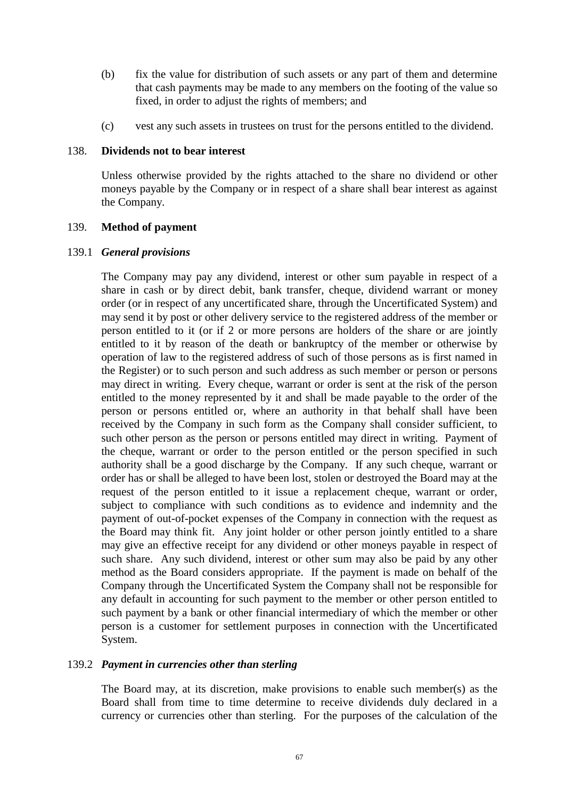- (b) fix the value for distribution of such assets or any part of them and determine that cash payments may be made to any members on the footing of the value so fixed, in order to adjust the rights of members; and
- (c) vest any such assets in trustees on trust for the persons entitled to the dividend.

# 138. **Dividends not to bear interest**

Unless otherwise provided by the rights attached to the share no dividend or other moneys payable by the Company or in respect of a share shall bear interest as against the Company.

#### 139. **Method of payment**

#### 139.1 *General provisions*

The Company may pay any dividend, interest or other sum payable in respect of a share in cash or by direct debit, bank transfer, cheque, dividend warrant or money order (or in respect of any uncertificated share, through the Uncertificated System) and may send it by post or other delivery service to the registered address of the member or person entitled to it (or if 2 or more persons are holders of the share or are jointly entitled to it by reason of the death or bankruptcy of the member or otherwise by operation of law to the registered address of such of those persons as is first named in the Register) or to such person and such address as such member or person or persons may direct in writing. Every cheque, warrant or order is sent at the risk of the person entitled to the money represented by it and shall be made payable to the order of the person or persons entitled or, where an authority in that behalf shall have been received by the Company in such form as the Company shall consider sufficient, to such other person as the person or persons entitled may direct in writing. Payment of the cheque, warrant or order to the person entitled or the person specified in such authority shall be a good discharge by the Company. If any such cheque, warrant or order has or shall be alleged to have been lost, stolen or destroyed the Board may at the request of the person entitled to it issue a replacement cheque, warrant or order, subject to compliance with such conditions as to evidence and indemnity and the payment of out-of-pocket expenses of the Company in connection with the request as the Board may think fit. Any joint holder or other person jointly entitled to a share may give an effective receipt for any dividend or other moneys payable in respect of such share. Any such dividend, interest or other sum may also be paid by any other method as the Board considers appropriate. If the payment is made on behalf of the Company through the Uncertificated System the Company shall not be responsible for any default in accounting for such payment to the member or other person entitled to such payment by a bank or other financial intermediary of which the member or other person is a customer for settlement purposes in connection with the Uncertificated System.

## 139.2 *Payment in currencies other than sterling*

The Board may, at its discretion, make provisions to enable such member(s) as the Board shall from time to time determine to receive dividends duly declared in a currency or currencies other than sterling. For the purposes of the calculation of the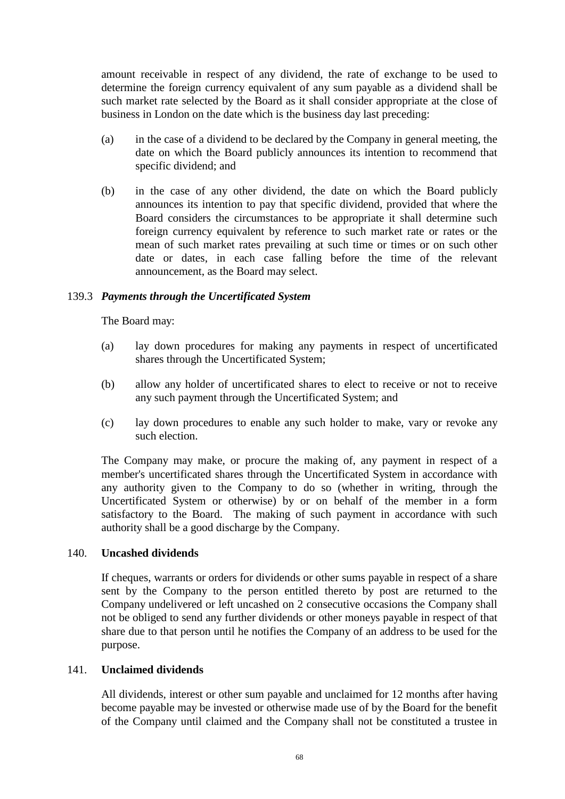amount receivable in respect of any dividend, the rate of exchange to be used to determine the foreign currency equivalent of any sum payable as a dividend shall be such market rate selected by the Board as it shall consider appropriate at the close of business in London on the date which is the business day last preceding:

- (a) in the case of a dividend to be declared by the Company in general meeting, the date on which the Board publicly announces its intention to recommend that specific dividend; and
- (b) in the case of any other dividend, the date on which the Board publicly announces its intention to pay that specific dividend, provided that where the Board considers the circumstances to be appropriate it shall determine such foreign currency equivalent by reference to such market rate or rates or the mean of such market rates prevailing at such time or times or on such other date or dates, in each case falling before the time of the relevant announcement, as the Board may select.

# 139.3 *Payments through the Uncertificated System*

The Board may:

- (a) lay down procedures for making any payments in respect of uncertificated shares through the Uncertificated System;
- (b) allow any holder of uncertificated shares to elect to receive or not to receive any such payment through the Uncertificated System; and
- (c) lay down procedures to enable any such holder to make, vary or revoke any such election.

The Company may make, or procure the making of, any payment in respect of a member's uncertificated shares through the Uncertificated System in accordance with any authority given to the Company to do so (whether in writing, through the Uncertificated System or otherwise) by or on behalf of the member in a form satisfactory to the Board. The making of such payment in accordance with such authority shall be a good discharge by the Company.

# 140. **Uncashed dividends**

If cheques, warrants or orders for dividends or other sums payable in respect of a share sent by the Company to the person entitled thereto by post are returned to the Company undelivered or left uncashed on 2 consecutive occasions the Company shall not be obliged to send any further dividends or other moneys payable in respect of that share due to that person until he notifies the Company of an address to be used for the purpose.

# 141. **Unclaimed dividends**

All dividends, interest or other sum payable and unclaimed for 12 months after having become payable may be invested or otherwise made use of by the Board for the benefit of the Company until claimed and the Company shall not be constituted a trustee in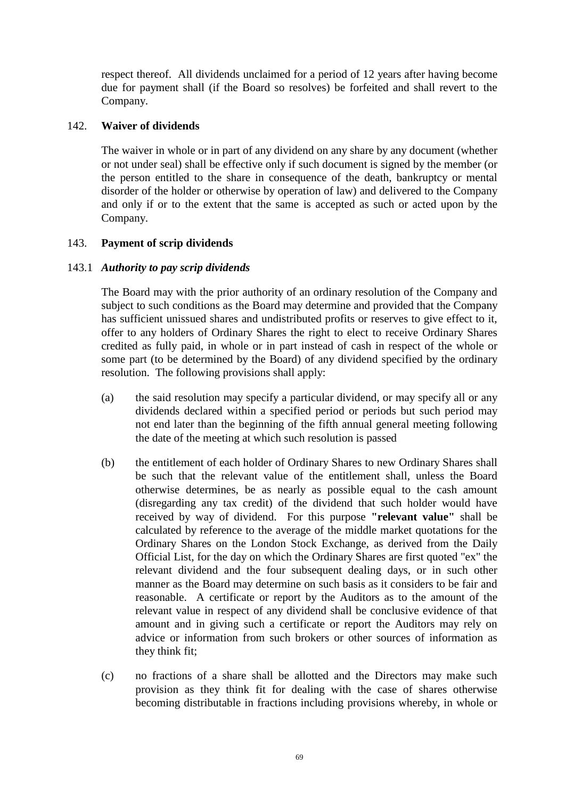respect thereof. All dividends unclaimed for a period of 12 years after having become due for payment shall (if the Board so resolves) be forfeited and shall revert to the Company.

# 142. **Waiver of dividends**

The waiver in whole or in part of any dividend on any share by any document (whether or not under seal) shall be effective only if such document is signed by the member (or the person entitled to the share in consequence of the death, bankruptcy or mental disorder of the holder or otherwise by operation of law) and delivered to the Company and only if or to the extent that the same is accepted as such or acted upon by the Company.

# 143. **Payment of scrip dividends**

# 143.1 *Authority to pay scrip dividends*

The Board may with the prior authority of an ordinary resolution of the Company and subject to such conditions as the Board may determine and provided that the Company has sufficient unissued shares and undistributed profits or reserves to give effect to it, offer to any holders of Ordinary Shares the right to elect to receive Ordinary Shares credited as fully paid, in whole or in part instead of cash in respect of the whole or some part (to be determined by the Board) of any dividend specified by the ordinary resolution. The following provisions shall apply:

- (a) the said resolution may specify a particular dividend, or may specify all or any dividends declared within a specified period or periods but such period may not end later than the beginning of the fifth annual general meeting following the date of the meeting at which such resolution is passed
- (b) the entitlement of each holder of Ordinary Shares to new Ordinary Shares shall be such that the relevant value of the entitlement shall, unless the Board otherwise determines, be as nearly as possible equal to the cash amount (disregarding any tax credit) of the dividend that such holder would have received by way of dividend. For this purpose **"relevant value"** shall be calculated by reference to the average of the middle market quotations for the Ordinary Shares on the London Stock Exchange, as derived from the Daily Official List, for the day on which the Ordinary Shares are first quoted "ex" the relevant dividend and the four subsequent dealing days, or in such other manner as the Board may determine on such basis as it considers to be fair and reasonable. A certificate or report by the Auditors as to the amount of the relevant value in respect of any dividend shall be conclusive evidence of that amount and in giving such a certificate or report the Auditors may rely on advice or information from such brokers or other sources of information as they think fit;
- (c) no fractions of a share shall be allotted and the Directors may make such provision as they think fit for dealing with the case of shares otherwise becoming distributable in fractions including provisions whereby, in whole or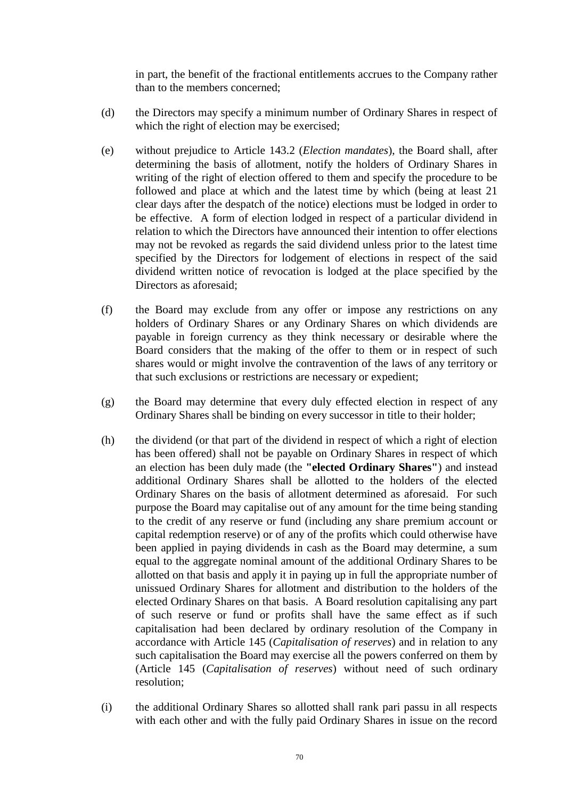in part, the benefit of the fractional entitlements accrues to the Company rather than to the members concerned;

- (d) the Directors may specify a minimum number of Ordinary Shares in respect of which the right of election may be exercised;
- (e) without prejudice to Article [143.2](#page-76-0) (*Election mandates*), the Board shall, after determining the basis of allotment, notify the holders of Ordinary Shares in writing of the right of election offered to them and specify the procedure to be followed and place at which and the latest time by which (being at least 21 clear days after the despatch of the notice) elections must be lodged in order to be effective. A form of election lodged in respect of a particular dividend in relation to which the Directors have announced their intention to offer elections may not be revoked as regards the said dividend unless prior to the latest time specified by the Directors for lodgement of elections in respect of the said dividend written notice of revocation is lodged at the place specified by the Directors as aforesaid;
- (f) the Board may exclude from any offer or impose any restrictions on any holders of Ordinary Shares or any Ordinary Shares on which dividends are payable in foreign currency as they think necessary or desirable where the Board considers that the making of the offer to them or in respect of such shares would or might involve the contravention of the laws of any territory or that such exclusions or restrictions are necessary or expedient;
- (g) the Board may determine that every duly effected election in respect of any Ordinary Shares shall be binding on every successor in title to their holder;
- (h) the dividend (or that part of the dividend in respect of which a right of election has been offered) shall not be payable on Ordinary Shares in respect of which an election has been duly made (the **"elected Ordinary Shares"**) and instead additional Ordinary Shares shall be allotted to the holders of the elected Ordinary Shares on the basis of allotment determined as aforesaid. For such purpose the Board may capitalise out of any amount for the time being standing to the credit of any reserve or fund (including any share premium account or capital redemption reserve) or of any of the profits which could otherwise have been applied in paying dividends in cash as the Board may determine, a sum equal to the aggregate nominal amount of the additional Ordinary Shares to be allotted on that basis and apply it in paying up in full the appropriate number of unissued Ordinary Shares for allotment and distribution to the holders of the elected Ordinary Shares on that basis. A Board resolution capitalising any part of such reserve or fund or profits shall have the same effect as if such capitalisation had been declared by ordinary resolution of the Company in accordance with Article [145](#page-77-0) (*Capitalisation of reserves*) and in relation to any such capitalisation the Board may exercise all the powers conferred on them by (Article [145](#page-77-0) (*Capitalisation of reserves*) without need of such ordinary resolution;
- (i) the additional Ordinary Shares so allotted shall rank pari passu in all respects with each other and with the fully paid Ordinary Shares in issue on the record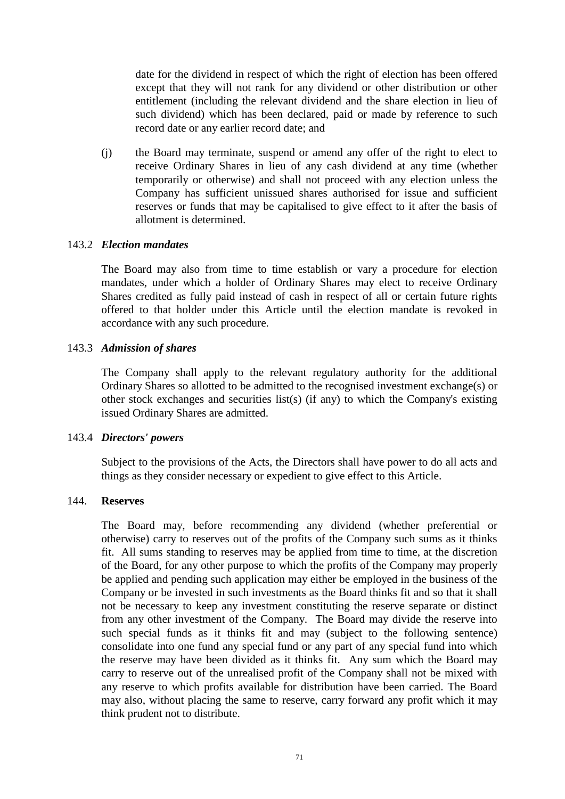date for the dividend in respect of which the right of election has been offered except that they will not rank for any dividend or other distribution or other entitlement (including the relevant dividend and the share election in lieu of such dividend) which has been declared, paid or made by reference to such record date or any earlier record date; and

(j) the Board may terminate, suspend or amend any offer of the right to elect to receive Ordinary Shares in lieu of any cash dividend at any time (whether temporarily or otherwise) and shall not proceed with any election unless the Company has sufficient unissued shares authorised for issue and sufficient reserves or funds that may be capitalised to give effect to it after the basis of allotment is determined.

#### <span id="page-76-0"></span>143.2 *Election mandates*

The Board may also from time to time establish or vary a procedure for election mandates, under which a holder of Ordinary Shares may elect to receive Ordinary Shares credited as fully paid instead of cash in respect of all or certain future rights offered to that holder under this Article until the election mandate is revoked in accordance with any such procedure.

#### 143.3 *Admission of shares*

The Company shall apply to the relevant regulatory authority for the additional Ordinary Shares so allotted to be admitted to the recognised investment exchange(s) or other stock exchanges and securities list(s) (if any) to which the Company's existing issued Ordinary Shares are admitted.

#### 143.4 *Directors' powers*

Subject to the provisions of the Acts, the Directors shall have power to do all acts and things as they consider necessary or expedient to give effect to this Article.

#### 144. **Reserves**

The Board may, before recommending any dividend (whether preferential or otherwise) carry to reserves out of the profits of the Company such sums as it thinks fit. All sums standing to reserves may be applied from time to time, at the discretion of the Board, for any other purpose to which the profits of the Company may properly be applied and pending such application may either be employed in the business of the Company or be invested in such investments as the Board thinks fit and so that it shall not be necessary to keep any investment constituting the reserve separate or distinct from any other investment of the Company. The Board may divide the reserve into such special funds as it thinks fit and may (subject to the following sentence) consolidate into one fund any special fund or any part of any special fund into which the reserve may have been divided as it thinks fit. Any sum which the Board may carry to reserve out of the unrealised profit of the Company shall not be mixed with any reserve to which profits available for distribution have been carried. The Board may also, without placing the same to reserve, carry forward any profit which it may think prudent not to distribute.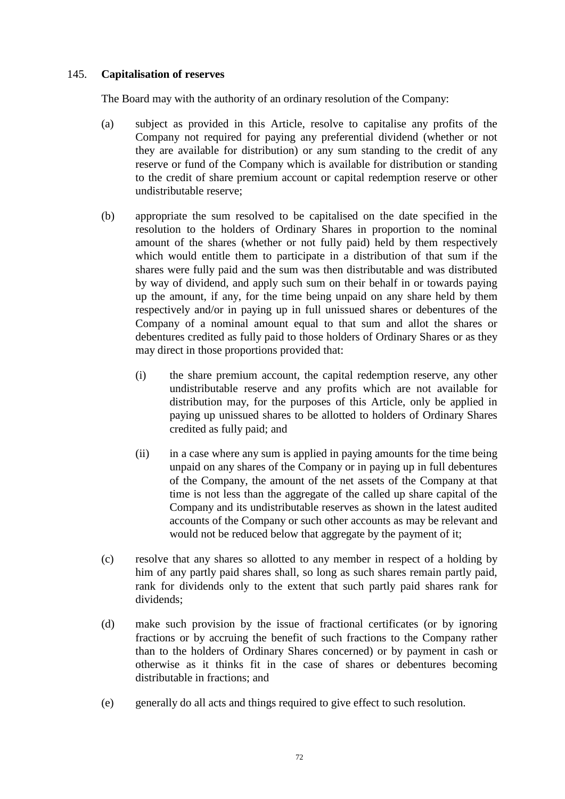# <span id="page-77-0"></span>145. **Capitalisation of reserves**

The Board may with the authority of an ordinary resolution of the Company:

- (a) subject as provided in this Article, resolve to capitalise any profits of the Company not required for paying any preferential dividend (whether or not they are available for distribution) or any sum standing to the credit of any reserve or fund of the Company which is available for distribution or standing to the credit of share premium account or capital redemption reserve or other undistributable reserve;
- (b) appropriate the sum resolved to be capitalised on the date specified in the resolution to the holders of Ordinary Shares in proportion to the nominal amount of the shares (whether or not fully paid) held by them respectively which would entitle them to participate in a distribution of that sum if the shares were fully paid and the sum was then distributable and was distributed by way of dividend, and apply such sum on their behalf in or towards paying up the amount, if any, for the time being unpaid on any share held by them respectively and/or in paying up in full unissued shares or debentures of the Company of a nominal amount equal to that sum and allot the shares or debentures credited as fully paid to those holders of Ordinary Shares or as they may direct in those proportions provided that:
	- (i) the share premium account, the capital redemption reserve, any other undistributable reserve and any profits which are not available for distribution may, for the purposes of this Article, only be applied in paying up unissued shares to be allotted to holders of Ordinary Shares credited as fully paid; and
	- (ii) in a case where any sum is applied in paying amounts for the time being unpaid on any shares of the Company or in paying up in full debentures of the Company, the amount of the net assets of the Company at that time is not less than the aggregate of the called up share capital of the Company and its undistributable reserves as shown in the latest audited accounts of the Company or such other accounts as may be relevant and would not be reduced below that aggregate by the payment of it;
- (c) resolve that any shares so allotted to any member in respect of a holding by him of any partly paid shares shall, so long as such shares remain partly paid, rank for dividends only to the extent that such partly paid shares rank for dividends;
- (d) make such provision by the issue of fractional certificates (or by ignoring fractions or by accruing the benefit of such fractions to the Company rather than to the holders of Ordinary Shares concerned) or by payment in cash or otherwise as it thinks fit in the case of shares or debentures becoming distributable in fractions; and
- (e) generally do all acts and things required to give effect to such resolution.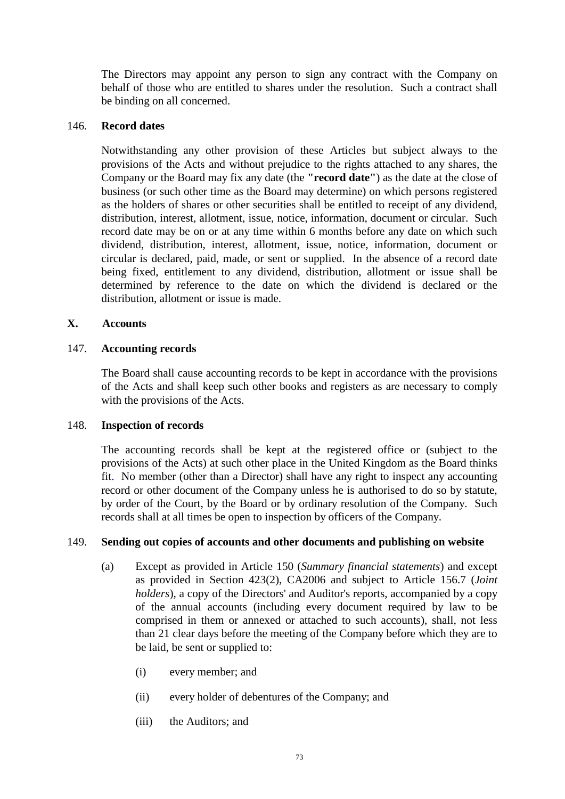The Directors may appoint any person to sign any contract with the Company on behalf of those who are entitled to shares under the resolution. Such a contract shall be binding on all concerned.

#### 146. **Record dates**

Notwithstanding any other provision of these Articles but subject always to the provisions of the Acts and without prejudice to the rights attached to any shares, the Company or the Board may fix any date (the **"record date"**) as the date at the close of business (or such other time as the Board may determine) on which persons registered as the holders of shares or other securities shall be entitled to receipt of any dividend, distribution, interest, allotment, issue, notice, information, document or circular. Such record date may be on or at any time within 6 months before any date on which such dividend, distribution, interest, allotment, issue, notice, information, document or circular is declared, paid, made, or sent or supplied. In the absence of a record date being fixed, entitlement to any dividend, distribution, allotment or issue shall be determined by reference to the date on which the dividend is declared or the distribution, allotment or issue is made.

## **X. Accounts**

#### 147. **Accounting records**

The Board shall cause accounting records to be kept in accordance with the provisions of the Acts and shall keep such other books and registers as are necessary to comply with the provisions of the Acts.

#### 148. **Inspection of records**

The accounting records shall be kept at the registered office or (subject to the provisions of the Acts) at such other place in the United Kingdom as the Board thinks fit. No member (other than a Director) shall have any right to inspect any accounting record or other document of the Company unless he is authorised to do so by statute, by order of the Court, by the Board or by ordinary resolution of the Company. Such records shall at all times be open to inspection by officers of the Company.

## <span id="page-78-0"></span>149. **Sending out copies of accounts and other documents and publishing on website**

- (a) Except as provided in Article [150](#page-79-0) (*Summary financial statements*) and except as provided in Section 423(2), CA2006 and subject to Article [156.7](#page-84-0) (*Joint holders*), a copy of the Directors' and Auditor's reports, accompanied by a copy of the annual accounts (including every document required by law to be comprised in them or annexed or attached to such accounts), shall, not less than 21 clear days before the meeting of the Company before which they are to be laid, be sent or supplied to:
	- (i) every member; and
	- (ii) every holder of debentures of the Company; and
	- (iii) the Auditors; and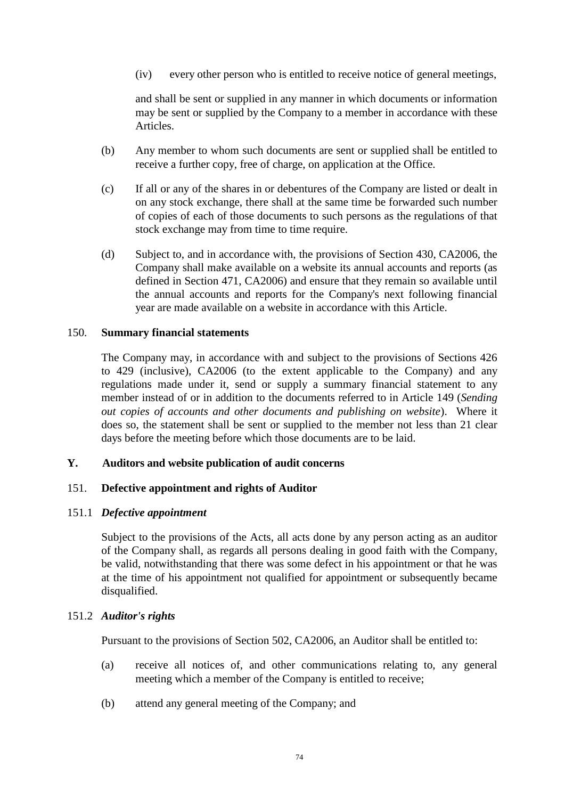(iv) every other person who is entitled to receive notice of general meetings,

and shall be sent or supplied in any manner in which documents or information may be sent or supplied by the Company to a member in accordance with these Articles.

- (b) Any member to whom such documents are sent or supplied shall be entitled to receive a further copy, free of charge, on application at the Office.
- (c) If all or any of the shares in or debentures of the Company are listed or dealt in on any stock exchange, there shall at the same time be forwarded such number of copies of each of those documents to such persons as the regulations of that stock exchange may from time to time require.
- (d) Subject to, and in accordance with, the provisions of Section 430, CA2006, the Company shall make available on a website its annual accounts and reports (as defined in Section 471, CA2006) and ensure that they remain so available until the annual accounts and reports for the Company's next following financial year are made available on a website in accordance with this Article.

## <span id="page-79-0"></span>150. **Summary financial statements**

The Company may, in accordance with and subject to the provisions of Sections 426 to 429 (inclusive), CA2006 (to the extent applicable to the Company) and any regulations made under it, send or supply a summary financial statement to any member instead of or in addition to the documents referred to in Article [149](#page-78-0) (*Sending out copies of accounts and other documents and publishing on website*). Where it does so, the statement shall be sent or supplied to the member not less than 21 clear days before the meeting before which those documents are to be laid.

# **Y. Auditors and website publication of audit concerns**

## 151. **Defective appointment and rights of Auditor**

#### 151.1 *Defective appointment*

Subject to the provisions of the Acts, all acts done by any person acting as an auditor of the Company shall, as regards all persons dealing in good faith with the Company, be valid, notwithstanding that there was some defect in his appointment or that he was at the time of his appointment not qualified for appointment or subsequently became disqualified.

## 151.2 *Auditor's rights*

Pursuant to the provisions of Section 502, CA2006, an Auditor shall be entitled to:

- (a) receive all notices of, and other communications relating to, any general meeting which a member of the Company is entitled to receive;
- (b) attend any general meeting of the Company; and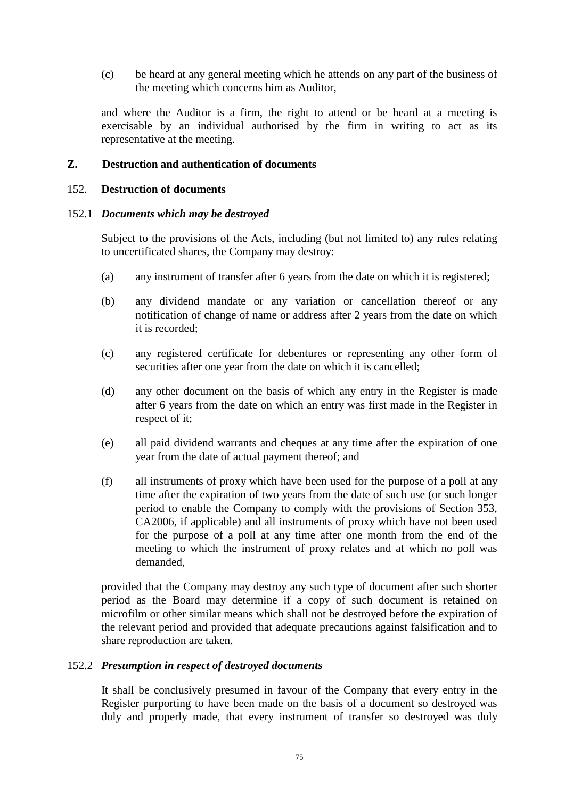(c) be heard at any general meeting which he attends on any part of the business of the meeting which concerns him as Auditor,

and where the Auditor is a firm, the right to attend or be heard at a meeting is exercisable by an individual authorised by the firm in writing to act as its representative at the meeting.

# **Z. Destruction and authentication of documents**

## <span id="page-80-0"></span>152. **Destruction of documents**

#### 152.1 *Documents which may be destroyed*

Subject to the provisions of the Acts, including (but not limited to) any rules relating to uncertificated shares, the Company may destroy:

- (a) any instrument of transfer after 6 years from the date on which it is registered;
- (b) any dividend mandate or any variation or cancellation thereof or any notification of change of name or address after 2 years from the date on which it is recorded;
- (c) any registered certificate for debentures or representing any other form of securities after one year from the date on which it is cancelled;
- (d) any other document on the basis of which any entry in the Register is made after 6 years from the date on which an entry was first made in the Register in respect of it;
- (e) all paid dividend warrants and cheques at any time after the expiration of one year from the date of actual payment thereof; and
- (f) all instruments of proxy which have been used for the purpose of a poll at any time after the expiration of two years from the date of such use (or such longer period to enable the Company to comply with the provisions of Section 353, CA2006, if applicable) and all instruments of proxy which have not been used for the purpose of a poll at any time after one month from the end of the meeting to which the instrument of proxy relates and at which no poll was demanded,

provided that the Company may destroy any such type of document after such shorter period as the Board may determine if a copy of such document is retained on microfilm or other similar means which shall not be destroyed before the expiration of the relevant period and provided that adequate precautions against falsification and to share reproduction are taken.

## 152.2 *Presumption in respect of destroyed documents*

It shall be conclusively presumed in favour of the Company that every entry in the Register purporting to have been made on the basis of a document so destroyed was duly and properly made, that every instrument of transfer so destroyed was duly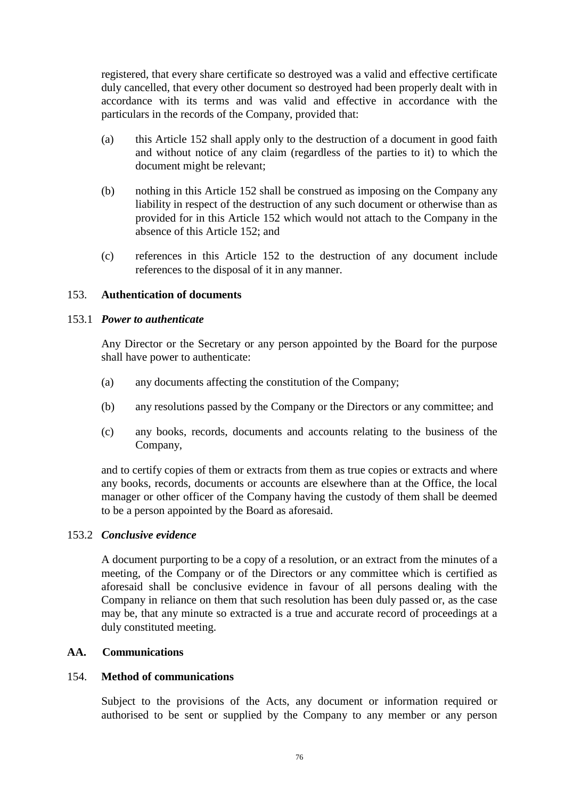registered, that every share certificate so destroyed was a valid and effective certificate duly cancelled, that every other document so destroyed had been properly dealt with in accordance with its terms and was valid and effective in accordance with the particulars in the records of the Company, provided that:

- (a) this Article [152](#page-80-0) shall apply only to the destruction of a document in good faith and without notice of any claim (regardless of the parties to it) to which the document might be relevant;
- (b) nothing in this Article [152](#page-80-0) shall be construed as imposing on the Company any liability in respect of the destruction of any such document or otherwise than as provided for in this Article [152](#page-80-0) which would not attach to the Company in the absence of this Article [152;](#page-80-0) and
- (c) references in this Article [152](#page-80-0) to the destruction of any document include references to the disposal of it in any manner.

# 153. **Authentication of documents**

## 153.1 *Power to authenticate*

Any Director or the Secretary or any person appointed by the Board for the purpose shall have power to authenticate:

- (a) any documents affecting the constitution of the Company;
- (b) any resolutions passed by the Company or the Directors or any committee; and
- (c) any books, records, documents and accounts relating to the business of the Company,

and to certify copies of them or extracts from them as true copies or extracts and where any books, records, documents or accounts are elsewhere than at the Office, the local manager or other officer of the Company having the custody of them shall be deemed to be a person appointed by the Board as aforesaid.

## 153.2 *Conclusive evidence*

A document purporting to be a copy of a resolution, or an extract from the minutes of a meeting, of the Company or of the Directors or any committee which is certified as aforesaid shall be conclusive evidence in favour of all persons dealing with the Company in reliance on them that such resolution has been duly passed or, as the case may be, that any minute so extracted is a true and accurate record of proceedings at a duly constituted meeting.

## **AA. Communications**

## 154. **Method of communications**

Subject to the provisions of the Acts, any document or information required or authorised to be sent or supplied by the Company to any member or any person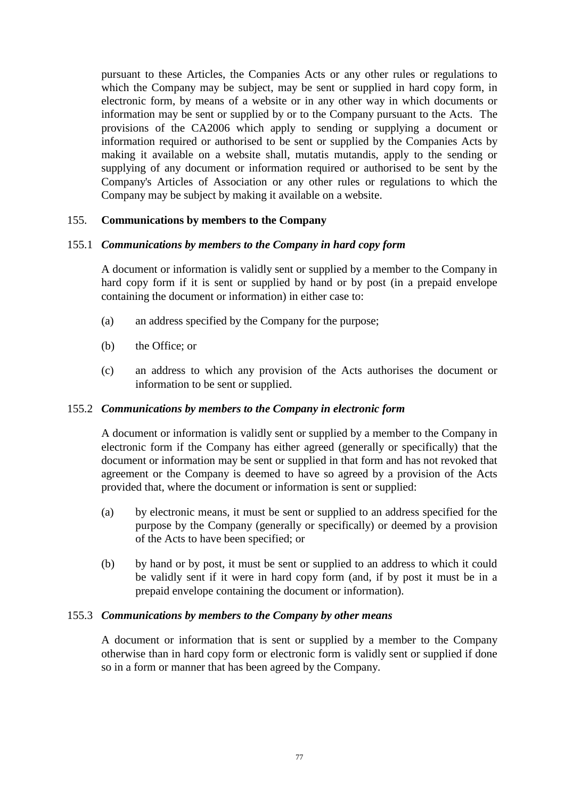pursuant to these Articles, the Companies Acts or any other rules or regulations to which the Company may be subject, may be sent or supplied in hard copy form, in electronic form, by means of a website or in any other way in which documents or information may be sent or supplied by or to the Company pursuant to the Acts. The provisions of the CA2006 which apply to sending or supplying a document or information required or authorised to be sent or supplied by the Companies Acts by making it available on a website shall, mutatis mutandis, apply to the sending or supplying of any document or information required or authorised to be sent by the Company's Articles of Association or any other rules or regulations to which the Company may be subject by making it available on a website.

## 155. **Communications by members to the Company**

## 155.1 *Communications by members to the Company in hard copy form*

A document or information is validly sent or supplied by a member to the Company in hard copy form if it is sent or supplied by hand or by post (in a prepaid envelope containing the document or information) in either case to:

- (a) an address specified by the Company for the purpose;
- (b) the Office; or
- (c) an address to which any provision of the Acts authorises the document or information to be sent or supplied.

## 155.2 *Communications by members to the Company in electronic form*

A document or information is validly sent or supplied by a member to the Company in electronic form if the Company has either agreed (generally or specifically) that the document or information may be sent or supplied in that form and has not revoked that agreement or the Company is deemed to have so agreed by a provision of the Acts provided that, where the document or information is sent or supplied:

- (a) by electronic means, it must be sent or supplied to an address specified for the purpose by the Company (generally or specifically) or deemed by a provision of the Acts to have been specified; or
- (b) by hand or by post, it must be sent or supplied to an address to which it could be validly sent if it were in hard copy form (and, if by post it must be in a prepaid envelope containing the document or information).

## 155.3 *Communications by members to the Company by other means*

A document or information that is sent or supplied by a member to the Company otherwise than in hard copy form or electronic form is validly sent or supplied if done so in a form or manner that has been agreed by the Company.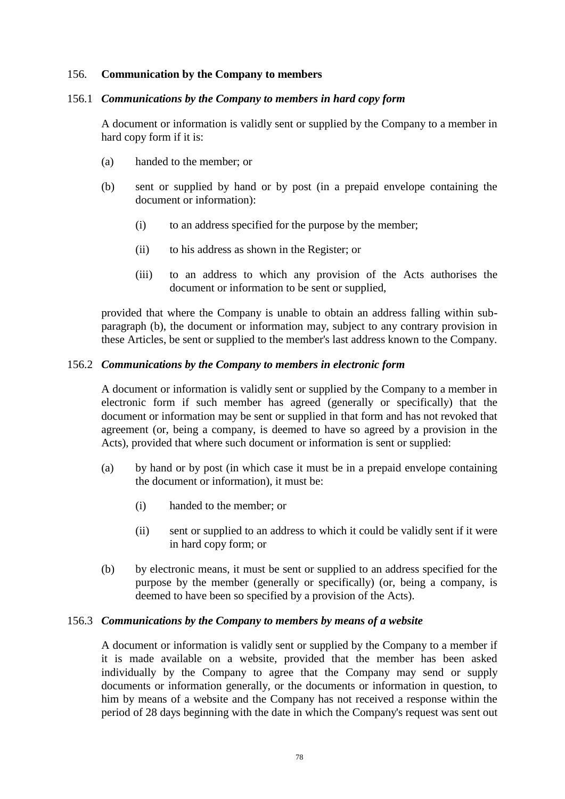#### 156. **Communication by the Company to members**

#### 156.1 *Communications by the Company to members in hard copy form*

A document or information is validly sent or supplied by the Company to a member in hard copy form if it is:

- (a) handed to the member; or
- (b) sent or supplied by hand or by post (in a prepaid envelope containing the document or information):
	- (i) to an address specified for the purpose by the member;
	- (ii) to his address as shown in the Register; or
	- (iii) to an address to which any provision of the Acts authorises the document or information to be sent or supplied,

provided that where the Company is unable to obtain an address falling within subparagraph (b), the document or information may, subject to any contrary provision in these Articles, be sent or supplied to the member's last address known to the Company.

#### 156.2 *Communications by the Company to members in electronic form*

A document or information is validly sent or supplied by the Company to a member in electronic form if such member has agreed (generally or specifically) that the document or information may be sent or supplied in that form and has not revoked that agreement (or, being a company, is deemed to have so agreed by a provision in the Acts), provided that where such document or information is sent or supplied:

- (a) by hand or by post (in which case it must be in a prepaid envelope containing the document or information), it must be:
	- (i) handed to the member; or
	- (ii) sent or supplied to an address to which it could be validly sent if it were in hard copy form; or
- (b) by electronic means, it must be sent or supplied to an address specified for the purpose by the member (generally or specifically) (or, being a company, is deemed to have been so specified by a provision of the Acts).

#### 156.3 *Communications by the Company to members by means of a website*

A document or information is validly sent or supplied by the Company to a member if it is made available on a website, provided that the member has been asked individually by the Company to agree that the Company may send or supply documents or information generally, or the documents or information in question, to him by means of a website and the Company has not received a response within the period of 28 days beginning with the date in which the Company's request was sent out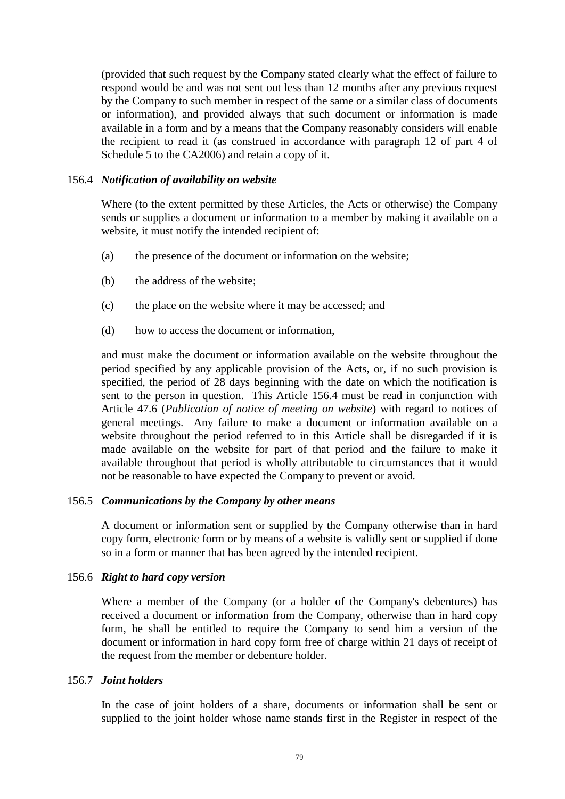(provided that such request by the Company stated clearly what the effect of failure to respond would be and was not sent out less than 12 months after any previous request by the Company to such member in respect of the same or a similar class of documents or information), and provided always that such document or information is made available in a form and by a means that the Company reasonably considers will enable the recipient to read it (as construed in accordance with paragraph 12 of part 4 of Schedule 5 to the CA2006) and retain a copy of it.

## <span id="page-84-1"></span>156.4 *Notification of availability on website*

Where (to the extent permitted by these Articles, the Acts or otherwise) the Company sends or supplies a document or information to a member by making it available on a website, it must notify the intended recipient of:

- (a) the presence of the document or information on the website;
- (b) the address of the website;
- (c) the place on the website where it may be accessed; and
- (d) how to access the document or information,

and must make the document or information available on the website throughout the period specified by any applicable provision of the Acts, or, if no such provision is specified, the period of 28 days beginning with the date on which the notification is sent to the person in question. This Article [156.4](#page-84-1) must be read in conjunction with Article [47.6](#page-28-0) (*Publication of notice of meeting on website*) with regard to notices of general meetings. Any failure to make a document or information available on a website throughout the period referred to in this Article shall be disregarded if it is made available on the website for part of that period and the failure to make it available throughout that period is wholly attributable to circumstances that it would not be reasonable to have expected the Company to prevent or avoid.

## 156.5 *Communications by the Company by other means*

A document or information sent or supplied by the Company otherwise than in hard copy form, electronic form or by means of a website is validly sent or supplied if done so in a form or manner that has been agreed by the intended recipient.

## 156.6 *Right to hard copy version*

Where a member of the Company (or a holder of the Company's debentures) has received a document or information from the Company, otherwise than in hard copy form, he shall be entitled to require the Company to send him a version of the document or information in hard copy form free of charge within 21 days of receipt of the request from the member or debenture holder.

## <span id="page-84-0"></span>156.7 *Joint holders*

In the case of joint holders of a share, documents or information shall be sent or supplied to the joint holder whose name stands first in the Register in respect of the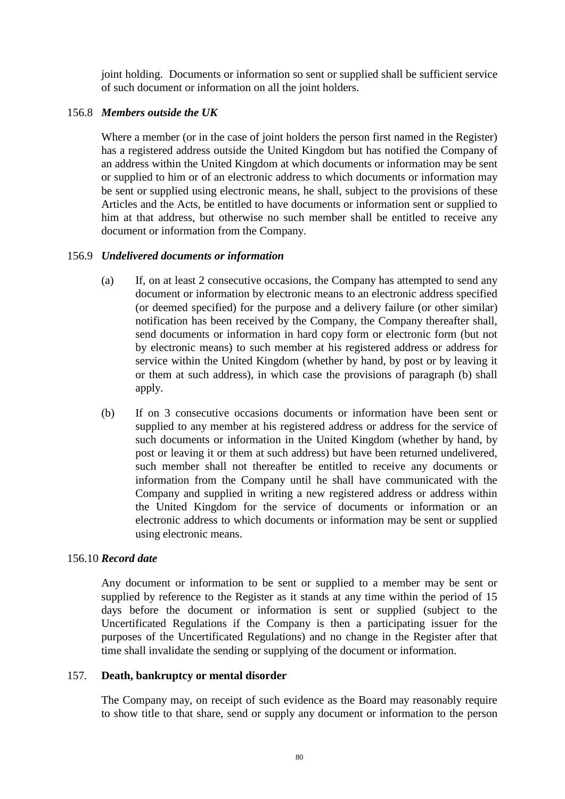joint holding. Documents or information so sent or supplied shall be sufficient service of such document or information on all the joint holders.

# 156.8 *Members outside the UK*

Where a member (or in the case of joint holders the person first named in the Register) has a registered address outside the United Kingdom but has notified the Company of an address within the United Kingdom at which documents or information may be sent or supplied to him or of an electronic address to which documents or information may be sent or supplied using electronic means, he shall, subject to the provisions of these Articles and the Acts, be entitled to have documents or information sent or supplied to him at that address, but otherwise no such member shall be entitled to receive any document or information from the Company.

# 156.9 *Undelivered documents or information*

- (a) If, on at least 2 consecutive occasions, the Company has attempted to send any document or information by electronic means to an electronic address specified (or deemed specified) for the purpose and a delivery failure (or other similar) notification has been received by the Company, the Company thereafter shall, send documents or information in hard copy form or electronic form (but not by electronic means) to such member at his registered address or address for service within the United Kingdom (whether by hand, by post or by leaving it or them at such address), in which case the provisions of paragraph (b) shall apply.
- (b) If on 3 consecutive occasions documents or information have been sent or supplied to any member at his registered address or address for the service of such documents or information in the United Kingdom (whether by hand, by post or leaving it or them at such address) but have been returned undelivered, such member shall not thereafter be entitled to receive any documents or information from the Company until he shall have communicated with the Company and supplied in writing a new registered address or address within the United Kingdom for the service of documents or information or an electronic address to which documents or information may be sent or supplied using electronic means.

## 156.10 *Record date*

Any document or information to be sent or supplied to a member may be sent or supplied by reference to the Register as it stands at any time within the period of 15 days before the document or information is sent or supplied (subject to the Uncertificated Regulations if the Company is then a participating issuer for the purposes of the Uncertificated Regulations) and no change in the Register after that time shall invalidate the sending or supplying of the document or information.

## 157. **Death, bankruptcy or mental disorder**

The Company may, on receipt of such evidence as the Board may reasonably require to show title to that share, send or supply any document or information to the person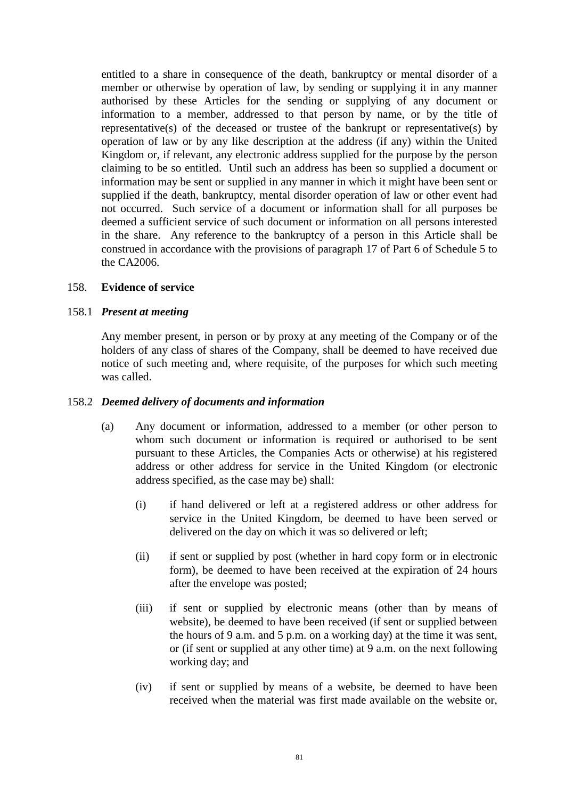entitled to a share in consequence of the death, bankruptcy or mental disorder of a member or otherwise by operation of law, by sending or supplying it in any manner authorised by these Articles for the sending or supplying of any document or information to a member, addressed to that person by name, or by the title of representative(s) of the deceased or trustee of the bankrupt or representative(s) by operation of law or by any like description at the address (if any) within the United Kingdom or, if relevant, any electronic address supplied for the purpose by the person claiming to be so entitled. Until such an address has been so supplied a document or information may be sent or supplied in any manner in which it might have been sent or supplied if the death, bankruptcy, mental disorder operation of law or other event had not occurred. Such service of a document or information shall for all purposes be deemed a sufficient service of such document or information on all persons interested in the share. Any reference to the bankruptcy of a person in this Article shall be construed in accordance with the provisions of paragraph 17 of Part 6 of Schedule 5 to the CA2006.

## 158. **Evidence of service**

#### 158.1 *Present at meeting*

Any member present, in person or by proxy at any meeting of the Company or of the holders of any class of shares of the Company, shall be deemed to have received due notice of such meeting and, where requisite, of the purposes for which such meeting was called.

#### <span id="page-86-0"></span>158.2 *Deemed delivery of documents and information*

- (a) Any document or information, addressed to a member (or other person to whom such document or information is required or authorised to be sent pursuant to these Articles, the Companies Acts or otherwise) at his registered address or other address for service in the United Kingdom (or electronic address specified, as the case may be) shall:
	- (i) if hand delivered or left at a registered address or other address for service in the United Kingdom, be deemed to have been served or delivered on the day on which it was so delivered or left;
	- (ii) if sent or supplied by post (whether in hard copy form or in electronic form), be deemed to have been received at the expiration of 24 hours after the envelope was posted;
	- (iii) if sent or supplied by electronic means (other than by means of website), be deemed to have been received (if sent or supplied between the hours of 9 a.m. and 5 p.m. on a working day) at the time it was sent, or (if sent or supplied at any other time) at 9 a.m. on the next following working day; and
	- (iv) if sent or supplied by means of a website, be deemed to have been received when the material was first made available on the website or,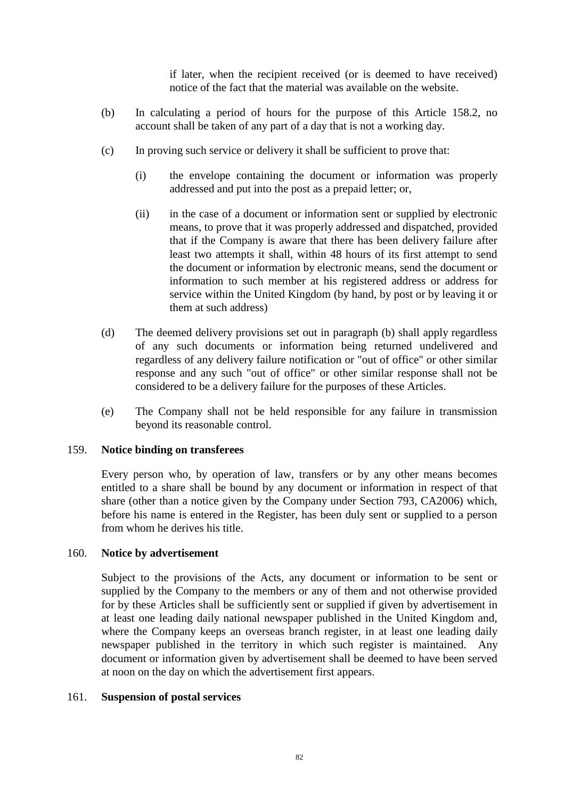if later, when the recipient received (or is deemed to have received) notice of the fact that the material was available on the website.

- (b) In calculating a period of hours for the purpose of this Article [158.2,](#page-86-0) no account shall be taken of any part of a day that is not a working day.
- (c) In proving such service or delivery it shall be sufficient to prove that:
	- (i) the envelope containing the document or information was properly addressed and put into the post as a prepaid letter; or,
	- (ii) in the case of a document or information sent or supplied by electronic means, to prove that it was properly addressed and dispatched, provided that if the Company is aware that there has been delivery failure after least two attempts it shall, within 48 hours of its first attempt to send the document or information by electronic means, send the document or information to such member at his registered address or address for service within the United Kingdom (by hand, by post or by leaving it or them at such address)
- (d) The deemed delivery provisions set out in paragraph (b) shall apply regardless of any such documents or information being returned undelivered and regardless of any delivery failure notification or "out of office" or other similar response and any such "out of office" or other similar response shall not be considered to be a delivery failure for the purposes of these Articles.
- (e) The Company shall not be held responsible for any failure in transmission beyond its reasonable control.

## 159. **Notice binding on transferees**

Every person who, by operation of law, transfers or by any other means becomes entitled to a share shall be bound by any document or information in respect of that share (other than a notice given by the Company under Section 793, CA2006) which, before his name is entered in the Register, has been duly sent or supplied to a person from whom he derives his title.

## 160. **Notice by advertisement**

Subject to the provisions of the Acts, any document or information to be sent or supplied by the Company to the members or any of them and not otherwise provided for by these Articles shall be sufficiently sent or supplied if given by advertisement in at least one leading daily national newspaper published in the United Kingdom and, where the Company keeps an overseas branch register, in at least one leading daily newspaper published in the territory in which such register is maintained. Any document or information given by advertisement shall be deemed to have been served at noon on the day on which the advertisement first appears.

## 161. **Suspension of postal services**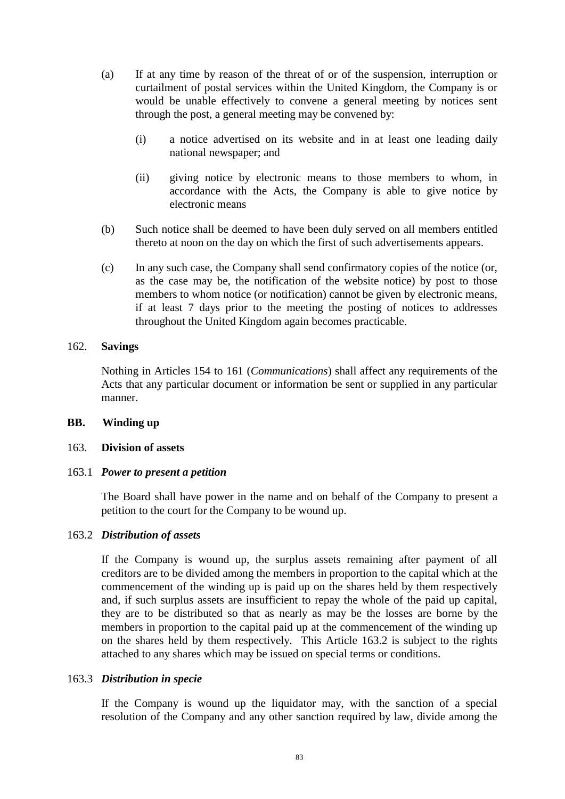- (a) If at any time by reason of the threat of or of the suspension, interruption or curtailment of postal services within the United Kingdom, the Company is or would be unable effectively to convene a general meeting by notices sent through the post, a general meeting may be convened by:
	- (i) a notice advertised on its website and in at least one leading daily national newspaper; and
	- (ii) giving notice by electronic means to those members to whom, in accordance with the Acts, the Company is able to give notice by electronic means
- (b) Such notice shall be deemed to have been duly served on all members entitled thereto at noon on the day on which the first of such advertisements appears.
- (c) In any such case, the Company shall send confirmatory copies of the notice (or, as the case may be, the notification of the website notice) by post to those members to whom notice (or notification) cannot be given by electronic means, if at least 7 days prior to the meeting the posting of notices to addresses throughout the United Kingdom again becomes practicable.

## 162. **Savings**

Nothing in Articles 154 to 161 (*Communications*) shall affect any requirements of the Acts that any particular document or information be sent or supplied in any particular manner.

# **BB. Winding up**

## 163. **Division of assets**

## 163.1 *Power to present a petition*

The Board shall have power in the name and on behalf of the Company to present a petition to the court for the Company to be wound up.

## <span id="page-88-0"></span>163.2 *Distribution of assets*

If the Company is wound up, the surplus assets remaining after payment of all creditors are to be divided among the members in proportion to the capital which at the commencement of the winding up is paid up on the shares held by them respectively and, if such surplus assets are insufficient to repay the whole of the paid up capital, they are to be distributed so that as nearly as may be the losses are borne by the members in proportion to the capital paid up at the commencement of the winding up on the shares held by them respectively. This Article [163.2](#page-88-0) is subject to the rights attached to any shares which may be issued on special terms or conditions.

## 163.3 *Distribution in specie*

If the Company is wound up the liquidator may, with the sanction of a special resolution of the Company and any other sanction required by law, divide among the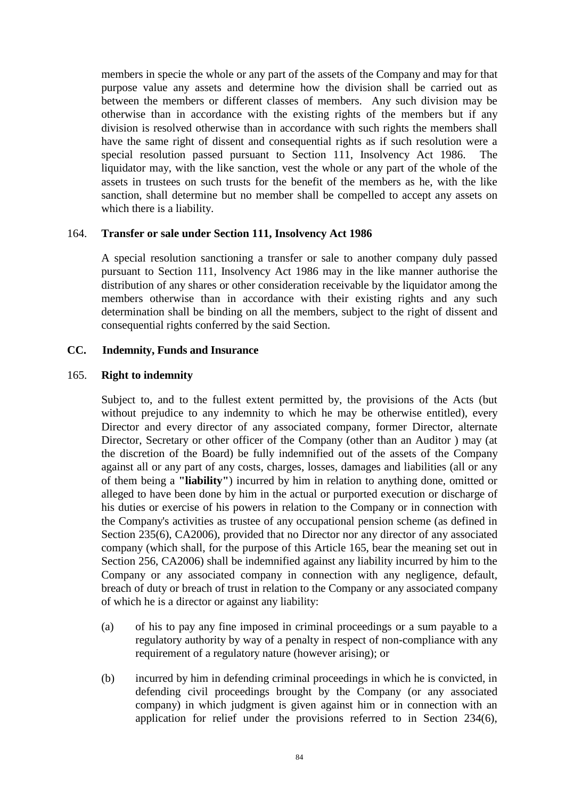members in specie the whole or any part of the assets of the Company and may for that purpose value any assets and determine how the division shall be carried out as between the members or different classes of members. Any such division may be otherwise than in accordance with the existing rights of the members but if any division is resolved otherwise than in accordance with such rights the members shall have the same right of dissent and consequential rights as if such resolution were a special resolution passed pursuant to Section 111, Insolvency Act 1986. The liquidator may, with the like sanction, vest the whole or any part of the whole of the assets in trustees on such trusts for the benefit of the members as he, with the like sanction, shall determine but no member shall be compelled to accept any assets on which there is a liability.

## 164. **Transfer or sale under Section 111, Insolvency Act 1986**

A special resolution sanctioning a transfer or sale to another company duly passed pursuant to Section 111, Insolvency Act 1986 may in the like manner authorise the distribution of any shares or other consideration receivable by the liquidator among the members otherwise than in accordance with their existing rights and any such determination shall be binding on all the members, subject to the right of dissent and consequential rights conferred by the said Section.

## **CC. Indemnity, Funds and Insurance**

#### 165. **Right to indemnity**

Subject to, and to the fullest extent permitted by, the provisions of the Acts (but without prejudice to any indemnity to which he may be otherwise entitled), every Director and every director of any associated company, former Director, alternate Director, Secretary or other officer of the Company (other than an Auditor ) may (at the discretion of the Board) be fully indemnified out of the assets of the Company against all or any part of any costs, charges, losses, damages and liabilities (all or any of them being a **"liability"**) incurred by him in relation to anything done, omitted or alleged to have been done by him in the actual or purported execution or discharge of his duties or exercise of his powers in relation to the Company or in connection with the Company's activities as trustee of any occupational pension scheme (as defined in Section 235(6), CA2006), provided that no Director nor any director of any associated company (which shall, for the purpose of this Article 165, bear the meaning set out in Section 256, CA2006) shall be indemnified against any liability incurred by him to the Company or any associated company in connection with any negligence, default, breach of duty or breach of trust in relation to the Company or any associated company of which he is a director or against any liability:

- (a) of his to pay any fine imposed in criminal proceedings or a sum payable to a regulatory authority by way of a penalty in respect of non-compliance with any requirement of a regulatory nature (however arising); or
- (b) incurred by him in defending criminal proceedings in which he is convicted, in defending civil proceedings brought by the Company (or any associated company) in which judgment is given against him or in connection with an application for relief under the provisions referred to in Section 234(6),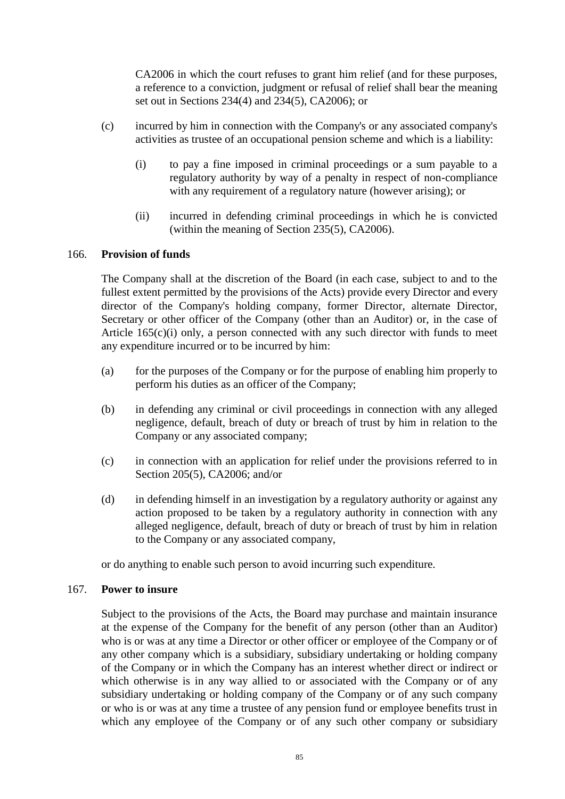CA2006 in which the court refuses to grant him relief (and for these purposes, a reference to a conviction, judgment or refusal of relief shall bear the meaning set out in Sections 234(4) and 234(5), CA2006); or

- <span id="page-90-0"></span>(c) incurred by him in connection with the Company's or any associated company's activities as trustee of an occupational pension scheme and which is a liability:
	- (i) to pay a fine imposed in criminal proceedings or a sum payable to a regulatory authority by way of a penalty in respect of non-compliance with any requirement of a regulatory nature (however arising); or
	- (ii) incurred in defending criminal proceedings in which he is convicted (within the meaning of Section 235(5), CA2006).

# 166. **Provision of funds**

The Company shall at the discretion of the Board (in each case, subject to and to the fullest extent permitted by the provisions of the Acts) provide every Director and every director of the Company's holding company, former Director, alternate Director, Secretary or other officer of the Company (other than an Auditor) or, in the case of Article  $165(c)(i)$  only, a person connected with any such director with funds to meet any expenditure incurred or to be incurred by him:

- (a) for the purposes of the Company or for the purpose of enabling him properly to perform his duties as an officer of the Company;
- (b) in defending any criminal or civil proceedings in connection with any alleged negligence, default, breach of duty or breach of trust by him in relation to the Company or any associated company;
- (c) in connection with an application for relief under the provisions referred to in Section 205(5), CA2006; and/or
- (d) in defending himself in an investigation by a regulatory authority or against any action proposed to be taken by a regulatory authority in connection with any alleged negligence, default, breach of duty or breach of trust by him in relation to the Company or any associated company,

or do anything to enable such person to avoid incurring such expenditure.

# 167. **Power to insure**

Subject to the provisions of the Acts, the Board may purchase and maintain insurance at the expense of the Company for the benefit of any person (other than an Auditor) who is or was at any time a Director or other officer or employee of the Company or of any other company which is a subsidiary, subsidiary undertaking or holding company of the Company or in which the Company has an interest whether direct or indirect or which otherwise is in any way allied to or associated with the Company or of any subsidiary undertaking or holding company of the Company or of any such company or who is or was at any time a trustee of any pension fund or employee benefits trust in which any employee of the Company or of any such other company or subsidiary